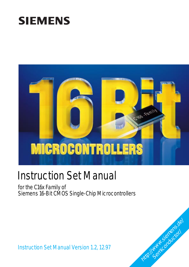# Instruction Set Manual

for the C16x Family of Siemens 16-Bit CMOS Single-Chip Microcontrollers

**MICROCONTROLLERS** 

Instruction Set Manual Version 1.2, 12.97



166 Family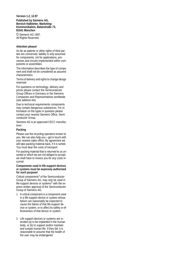#### **Version 1.2, 12.97 Published by Siemens AG, Bereich Halbleiter, Marketing-Kommunikation, Balanstraße 73, 81541 München**

© Siemens AG 1997. All Rights Reserved.

#### **Attention please!**

As far as patents or other rights of third parties are concerned, liability is only assumed for components, not for applications, processes and circuits implemented within components or assemblies.

The information describes the type of component and shall not be considered as assured characteristics.

Terms of delivery and rights to change design reserved.

For questions on technology, delivery and prices please contact the Semiconductor Group Offices in Germany or the Siemens Companies and Representatives worldwide (see address list).

Due to technical requirements components may contain dangerous substances. For information on the types in question please contact your nearest Siemens Office, Semiconductor Group.

Siemens AG is an approved CECC manufacturer.

#### **Packing**

Please use the recycling operators known to you. We can also help you – get in touch with your nearest sales office. By agreement we will take packing material back, if it is sorted. You must bear the costs of transport.

For packing material that is returned to us unsorted or which we are not obliged to accept, we shall have to invoice you for any costs incurred.

#### **Components used in life-support devices or systems must be expressly authorized for such purpose!**

Critical components<sup>1</sup> of the Semiconductor Group of Siemens AG, may only be used in life-support devices or systems<sup>2</sup> with the express written approval of the Semiconductor Group of Siemens AG.

- 1 A critical component is a component used in a life-support device or system whose failure can reasonably be expected to cause the failure of that life-support device or system, or to affect its safety or effectiveness of that device or system.
- 2 Life support devices or systems are intended (a) to be implanted in the human body, or (b) to support and/or maintain and sustain human life. If they fail, it is reasonable to assume that the health of the user may be endangered.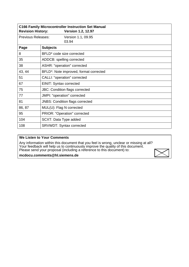| <b>Revision History:</b>  |                                       | <b>C166 Family Microcontroller Instruction Set Manual</b><br><b>Version 1.2, 12.97</b> |
|---------------------------|---------------------------------------|----------------------------------------------------------------------------------------|
| <b>Previous Releases:</b> |                                       | Version 1.1, 09.95<br>03.94                                                            |
| Page                      | <b>Subjects</b>                       |                                                                                        |
| 8                         | BFLD* code size corrected             |                                                                                        |
| 35                        | ADDCB: spelling corrected             |                                                                                        |
| 38                        | ASHR: "operation" corrected           |                                                                                        |
| 43, 44                    |                                       | BFLD*: Note improved, format corrected                                                 |
| 51                        | CALLI: "operation" corrected          |                                                                                        |
| 67                        | EINIT: Syntax corrected               |                                                                                        |
| 75                        | <b>JBC: Condition flags corrected</b> |                                                                                        |
| 77                        | JMPI: "operation" corrected           |                                                                                        |
| 81                        |                                       | <b>JNBS: Condition flags corrected</b>                                                 |
| 86, 87                    | MUL(U): Flag N corrected              |                                                                                        |
| 95                        | PRIOR: "Operation" corrected          |                                                                                        |
| 104                       | SCXT: Data Type added                 |                                                                                        |
| 108                       | SRVWDT: Syntax corrected              |                                                                                        |

#### **We Listen to Your Comments**

Any information within this document that you feel is wrong, unclear or missing at all? Your feedback will help us to continuously improve the quality of this document. Please send your proposal (including a reference to this document) to:

**mcdocu.comments@hl.siemens.de**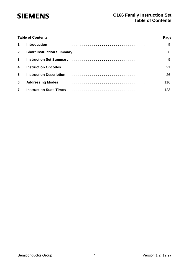|                | <b>Table of Contents</b> | Page |
|----------------|--------------------------|------|
|                |                          |      |
| 2 <sup>7</sup> |                          |      |
| 3 <sup>7</sup> |                          |      |
| $\overline{4}$ |                          |      |
| 5 <sub>5</sub> |                          |      |
| 6              |                          |      |
| $\overline{7}$ |                          |      |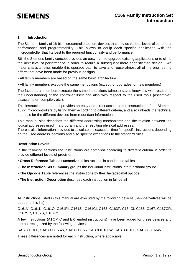#### **1 Introduction**

The Siemens family of 16-bit microcontrollers offers devices that provide various levels of peripheral performance and programmability. This allows to equip each specific application with the microcontroller that fits best to the required functionality and performance.

Still the Siemens family concept provides an easy path to upgrade existing applications or to climb the next level of performance in order to realize a subsequent more sophisticated design. Two major characteristics enable this upgrade path to save and reuse almost all of the engineering efforts that have been made for previous designs:

- All family members are based on the same basic architecture
- All family members execute the same instructions (except for upgrades for new members)

The fact that all members execute the same instructions (almost) saves knowhow with respect to the understanding of the controller itself and also with respect to the used tools (assembler, disassembler, compiler, etc.).

This instruction set manual provides an easy and direct access to the instructions of the Siemens 16-bit microcontrollers by listing them according to different criteria, and also unloads the technical manuals for the different devices from redundant information.

This manual also describes the different addressing mechanisms and the relation between the logical addresses used in a program and the resulting physical addresses.

There is also information provided to calculate the execution time for specific instructions depending on the used address locations and also specific exceptions to the standard rules.

#### **Description Levels**

In the following sections the instructions are compiled according to different criteria in order to provide different levels of precision:

- **Cross Reference Tables** summarize all instructions in condensed tables
- **The Instruction Set Summary** groups the individual instructions into functional groups
- **The Opcode Table** references the instructions by their hexadecimal opcode
- **The Instruction Description** describes each instruction in full detail

All instructions listed in this manual are executed by the following devices (new derivatives will be added to this list):

C161V, C161K, C161O, C161RI, C161SI, C161CI, C163, C163F, C164CI, C165, C167, C167CR, C167SR, C167S, C167CS.

A few instructions (ATOMIC and EXTended instructions) have been added for these devices and are not recognized by the following devices:

SAB 80C166, SAB 80C166W, SAB 83C166, SAB 83C166W, SAB 88C166, SAB 88C166W.

These differences are noted for each instruction, where applicable.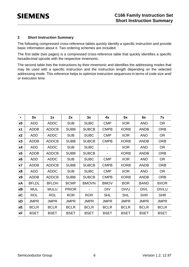#### **2 Short Instruction Summary**

The following compressed cross-reference tables quickly identify a specific instruction and provide basic information about it. Two ordering schemes are included:

The first table (two pages) is a compressed cross-reference table that quickly identifies a specific hexadecimal opcode with the respective mnemonic.

The second table lists the instructions by their mnemonic and identifies the addressing modes that may be used with a specific instruction and the instruction length depending on the selected addressing mode. This reference helps to optimize instruction sequences in terms of code size and/ or execution time.

| $\bullet$      | 0x           | 1x           | 2x           | 3x           | 4x             | 5x          | 6x          | <b>7x</b>       |
|----------------|--------------|--------------|--------------|--------------|----------------|-------------|-------------|-----------------|
| x0             | <b>ADD</b>   | <b>ADDC</b>  | <b>SUB</b>   | <b>SUBC</b>  | <b>CMP</b>     | <b>XOR</b>  | <b>AND</b>  | OR <sub>1</sub> |
| x1             | <b>ADDB</b>  | <b>ADDCB</b> | <b>SUBB</b>  | <b>SUBCB</b> | <b>CMPB</b>    | <b>XORB</b> | <b>ANDB</b> | <b>ORB</b>      |
| x2             | <b>ADD</b>   | <b>ADDC</b>  | <b>SUB</b>   | <b>SUBC</b>  | <b>CMP</b>     | <b>XOR</b>  | <b>AND</b>  | <b>OR</b>       |
| x3             | <b>ADDB</b>  | <b>ADDCB</b> | <b>SUBB</b>  | <b>SUBCB</b> | <b>CMPB</b>    | <b>XORB</b> | <b>ANDB</b> | <b>ORB</b>      |
| x4             | <b>ADD</b>   | <b>ADDC</b>  | <b>SUB</b>   | <b>SUBC</b>  |                | <b>XOR</b>  | <b>AND</b>  | <b>OR</b>       |
| x5             | <b>ADDB</b>  | <b>ADDCB</b> | <b>SUBB</b>  | <b>SUBCB</b> | $\blacksquare$ | <b>XORB</b> | <b>ANDB</b> | <b>ORB</b>      |
| x <sub>6</sub> | <b>ADD</b>   | <b>ADDC</b>  | <b>SUB</b>   | <b>SUBC</b>  | <b>CMP</b>     | <b>XOR</b>  | <b>AND</b>  | <b>OR</b>       |
| x7             | <b>ADDB</b>  | <b>ADDCB</b> | <b>SUBB</b>  | <b>SUBCB</b> | <b>CMPB</b>    | <b>XORB</b> | <b>ANDB</b> | <b>ORB</b>      |
| x8             | <b>ADD</b>   | <b>ADDC</b>  | <b>SUB</b>   | <b>SUBC</b>  | <b>CMP</b>     | <b>XOR</b>  | <b>AND</b>  | <b>OR</b>       |
| <b>x9</b>      | <b>ADDB</b>  | <b>ADDCB</b> | <b>SUBB</b>  | <b>SUBCB</b> | <b>CMPB</b>    | <b>XORB</b> | <b>ANDB</b> | <b>ORB</b>      |
| хA             | <b>BFLDL</b> | <b>BFLDH</b> | <b>BCMP</b>  | <b>BMOVN</b> | <b>BMOV</b>    | <b>BOR</b>  | <b>BAND</b> | <b>BXOR</b>     |
| xB             | <b>MUL</b>   | <b>MULU</b>  | <b>PRIOR</b> |              | <b>DIV</b>     | <b>DIVU</b> | <b>DIVL</b> | <b>DIVLU</b>    |
| хC             | <b>ROL</b>   | <b>ROL</b>   | <b>ROR</b>   | <b>ROR</b>   | <b>SHL</b>     | <b>SHL</b>  | <b>SHR</b>  | <b>SHR</b>      |
| хD             | <b>JMPR</b>  | <b>JMPR</b>  | <b>JMPR</b>  | <b>JMPR</b>  | <b>JMPR</b>    | <b>JMPR</b> | <b>JMPR</b> | <b>JMPR</b>     |
| <b>xE</b>      | <b>BCLR</b>  | <b>BCLR</b>  | <b>BCLR</b>  | <b>BCLR</b>  | <b>BCLR</b>    | <b>BCLR</b> | <b>BCLR</b> | <b>BCLR</b>     |
| xF             | <b>BSET</b>  | <b>BSET</b>  | <b>BSET</b>  | <b>BSET</b>  | <b>BSET</b>    | <b>BSET</b> | <b>BSET</b> | <b>BSET</b>     |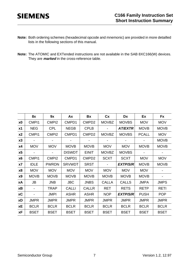- **Note:** Both ordering schemes (hexadecimal opcode and mnemonic) are provided in more detailled lists in the following sections of this manual.
- **Note:** The ATOMIC and EXTended instructions are not available in the SAB 8XC166(W) devices. They are **marked** in the cross-reference table.

|                | 8x                | 9x                | Ax            | Bx                | cx           | Dx              | Ex           | Fx          |
|----------------|-------------------|-------------------|---------------|-------------------|--------------|-----------------|--------------|-------------|
| x0             | CMP <sub>11</sub> | CMP <sub>12</sub> | CMPD1         | CMPD <sub>2</sub> | <b>MOVBZ</b> | <b>MOVBS</b>    | <b>MOV</b>   | <b>MOV</b>  |
| x <sub>1</sub> | <b>NEG</b>        | <b>CPL</b>        | <b>NEGB</b>   | <b>CPLB</b>       |              | <b>AT/EXTR</b>  | <b>MOVB</b>  | <b>MOVB</b> |
| x2             | CMP <sub>11</sub> | CMP <sub>12</sub> | CMPD1         | CMPD <sub>2</sub> | <b>MOVBZ</b> | <b>MOVBS</b>    | <b>PCALL</b> | <b>MOV</b>  |
| x3             |                   |                   |               |                   |              |                 |              | <b>MOVB</b> |
| x4             | <b>MOV</b>        | <b>MOV</b>        | <b>MOVB</b>   | <b>MOVB</b>       | <b>MOV</b>   | <b>MOV</b>      | <b>MOVB</b>  | <b>MOVB</b> |
| x5             |                   |                   | <b>DISWDT</b> | <b>EINIT</b>      | <b>MOVBZ</b> | <b>MOVBS</b>    |              |             |
| x <sub>6</sub> | CMP <sub>11</sub> | CMPI <sub>2</sub> | CMPD1         | CMPD <sub>2</sub> | <b>SCXT</b>  | <b>SCXT</b>     | <b>MOV</b>   | <b>MOV</b>  |
| x7             | <b>IDLE</b>       | <b>PWRDN</b>      | <b>SRVWDT</b> | <b>SRST</b>       |              | <b>EXTP/S/R</b> | <b>MOVB</b>  | <b>MOVB</b> |
| <b>x8</b>      | <b>MOV</b>        | <b>MOV</b>        | <b>MOV</b>    | <b>MOV</b>        | <b>MOV</b>   | <b>MOV</b>      | <b>MOV</b>   |             |
| <b>x9</b>      | <b>MOVB</b>       | <b>MOVB</b>       | <b>MOVB</b>   | <b>MOVB</b>       | <b>MOVB</b>  | <b>MOVB</b>     | <b>MOVB</b>  |             |
| хA             | JB                | <b>JNB</b>        | <b>JBC</b>    | <b>JNBS</b>       | <b>CALLA</b> | <b>CALLS</b>    | <b>JMPA</b>  | <b>JMPS</b> |
| хB             |                   | <b>TRAP</b>       | <b>CALLI</b>  | <b>CALLR</b>      | <b>RET</b>   | <b>RETS</b>     | <b>RETP</b>  | <b>RETI</b> |
| <b>xC</b>      |                   | <b>JMPI</b>       | <b>ASHR</b>   | <b>ASHR</b>       | <b>NOP</b>   | <b>EXTP/S/R</b> | <b>PUSH</b>  | <b>POP</b>  |
| хD             | <b>JMPR</b>       | <b>JMPR</b>       | <b>JMPR</b>   | <b>JMPR</b>       | <b>JMPR</b>  | <b>JMPR</b>     | <b>JMPR</b>  | <b>JMPR</b> |
| <b>xE</b>      | <b>BCLR</b>       | <b>BCLR</b>       | <b>BCLR</b>   | <b>BCLR</b>       | <b>BCLR</b>  | <b>BCLR</b>     | <b>BCLR</b>  | <b>BCLR</b> |
| хF             | <b>BSET</b>       | <b>BSET</b>       | <b>BSET</b>   | <b>BSET</b>       | <b>BSET</b>  | <b>BSET</b>     | <b>BSET</b>  | <b>BSET</b> |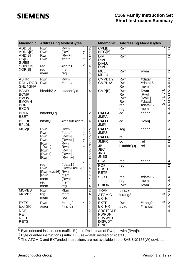| <b>Mnemonic</b>                                                                   |                                      | <b>Addressing ModesBytes</b>             |                                                                      | <b>Mnemonic</b>                                                                    |                                        | <b>Addressing ModesBytes</b>                         |                            |                                                |
|-----------------------------------------------------------------------------------|--------------------------------------|------------------------------------------|----------------------------------------------------------------------|------------------------------------------------------------------------------------|----------------------------------------|------------------------------------------------------|----------------------------|------------------------------------------------|
| ADD[B]<br>ADDC[B]<br>AND[B]                                                       | Rwn<br>Rwn<br>Rwn                    | 1)<br>Rwm<br>1)<br>[Rwi]<br>1)<br>[Rwi+] | $\overline{c}$<br>$\overline{2}$<br>$\overline{2}$                   | CPL[B]<br>NEG[B]<br><b>DIV</b>                                                     | Rwn<br>Rwn                             |                                                      | 1)                         | $\overline{2}$<br>2                            |
| OR[B]<br><b>SUB[B]</b><br>SUBC[B]                                                 | Rwn<br>reg                           | 1)<br>#data3<br>2)<br>#data16            | $\overline{2}$<br>4                                                  | <b>DIVL</b><br><b>DIVLU</b><br><b>DIVU</b>                                         |                                        |                                                      |                            |                                                |
| XOR[B]                                                                            | reg<br>mem                           | mem<br>reg                               | 4<br>4                                                               | <b>MUL</b><br><b>MULU</b>                                                          | Rwn                                    | Rwm                                                  |                            | $\overline{2}$                                 |
| <b>ASHR</b><br>ROL / ROR<br>SHL / SHR                                             | Rwn<br>Rwn                           | Rwm<br>#data4                            | $\overline{2}$<br>$\overline{2}$                                     | CMPD1/2<br><b>CMPI1/2</b>                                                          | Rwn<br>Rwn<br>Rwn                      | #data4<br>#data16<br>mem                             |                            | $\overline{2}$<br>4<br>$\overline{\mathbf{4}}$ |
| <b>BAND</b><br><b>BCMP</b><br><b>BMOV</b><br><b>BMOVN</b><br>BOR /<br><b>BXOR</b> | bitaddrZ.z                           | bitaddrQ.q                               | 4                                                                    | CMP[B]                                                                             | Rwn<br>Rwn<br>Rwn<br>Rwn<br>reg<br>reg | Rwm<br>[Rwi]<br>$[Rwi+]$<br>#data3<br>#data16<br>mem | 1)<br>1)<br>1)<br>1)<br>2) | $\frac{2}{2}$<br>$\frac{2}{4}$<br>4            |
| <b>BCLR</b><br><b>BSET</b>                                                        | bitaddrQ.q                           |                                          | $\overline{2}$                                                       | <b>CALLA</b><br><b>JMPA</b>                                                        | cc                                     | caddr                                                |                            | $\overline{4}$                                 |
| <b>BFLDH</b><br><b>BFLDL</b>                                                      | <b>bitoffQ</b>                       | #mask8 #data8                            | $\overline{4}$                                                       | <b>CALLI</b><br><b>JMPI</b>                                                        | cc                                     | [Rwn]                                                |                            | $\overline{2}$                                 |
| MOV[B]                                                                            | Rwn<br>Rwn                           | 1)<br>Rwm<br>1)<br>#data4                | $\mathbf{2}$<br>$\overline{2}$                                       | CALLS<br><b>JMPS</b>                                                               | seg                                    | caddr                                                |                            | $\overline{4}$                                 |
|                                                                                   | Rwn<br><b>Rwn</b>                    | 1)<br>[Rwm]<br>1)                        | $\overline{2}$<br>$\overline{2}$                                     | <b>CALLR</b>                                                                       | rel                                    |                                                      |                            | $\mathbf{2}$                                   |
|                                                                                   | [Rwm]                                | [Rwm+]<br>1)<br>Rwn                      | $\overline{2}$                                                       | <b>JMPR</b>                                                                        | cc                                     | rel                                                  |                            | $\overline{2}$                                 |
|                                                                                   | [-Rwm]<br>[Rwn]<br>$[Rwn+]$<br>[Rwn] | 1)<br>Rwn<br>[Rwm]<br>[Rwm]<br>[Rwm+]    | $\overline{2}$<br>$\overline{2}$<br>$\overline{2}$<br>$\overline{2}$ | <b>JB</b><br><b>JBC</b><br><b>JNB</b><br><b>JNBS</b>                               | bitaddrQ.q                             | rel                                                  |                            | $\overline{4}$                                 |
|                                                                                   |                                      | 2)                                       |                                                                      | <b>PCALL</b>                                                                       | reg                                    | caddr                                                |                            | 4                                              |
|                                                                                   | reg<br>Rwn<br>[Rwm+#d16] Rwn         | #data16<br>1)<br>[Rwm+#d16]<br>1)        | 4<br>$\overline{4}$<br>4                                             | <b>POP</b><br><b>PUSH</b><br><b>RETP</b>                                           | reg                                    |                                                      |                            | $\overline{2}$                                 |
|                                                                                   | [Rwn]<br>mem                         | mem<br>[Rwn]<br>mem                      | 4<br>4<br>4                                                          | <b>SCXT</b>                                                                        | reg<br>reg                             | #data16<br>mem                                       |                            | 4<br>$\overline{\mathbf{4}}$                   |
|                                                                                   | reg<br>mem                           | reg                                      | 4                                                                    | <b>PRIOR</b>                                                                       | Rwn                                    | Rwm                                                  |                            | $\overline{2}$                                 |
| <b>MOVBS</b>                                                                      | Rwn                                  | Rbm                                      | $\overline{2}$                                                       | <b>TRAP</b>                                                                        | #trap7                                 |                                                      |                            | $\overline{2}$                                 |
| <b>MOVBZ</b>                                                                      | reg<br>mem                           | mem<br>reg                               | 4<br>4                                                               | <b>ATOMIC</b><br><b>EXTR</b>                                                       | #irang2                                |                                                      | 3)                         | $\overline{2}$                                 |
| <b>EXTS</b><br><b>EXTSR</b>                                                       | Rwm<br>#seg                          | 3)<br>#irang2<br>#irang2                 | $\overline{2}$<br>4                                                  | <b>EXTP</b><br><b>EXTPR</b>                                                        | Rwm<br>$#$ pag                         | #irang2<br>#irang2                                   | 3)                         | $\overline{2}$<br>4                            |
| <b>NOP</b><br><b>RET</b><br><b>RETI</b><br><b>RETS</b>                            |                                      |                                          | $\overline{2}$                                                       | <b>SRST/IDLE</b><br><b>PWRDN</b><br><b>SRVWDT</b><br><b>DISWDT</b><br><b>EINIT</b> |                                        |                                                      |                            | $\overline{4}$                                 |

<sup>1)</sup> Byte oriented instructions (suffix 'B') use Rb instead of Rw (not with [Rwn]!).

<sup>2)</sup> Byte oriented instructions (suffix 'B') use #data8 instead of #data16.

 $3)$  The ATOMIC and EXTended instructions are not available in the SAB 8XC166(W) devices.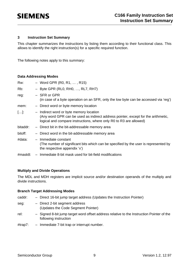#### **3 Instruction Set Summary**

This chapter summarizes the instructions by listing them according to their functional class. This allows to identify the right instruction(s) for a specific required function.

The following notes apply to this summary:

#### **Data Addressing Modes**

| Rw:      | $-$ Word GPR (R0, R1, , R15)                                                                                                                                                                       |
|----------|----------------------------------------------------------------------------------------------------------------------------------------------------------------------------------------------------|
| Rb:      | $-$ Byte GPR (RL0, RH0, , RL7, RH7)                                                                                                                                                                |
| reg:     | - SFR or GPR<br>(in case of a byte operation on an SFR, only the low byte can be accessed via 'reg')                                                                                               |
| mem:     | - Direct word or byte memory location                                                                                                                                                              |
| []       | - Indirect word or byte memory location<br>(Any word GPR can be used as indirect address pointer, except for the arithmetic,<br>logical and compare instructions, where only R0 to R3 are allowed) |
| bitaddr: | - Direct bit in the bit-addressable memory area                                                                                                                                                    |
| bitoff:  | - Direct word in the bit-addressable memory area                                                                                                                                                   |
| #data:   | - Immediate constant<br>(The number of significant bits which can be specified by the user is represented by<br>the respective appendix 'x')                                                       |
| #mask8:  | - Immediate 8-bit mask used for bit-field modifications                                                                                                                                            |

#### **Multiply and Divide Operations**

The MDL and MDH registers are implicit source and/or destination operands of the multiply and divide instructions.

#### **Branch Target Addressing Modes**

| caddr:          | - Direct 16-bit jump target address (Updates the Instruction Pointer)                                              |
|-----------------|--------------------------------------------------------------------------------------------------------------------|
| seg:            | - Direct 2-bit segment address<br>(Updates the Code Segment Pointer)                                               |
| rel:            | - Signed 8-bit jump target word offset address relative to the Instruction Pointer of the<br>following instruction |
| $H + r \sim 7.$ | $lmmod;$ d $\tau$ a 7 bit tran ar intarrunt number                                                                 |

#trap7: – Immediate 7-bit trap or interrupt number.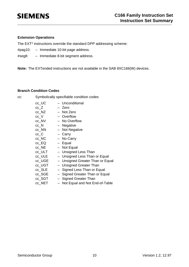#### **Extension Operations**

The EXT\* instructions override the standard DPP addressing scheme:

- #pag10: Immediate 10-bit page address.
- #seg8: Immediate 8-bit segment address.

**Note:** The EXTended instructions are not available in the SAB 8XC166(W) devices.

#### **Branch Condition Codes**

cc: Symbolically specifiable condition codes

| cc_UC                 | - Unconditional                  |
|-----------------------|----------------------------------|
| $cc_Z$                | - Zero                           |
| cc_NZ                 | - Not Zero                       |
| $cc_{V}$              | - Overflow                       |
| cc_NV                 | - No Overflow                    |
| $cc_N$                | - Negative                       |
| cc_NN                 | - Not Negative                   |
| $cc$ <sub>_</sub> $C$ | - Carry                          |
| cc_NC                 | - No Carry                       |
| $cc$ _EQ              | - Equal                          |
| cc NE                 | - Not Equal                      |
| cc_ULT                | - Unsigned Less Than             |
| cc_ULE                | - Unsigned Less Than or Equal    |
| cc_UGE                | - Unsigned Greater Than or Equal |
| cc_UGT                | - Unsigned Greater Than          |
| cc_SLE                | - Signed Less Than or Equal      |
| cc_SGE                | - Signed Greater Than or Equal   |
| cc_SGT                | - Signed Greater Than            |
| cc_NET                | Not Equal and Not End-of-Table   |
|                       |                                  |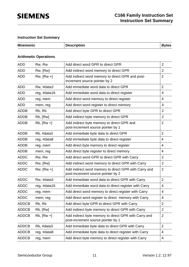### **Instruction Set Summary**

| <b>Mnemonic</b> | <b>Description</b> | <b>Bytes</b> |
|-----------------|--------------------|--------------|
|                 |                    |              |

#### **Arithmetic Operations**

| <b>ADD</b>   | Rw, Rw          | Add direct word GPR to direct GPR                                                           | $\overline{2}$ |
|--------------|-----------------|---------------------------------------------------------------------------------------------|----------------|
| <b>ADD</b>   | Rw, [Rw]        | Add indirect word memory to direct GPR                                                      | $\overline{2}$ |
| <b>ADD</b>   | $Rw$ , $[Rw +]$ | Add indirect word memory to direct GPR and post-<br>increment source pointer by 2           | $\overline{2}$ |
| <b>ADD</b>   | Rw, #data3      | Add immediate word data to direct GPR                                                       | $\overline{2}$ |
| <b>ADD</b>   | reg, #data16    | Add immediate word data to direct register                                                  | 4              |
| <b>ADD</b>   | reg, mem        | Add direct word memory to direct register                                                   | 4              |
| <b>ADD</b>   | mem, reg        | Add direct word register to direct memory                                                   | 4              |
| <b>ADDB</b>  | Rb, Rb          | Add direct byte GPR to direct GPR                                                           | $\overline{2}$ |
| <b>ADDB</b>  | Rb, [Rw]        | Add indirect byte memory to direct GPR                                                      | $\overline{2}$ |
| <b>ADDB</b>  | $Rb$ , $[Rw +]$ | Add indirect byte memory to direct GPR and<br>post-increment source pointer by 1            | $\overline{2}$ |
| <b>ADDB</b>  | Rb, #data3      | Add immediate byte data to direct GPR                                                       | $\overline{2}$ |
| <b>ADDB</b>  | reg, #data8     | Add immediate byte data to direct register                                                  | 4              |
| <b>ADDB</b>  | reg, mem        | Add direct byte memory to direct register                                                   | 4              |
| <b>ADDB</b>  | mem, reg        | Add direct byte register to direct memory                                                   | 4              |
| <b>ADDC</b>  | Rw, Rw          | Add direct word GPR to direct GPR with Carry                                                | 2              |
| <b>ADDC</b>  | Rw, [Rw]        | Add indirect word memory to direct GPR with Carry                                           | $\overline{2}$ |
| <b>ADDC</b>  | $Rw$ , $[Rw +]$ | Add indirect word memory to direct GPR with Carry and<br>post-increment source pointer by 2 | $\overline{2}$ |
| <b>ADDC</b>  | Rw, #data3      | Add immediate word data to direct GPR with Carry                                            | $\overline{2}$ |
| <b>ADDC</b>  | reg, #data16    | Add immediate word data to direct register with Carry                                       | 4              |
| <b>ADDC</b>  | reg, mem        | Add direct word memory to direct register with Carry                                        | 4              |
| <b>ADDC</b>  | mem, reg        | Add direct word register to direct memory with Carry                                        | 4              |
| <b>ADDCB</b> | Rb, Rb          | Add direct byte GPR to direct GPR with Carry                                                | $\overline{2}$ |
| <b>ADDCB</b> | Rb, [Rw]        | Add indirect byte memory to direct GPR with Carry                                           | 2              |
| <b>ADDCB</b> | $Rb$ , $[Rw +]$ | Add indirect byte memory to direct GPR with Carry and<br>post-increment source pointer by 1 | $\overline{2}$ |
| <b>ADDCB</b> | Rb, #data3      | Add immediate byte data to direct GPR with Carry                                            | $\overline{2}$ |
| <b>ADDCB</b> | reg, #data8     | Add immediate byte data to direct register with Carry                                       | 4              |
| <b>ADDCB</b> | reg, mem        | Add direct byte memory to direct register with Carry                                        | 4              |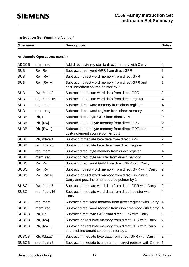| <b>Mnemonic</b> | <b>Description</b> | <b>Bytes</b> |
|-----------------|--------------------|--------------|
|                 |                    |              |

### **Arithmetic Operations** (cont'd)

| <b>ADDCB</b> | mem, reg        | Add direct byte register to direct memory with Carry                                               | 4                        |
|--------------|-----------------|----------------------------------------------------------------------------------------------------|--------------------------|
| <b>SUB</b>   | Rw, Rw          | Subtract direct word GPR from direct GPR                                                           | $\overline{2}$           |
| <b>SUB</b>   | Rw, [Rw]        | Subtract indirect word memory from direct GPR                                                      | $\overline{2}$           |
| <b>SUB</b>   | $Rw$ , $[Rw +]$ | Subtract indirect word memory from direct GPR and<br>post-increment source pointer by 2            | $\overline{2}$           |
| <b>SUB</b>   | Rw, #data3      | Subtract immediate word data from direct GPR                                                       | $\overline{2}$           |
| <b>SUB</b>   | reg, #data16    | Subtract immediate word data from direct register                                                  | 4                        |
| <b>SUB</b>   | reg, mem        | Subtract direct word memory from direct register                                                   | 4                        |
| <b>SUB</b>   | mem, reg        | Subtract direct word register from direct memory                                                   | 4                        |
| <b>SUBB</b>  | Rb, Rb          | Subtract direct byte GPR from direct GPR                                                           | $\overline{2}$           |
| <b>SUBB</b>  | Rb, [Rw]        | Subtract indirect byte memory from direct GPR                                                      | $\overline{2}$           |
| <b>SUBB</b>  | $Rb$ , $[Rw +]$ | Subtract indirect byte memory from direct GPR and<br>post-increment source pointer by 1            | $\overline{2}$           |
| <b>SUBB</b>  | Rb, #data3      | Subtract immediate byte data from direct GPR                                                       | $\overline{2}$           |
| <b>SUBB</b>  | reg, #data8     | Subtract immediate byte data from direct register                                                  | 4                        |
| <b>SUBB</b>  | reg, mem        | Subtract direct byte memory from direct register                                                   | $\overline{4}$           |
| <b>SUBB</b>  | mem, reg        | Subtract direct byte register from direct memory                                                   | 4                        |
| <b>SUBC</b>  | Rw, Rw          | Subtract direct word GPR from direct GPR with Carry                                                | $\overline{2}$           |
| <b>SUBC</b>  | Rw, [Rw]        | Subtract indirect word memory from direct GPR with Carry                                           | $\overline{2}$           |
| <b>SUBC</b>  | $Rw$ , $[Rw +]$ | Subtract indirect word memory from direct GPR with<br>Carry and post-increment source pointer by 2 | $\overline{2}$           |
| <b>SUBC</b>  | Rw, #data3      | Subtract immediate word data from direct GPR with Carry                                            | $\overline{2}$           |
| <b>SUBC</b>  | reg, #data16    | Subtract immediate word data from direct register with<br>Carry                                    | 4                        |
| <b>SUBC</b>  | reg, mem        | Subtract direct word memory from direct register with Carry                                        | 4                        |
| <b>SUBC</b>  | mem, reg        | Subtract direct word register from direct memory with Carry                                        | 4                        |
| <b>SUBCB</b> | Rb, Rb          | Subtract direct byte GPR from direct GPR with Carry                                                | $\overline{2}$           |
| <b>SUBCB</b> | Rb, [Rw]        | Subtract indirect byte memory from direct GPR with Carry                                           | $\overline{2}$           |
| <b>SUBCB</b> | $Rb$ , $[Rw +]$ | Subtract indirect byte memory from direct GPR with Carry<br>and post-increment source pointer by 1 | $\overline{2}$           |
| <b>SUBCB</b> | Rb, #data3      | Subtract immediate byte data from direct GPR with Carry                                            | $\overline{2}$           |
| <b>SUBCB</b> | reg, #data8     | Subtract immediate byte data from direct register with Carry                                       | $\overline{\mathcal{A}}$ |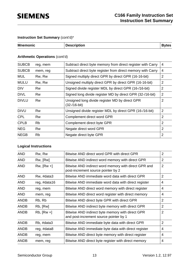| <b>Mnemonic</b> | <b>Description</b> | <b>Bytes</b> |
|-----------------|--------------------|--------------|
|                 |                    |              |

#### **Arithmetic Operations** (cont'd)

| <b>SUBCB</b> | reg, mem  | Subtract direct byte memory from direct register with Carry      | 4              |
|--------------|-----------|------------------------------------------------------------------|----------------|
| <b>SUBCB</b> | mem, reg  | Subtract direct byte register from direct memory with Carry      | 4              |
| <b>MUL</b>   | Rw, Rw    | Signed multiply direct GPR by direct GPR (16-16-bit)             | 2              |
| <b>MULU</b>  | Rw, Rw    | Unsigned multiply direct GPR by direct GPR (16-16-bit)           | $\overline{2}$ |
| <b>DIV</b>   | Rw        | Signed divide register MDL by direct GPR (16-/16-bit)            | $\overline{2}$ |
| <b>DIVL</b>  | Rw        | Signed long divide register MD by direct GPR (32-/16-bit)        | $\overline{2}$ |
| <b>DIVLU</b> | Rw        | Unsigned long divide register MD by direct GPR<br>$(32-/16-bit)$ | $\overline{2}$ |
| <b>DIVU</b>  | <b>Rw</b> | Unsigned divide register MDL by direct GPR (16-/16-bit)          | $\overline{2}$ |
| <b>CPL</b>   | Rw        | Complement direct word GPR                                       | 2              |
| <b>CPLB</b>  | <b>Rb</b> | Complement direct byte GPR                                       | 2              |
| <b>NEG</b>   | <b>Rw</b> | Negate direct word GPR                                           | 2              |
| <b>NEGB</b>  | <b>Rb</b> | Negate direct byte GPR                                           | $\overline{2}$ |
|              |           |                                                                  |                |

### **Logical Instructions**

| <b>AND</b>  | Rw, Rw          | Bitwise AND direct word GPR with direct GPR                                                | $\overline{2}$ |
|-------------|-----------------|--------------------------------------------------------------------------------------------|----------------|
| <b>AND</b>  | Rw, [Rw]        | Bitwise AND indirect word memory with direct GPR                                           | $\overline{2}$ |
| <b>AND</b>  | $Rw$ , $[Rw +]$ | Bitwise AND indirect word memory with direct GPR and<br>post-increment source pointer by 2 | 2              |
| <b>AND</b>  | Rw, #data3      | Bitwise AND immediate word data with direct GPR                                            | $\overline{2}$ |
| <b>AND</b>  | reg, #data16    | Bitwise AND immediate word data with direct register                                       | 4              |
| <b>AND</b>  | reg, mem        | Bitwise AND direct word memory with direct register                                        | 4              |
| <b>AND</b>  | mem, reg        | Bitwise AND direct word register with direct memory                                        | 4              |
| <b>ANDB</b> | Rb, Rb          | Bitwise AND direct byte GPR with direct GPR                                                | $\overline{2}$ |
| <b>ANDB</b> | Rb, [Rw]        | Bitwise AND indirect byte memory with direct GPR                                           | $\overline{2}$ |
| <b>ANDB</b> | $Rb$ , $[Rw +]$ | Bitwise AND indirect byte memory with direct GPR<br>and post-increment source pointer by 1 | $\overline{2}$ |
| <b>ANDB</b> | Rb, #data3      | Bitwise AND immediate byte data with direct GPR                                            | 2              |
| <b>ANDB</b> | reg, #data8     | Bitwise AND immediate byte data with direct register                                       | 4              |
| <b>ANDB</b> | reg, mem        | Bitwise AND direct byte memory with direct register                                        | 4              |
| <b>ANDB</b> | mem, reg        | Bitwise AND direct byte register with direct memory                                        | 4              |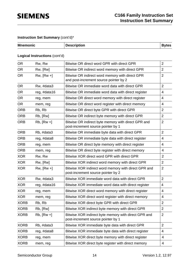| <b>Mnemonic</b> | <b>Description</b> | <b>Bytes</b> |
|-----------------|--------------------|--------------|
|                 |                    |              |

#### **Logical Instructions** (cont'd)

| <b>OR</b>   | Rw, Rw          | Bitwise OR direct word GPR with direct GPR                                                 | $\overline{2}$ |
|-------------|-----------------|--------------------------------------------------------------------------------------------|----------------|
| <b>OR</b>   | Rw, [Rw]        | Bitwise OR indirect word memory with direct GPR                                            | $\overline{2}$ |
| <b>OR</b>   | $Rw$ , $[Rw +]$ | Bitwise OR indirect word memory with direct GPR<br>and post-increment source pointer by 2  | $\overline{2}$ |
| <b>OR</b>   | Rw, #data3      | Bitwise OR immediate word data with direct GPR                                             | $\overline{2}$ |
| <b>OR</b>   | reg, #data16    | Bitwise OR immediate word data with direct register                                        | 4              |
| <b>OR</b>   | reg, mem        | Bitwise OR direct word memory with direct register                                         | 4              |
| <b>OR</b>   | mem, reg        | Bitwise OR direct word register with direct memory                                         | 4              |
| <b>ORB</b>  | Rb, Rb          | Bitwise OR direct byte GPR with direct GPR                                                 | $\overline{2}$ |
| <b>ORB</b>  | Rb, [Rw]        | Bitwise OR indirect byte memory with direct GPR                                            | $\overline{2}$ |
| <b>ORB</b>  | $Rb$ , $[Rw +]$ | Bitwise OR indirect byte memory with direct GPR and<br>post-increment source pointer by 1  | $\overline{2}$ |
| <b>ORB</b>  | Rb, #data3      | Bitwise OR immediate byte data with direct GPR                                             | $\overline{2}$ |
| <b>ORB</b>  | reg, #data8     | Bitwise OR immediate byte data with direct register                                        | $\overline{4}$ |
| <b>ORB</b>  | reg, mem        | Bitwise OR direct byte memory with direct register                                         | 4              |
| <b>ORB</b>  | mem, reg        | Bitwise OR direct byte register with direct memory                                         | 4              |
| <b>XOR</b>  | Rw, Rw          | Bitwise XOR direct word GPR with direct GPR                                                | $\overline{2}$ |
| <b>XOR</b>  | Rw, [Rw]        | Bitwise XOR indirect word memory with direct GPR                                           | $\overline{2}$ |
| <b>XOR</b>  | $Rw$ , $[Rw +]$ | Bitwise XOR indirect word memory with direct GPR and<br>post-increment source pointer by 2 | $\overline{2}$ |
| <b>XOR</b>  | Rw, #data3      | Bitwise XOR immediate word data with direct GPR                                            | $\overline{2}$ |
| <b>XOR</b>  | reg, #data16    | Bitwise XOR immediate word data with direct register                                       | 4              |
| <b>XOR</b>  | reg, mem        | Bitwise XOR direct word memory with direct register                                        | 4              |
| <b>XOR</b>  | mem, reg        | Bitwise XOR direct word register with direct memory                                        | 4              |
| <b>XORB</b> | Rb, Rb          | Bitwise XOR direct byte GPR with direct GPR                                                | $\overline{2}$ |
| <b>XORB</b> | Rb, [Rw]        | Bitwise XOR indirect byte memory with direct GPR                                           | $\overline{2}$ |
| <b>XORB</b> | $Rb$ , $[Rw +]$ | Bitwise XOR indirect byte memory with direct GPR and<br>post-increment source pointer by 1 | $\overline{2}$ |
| <b>XORB</b> | Rb, #data3      | Bitwise XOR immediate byte data with direct GPR                                            | $\overline{2}$ |
| <b>XORB</b> | reg, #data8     | Bitwise XOR immediate byte data with direct register                                       | 4              |
| <b>XORB</b> | reg, mem        | Bitwise XOR direct byte memory with direct register                                        | 4              |
| <b>XORB</b> | mem, reg        | Bitwise XOR direct byte register with direct memory                                        | 4              |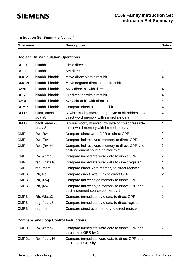| <b>Mnemonic</b> | <b>Description</b> | <b>B</b> vtes |
|-----------------|--------------------|---------------|
|                 |                    |               |

#### **Boolean Bit Manipulation Operations**

| <b>BCLR</b>  | bitaddr                   | Clear direct bit                                                                             | $\overline{2}$          |
|--------------|---------------------------|----------------------------------------------------------------------------------------------|-------------------------|
| <b>BSET</b>  | bitaddr                   | Set direct bit                                                                               | $\overline{2}$          |
| <b>BMOV</b>  | bitaddr, bitaddr          | Move direct bit to direct bit                                                                | $\overline{4}$          |
| <b>BMOVN</b> | bitaddr, bitaddr          | Move negated direct bit to direct bit                                                        | $\overline{4}$          |
| <b>BAND</b>  | bitaddr, bitaddr          | AND direct bit with direct bit                                                               | $\overline{4}$          |
| <b>BOR</b>   | bitaddr, bitaddr          | OR direct bit with direct bit                                                                | 4                       |
| <b>BXOR</b>  | bitaddr, bitaddr          | XOR direct bit with direct bit                                                               | $\overline{\mathbf{4}}$ |
| <b>BCMP</b>  | bitaddr, bitaddr          | Compare direct bit to direct bit                                                             | 4                       |
| <b>BFLDH</b> | bitoff, #mask8,<br>#data8 | Bitwise modify masked high byte of bit-addressable<br>direct word memory with immediate data | $\overline{4}$          |
| <b>BFLDL</b> | bitoff, #mask8,<br>#data8 | Bitwise modify masked low byte of bit-addressable<br>direct word memory with immediate data  | $\overline{4}$          |
| <b>CMP</b>   | Rw, Rw                    | Compare direct word GPR to direct GPR                                                        | $\overline{2}$          |
| <b>CMP</b>   | Rw, [Rw]                  | Compare indirect word memory to direct GPR                                                   | $\overline{2}$          |
| <b>CMP</b>   | $Rw$ , $[Rw +]$           | Compare indirect word memory to direct GPR and<br>post-increment source pointer by 2         | $\overline{2}$          |
| <b>CMP</b>   | Rw, #data3                | Compare immediate word data to direct GPR                                                    | $\overline{2}$          |
| <b>CMP</b>   | reg, #data16              | Compare immediate word data to direct register                                               | $\overline{4}$          |
| <b>CMP</b>   | reg, mem                  | Compare direct word memory to direct register                                                | 4                       |
| <b>CMPB</b>  | Rb, Rb                    | Compare direct byte GPR to direct GPR                                                        | $\overline{2}$          |
| <b>CMPB</b>  | Rb, [Rw]                  | Compare indirect byte memory to direct GPR                                                   | $\overline{2}$          |
| <b>CMPB</b>  | $Rb$ , $[Rw +]$           | Compare indirect byte memory to direct GPR and<br>post-increment source pointer by 1         | $\overline{2}$          |
| <b>CMPB</b>  | Rb, #data3                | Compare immediate byte data to direct GPR                                                    | $\overline{2}$          |
| <b>CMPB</b>  | reg, #data8               | Compare immediate byte data to direct register                                               | $\overline{4}$          |
| <b>CMPB</b>  | reg, mem                  | Compare direct byte memory to direct register                                                | 4                       |

### **Compare and Loop Control Instructions**

| CMPD1 | Rw, #data4  | Compare immediate word data to direct GPR and<br>decrement GPR by 1 |   |
|-------|-------------|---------------------------------------------------------------------|---|
| CMPD1 | Rw, #data16 | Compare immediate word data to direct GPR and<br>decrement GPR by 1 | 4 |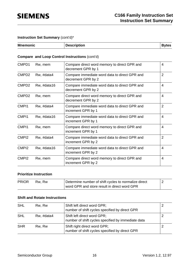| <b>Mnemonic</b> | <b>Description</b> | <b>Bytes</b> |
|-----------------|--------------------|--------------|
|                 |                    |              |

### **Compare and Loop Control Instructions** (cont'd)

| CMPD1             | Rw, mem     | Compare direct word memory to direct GPR and<br>decrement GPR by 1  | 4              |
|-------------------|-------------|---------------------------------------------------------------------|----------------|
| CMPD <sub>2</sub> | Rw, #data4  | Compare immediate word data to direct GPR and<br>decrement GPR by 2 | $\overline{2}$ |
| CMPD <sub>2</sub> | Rw, #data16 | Compare immediate word data to direct GPR and<br>decrement GPR by 2 | 4              |
| CMPD <sub>2</sub> | Rw, mem     | Compare direct word memory to direct GPR and<br>decrement GPR by 2  | 4              |
| CMP <sub>11</sub> | Rw, #data4  | Compare immediate word data to direct GPR and<br>increment GPR by 1 | $\overline{2}$ |
| CMP <sub>11</sub> | Rw, #data16 | Compare immediate word data to direct GPR and<br>increment GPR by 1 | 4              |
| CMP <sub>11</sub> | Rw, mem     | Compare direct word memory to direct GPR and<br>increment GPR by 1  | $\overline{4}$ |
| CMP <sub>12</sub> | Rw, #data4  | Compare immediate word data to direct GPR and<br>increment GPR by 2 | $\overline{2}$ |
| CMP <sub>12</sub> | Rw, #data16 | Compare immediate word data to direct GPR and<br>increment GPR by 2 | 4              |
| CMP <sub>12</sub> | Rw, mem     | Compare direct word memory to direct GPR and<br>increment GPR by 2  | 4              |

#### **Prioritize Instruction**

| <b>PRIOR</b> | Rw. Rw | Determine number of shift cycles to normalize direct |  |
|--------------|--------|------------------------------------------------------|--|
|              |        | word GPR and store result in direct word GPR         |  |

#### **Shift and Rotate Instructions**

| <b>SHL</b> | Rw, Rw     | Shift left direct word GPR;<br>number of shift cycles specified by direct GPR     |  |
|------------|------------|-----------------------------------------------------------------------------------|--|
| <b>SHL</b> | Rw, #data4 | Shift left direct word GPR;<br>number of shift cycles specified by immediate data |  |
| <b>SHR</b> | Rw, Rw     | Shift right direct word GPR;<br>number of shift cycles specified by direct GPR    |  |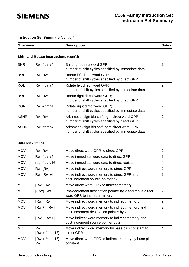| <b>Mnemonic</b> | <b>Description</b> | <b>Bytes</b> |
|-----------------|--------------------|--------------|
|                 |                    |              |

#### **Shift and Rotate Instructions (cont'd)**

| <b>SHR</b>  | Rw, #data4 | Shift right direct word GPR;<br>number of shift cycles specified by immediate data                       | $\overline{2}$ |
|-------------|------------|----------------------------------------------------------------------------------------------------------|----------------|
| <b>ROL</b>  | Rw, Rw     | Rotate left direct word GPR;<br>number of shift cycles specified by direct GPR                           | $\overline{2}$ |
| <b>ROL</b>  | Rw, #data4 | Rotate left direct word GPR;<br>number of shift cycles specified by immediate data                       | 2              |
| <b>ROR</b>  | Rw, Rw     | Rotate right direct word GPR;<br>number of shift cycles specified by direct GPR                          | $\overline{2}$ |
| <b>ROR</b>  | Rw, #data4 | Rotate right direct word GPR;<br>number of shift cycles specified by immediate data                      | $\overline{2}$ |
| <b>ASHR</b> | Rw, Rw     | Arithmetic (sign bit) shift right direct word GPR;<br>number of shift cycles specified by direct GPR     | $\overline{2}$ |
| <b>ASHR</b> | Rw, #data4 | Arithmetic (sign bit) shift right direct word GPR;<br>number of shift cycles specified by immediate data | 2              |

#### **Data Movement**

| <b>MOV</b> | Rw, Rw                  | Move direct word GPR to direct GPR                                                          | $\overline{2}$ |
|------------|-------------------------|---------------------------------------------------------------------------------------------|----------------|
| <b>MOV</b> | Rw, #data4              | Move immediate word data to direct GPR                                                      | $\overline{2}$ |
| <b>MOV</b> | reg, #data16            | Move immediate word data to direct register                                                 | 4              |
| <b>MOV</b> | Rw, [Rw]                | Move indirect word memory to direct GPR                                                     | $\overline{2}$ |
| <b>MOV</b> | $Rw$ , $[Rw +]$         | Move indirect word memory to direct GPR and<br>post-increment source pointer by 2           | $\overline{2}$ |
| <b>MOV</b> | [Rw], Rw                | Move direct word GPR to indirect memory                                                     | 2              |
| <b>MOV</b> | $[-Rw]$ , $Rw$          | Pre-decrement destination pointer by 2 and move direct<br>word GPR to indirect memory       | $\overline{2}$ |
| <b>MOV</b> | [Rw], [Rw]              | Move indirect word memory to indirect memory                                                | $\overline{2}$ |
| <b>MOV</b> | $[Rw+]$ , $[Rw]$        | Move indirect word memory to indirect memory and<br>post-increment destination pointer by 2 | $\overline{2}$ |
| <b>MOV</b> | $[Rw], [Rw +]$          | Move indirect word memory to indirect memory and<br>post-increment source pointer by 2      | $\overline{2}$ |
| <b>MOV</b> | Rw,<br>$[Rw + #data16]$ | Move indirect word memory by base plus constant to<br>direct GPR                            | 4              |
| <b>MOV</b> | $[Rw + #data16],$<br>Rw | Move direct word GPR to indirect memory by base plus<br>constant                            | 4              |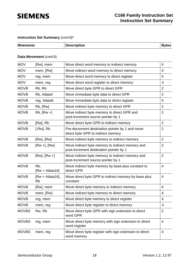| <b>Mnemonic</b> | <b>Description</b> |  |
|-----------------|--------------------|--|

### **Data Movement** (cont'd)

| <b>MOV</b>   | [Rw], mem                      | Move direct word memory to indirect memory                                                  | 4              |
|--------------|--------------------------------|---------------------------------------------------------------------------------------------|----------------|
| <b>MOV</b>   | mem, [Rw]                      | Move indirect word memory to direct memory                                                  | 4              |
| <b>MOV</b>   | reg, mem                       | Move direct word memory to direct register                                                  | 4              |
| <b>MOV</b>   | mem, reg                       | Move direct word register to direct memory                                                  | 4              |
| <b>MOVB</b>  | Rb, Rb                         | Move direct byte GPR to direct GPR                                                          | $\overline{2}$ |
| <b>MOVB</b>  | Rb, #data4                     | Move immediate byte data to direct GPR                                                      | $\overline{2}$ |
| <b>MOVB</b>  | reg, #data8                    | Move immediate byte data to direct register                                                 | 4              |
| <b>MOVB</b>  | Rb, [Rw]                       | Move indirect byte memory to direct GPR                                                     | $\overline{2}$ |
| <b>MOVB</b>  | $Rb$ , $[Rw +]$                | Move indirect byte memory to direct GPR and<br>post-increment source pointer by 1           | $\overline{2}$ |
| <b>MOVB</b>  | [Rw], Rb                       | Move direct byte GPR to indirect memory                                                     | $\overline{2}$ |
| <b>MOVB</b>  | $[-Rw]$ , $Rb$                 | Pre-decrement destination pointer by 1 and move<br>direct byte GPR to indirect memory       | 2              |
| <b>MOVB</b>  | [Rw], [Rw]                     | Move indirect byte memory to indirect memory                                                | $\overline{2}$ |
| <b>MOVB</b>  | $[Rw +]$ , $[Rw]$              | Move indirect byte memory to indirect memory and<br>post-increment destination pointer by 1 | $\overline{2}$ |
| <b>MOVB</b>  | $[Rw], [Rw +]$                 | Move indirect byte memory to indirect memory and<br>post-increment source pointer by 1      | $\overline{2}$ |
| <b>MOVB</b>  | Rb,<br>$[Rw + #data16]$        | Move indirect byte memory by base plus constant to<br>direct GPR                            | 4              |
| <b>MOVB</b>  | $[Rw + #data16],$<br><b>Rb</b> | Move direct byte GPR to indirect memory by base plus<br>constant                            | $\overline{4}$ |
| <b>MOVB</b>  | [Rw], mem                      | Move direct byte memory to indirect memory                                                  | 4              |
| <b>MOVB</b>  | mem, [Rw]                      | Move indirect byte memory to direct memory                                                  | 4              |
| <b>MOVB</b>  | reg, mem                       | Move direct byte memory to direct register                                                  | 4              |
| <b>MOVB</b>  | mem, reg                       | Move direct byte register to direct memory                                                  | 4              |
| <b>MOVBS</b> | Rw, Rb                         | Move direct byte GPR with sign extension to direct<br>word GPR                              | $\overline{2}$ |
| <b>MOVBS</b> | reg, mem                       | Move direct byte memory with sign extension to direct<br>word register                      | 4              |
| <b>MOVBS</b> | mem, reg                       | Move direct byte register with sign extension to direct<br>word memory                      | $\overline{4}$ |
|              |                                |                                                                                             |                |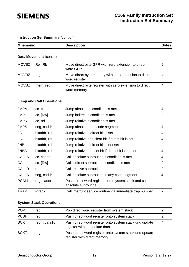| <b>Mnemonic</b> | <b>Description</b> | <b>Bytes</b> |
|-----------------|--------------------|--------------|
|-----------------|--------------------|--------------|

#### **Data Movement** (cont'd)

| <b>MOVBZ</b> | Rw, Rb   | Move direct byte GPR with zero extension to direct<br>word GPR         |   |
|--------------|----------|------------------------------------------------------------------------|---|
| <b>MOVBZ</b> | reg, mem | Move direct byte memory with zero extension to direct<br>word register | 4 |
| <b>MOVBZ</b> | mem, reg | Move direct byte register with zero extension to direct<br>word memory | 4 |

### **Jump and Call Operations**

| <b>JMPA</b>  | cc, caddr    | Jump absolute if condition is met                                           | 4              |
|--------------|--------------|-----------------------------------------------------------------------------|----------------|
| <b>JMPI</b>  | cc, [Rw]     | Jump indirect if condition is met                                           | $\overline{2}$ |
| <b>JMPR</b>  | cc, rel      | Jump relative if condition is met                                           | $\overline{2}$ |
| <b>JMPS</b>  | seg, caddr   | Jump absolute to a code segment                                             | 4              |
| JB           | bitaddr, rel | Jump relative if direct bit is set                                          | 4              |
| <b>JBC</b>   | bitaddr, rel | Jump relative and clear bit if direct bit is set                            | 4              |
| <b>JNB</b>   | bitaddr, rel | Jump relative if direct bit is not set                                      | 4              |
| <b>JNBS</b>  | bitaddr, rel | Jump relative and set bit if direct bit is not set                          | 4              |
| <b>CALLA</b> | cc, caddr    | Call absolute subroutine if condition is met                                | 4              |
| <b>CALLI</b> | cc, [Rw]     | Call indirect subroutine if condition is met                                | $\overline{2}$ |
| <b>CALLR</b> | rel          | Call relative subroutine                                                    | 2              |
| <b>CALLS</b> | seg, caddr   | Call absolute subroutine in any code segment                                | 4              |
| <b>PCALL</b> | reg, caddr   | Push direct word register onto system stack and call<br>absolute subroutine | 4              |
| <b>TRAP</b>  | #trap7       | Call interrupt service routine via immediate trap number                    | $\overline{2}$ |

#### **System Stack Operations**

| <b>POP</b>  | reg          | Pop direct word register from system stack                                             |   |
|-------------|--------------|----------------------------------------------------------------------------------------|---|
| <b>PUSH</b> | reg          | Push direct word register onto system stack                                            |   |
| <b>SCXT</b> | reg, #data16 | Push direct word register onto system stack und update<br>register with immediate data | 4 |
| <b>SCXT</b> | reg, mem     | Push direct word register onto system stack und update<br>register with direct memory  | 4 |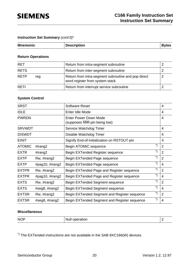| <b>Mnemonic</b> | <b>Description</b> | <b>Bytes</b> |
|-----------------|--------------------|--------------|
|                 |                    |              |

#### **Return Operations**

| <b>RET</b>         | Return from intra-segment subroutine                                                   |  |
|--------------------|----------------------------------------------------------------------------------------|--|
| <b>RETS</b>        | Return from inter-segment subroutine                                                   |  |
| <b>RETP</b><br>reg | Return from intra-segment subroutine and pop direct<br>word register from system stack |  |
| <b>RFTI</b>        | Return from interrupt service subroutine                                               |  |

#### **System Control**

| <b>SRST</b>   |                 | <b>Software Reset</b>                                          | 4              |
|---------------|-----------------|----------------------------------------------------------------|----------------|
| <b>IDLE</b>   |                 | Enter Idle Mode                                                | 4              |
| <b>PWRDN</b>  |                 | <b>Enter Power Down Mode</b><br>(supposes NMI-pin being low)   | 4              |
| <b>SRVWDT</b> |                 | Service Watchdog Timer                                         | 4              |
| <b>DISWDT</b> |                 | Disable Watchdog Timer                                         | 4              |
| <b>EINIT</b>  |                 | Signify End-of-Initialization on RSTOUT-pin                    | 4              |
| <b>ATOMIC</b> | #irang2         | $\boldsymbol{r})$<br>Begin ATOMIC sequence                     | $\overline{2}$ |
| <b>EXTR</b>   | #irang2         | $\boldsymbol{^{*}})$<br>Begin EXTended Register sequence       | $\overline{2}$ |
| <b>EXTP</b>   | Rw, #irang2     | *)<br>Begin EXTended Page sequence                             | $\overline{2}$ |
| <b>EXTP</b>   | #pag10, #irang2 | *)<br>Begin EXTended Page sequence                             | $\overline{4}$ |
| <b>EXTPR</b>  | Rw, #irang2     | $\boldsymbol{r})$<br>Begin EXTended Page and Register sequence | $\overline{2}$ |
| <b>EXTPR</b>  | #pag10, #irang2 | *)<br>Begin EXTended Page and Register sequence                | 4              |
| <b>EXTS</b>   | Rw, #irang2     | *)<br>Begin EXTended Segment sequence                          | $\overline{2}$ |
| <b>EXTS</b>   | #seg8, #irang2  | *)<br>Begin EXTended Segment sequence                          | 4              |
| <b>EXTSR</b>  | Rw, #irang2     | *)<br>Begin EXTended Segment and Register sequence             | $\overline{2}$ |
| <b>EXTSR</b>  | #seg8, #irang2  | *)<br>Begin EXTended Segment and Register sequence             | 4              |

#### **Miscellaneous**

| <b>NOP</b> | ____ | <u>—</u> |
|------------|------|----------|
|            |      |          |

\*) The EXTended instructions are not available in the SAB 8XC166(W) devices.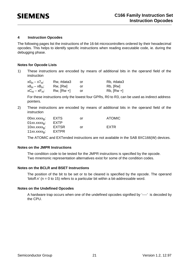#### **4 Instruction Opcodes**

The following pages list the instructions of the 16-bit microcontrollers ordered by their hexadecimal opcodes. This helps to identify specific instructions when reading executable code, ie. during the debugging phase.

#### **Notes for Opcode Lists**

1) These instructions are encoded by means of additional bits in the operand field of the instruction

| х0 <sub>н</sub> – х7 <sub>н</sub> : | Rw, #data3      | or | Rb, #data3   |
|-------------------------------------|-----------------|----|--------------|
| х8 <sub>н</sub> – хВ <sub>н</sub> : | Rw, [Rw]        | or | Rb, [Rw]     |
| хС <sub>н</sub> – хF <sub>н</sub> : | $Rw$ , $[Rw +]$ | or | $Rb, [Rw +]$ |

For these instructions only the lowest four GPRs, R0 to R3, can be used as indirect address pointers.

2) These instructions are encoded by means of additional bits in the operand field of the **instruction** 

| <b>EXTS</b>  | or | <b>ATOMIC</b> |
|--------------|----|---------------|
| <b>EXTP</b>  |    |               |
| <b>EXTSR</b> | or | <b>FXTR</b>   |
| <b>EXTPR</b> |    |               |
|              |    |               |

The ATOMIC and EXTended instructions are not available in the SAB 8XC166(W) devices.

#### **Notes on the JMPR Instructions**

The condition code to be tested for the JMPR instructions is specified by the opcode. Two mnemonic representation alternatives exist for some of the condition codes.

#### **Notes on the BCLR and BSET Instructions**

The position of the bit to be set or to be cleared is specified by the opcode. The operand 'bitoff.n'  $(n = 0$  to 15) refers to a particular bit within a bit-addressable word.

#### **Notes on the Undefined Opcodes**

A hardware trap occurs when one of the undefined opcodes signified by '----' is decoded by the CPU.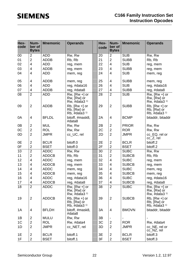| Hex-<br>code    | Num-<br>ber of<br><b>Bytes</b> | <b>Mnemonic</b> | <b>Operands</b>                                                 | Hex-<br>code | Num-<br>ber of<br><b>Bytes</b> | <b>Mnemonic</b> | <b>Operands</b>                                     |
|-----------------|--------------------------------|-----------------|-----------------------------------------------------------------|--------------|--------------------------------|-----------------|-----------------------------------------------------|
| 00              | $\overline{2}$                 | <b>ADD</b>      | Rw, Rw                                                          | 20           | 2                              | <b>SUB</b>      | Rw, Rw                                              |
| 01              | $\overline{2}$                 | <b>ADDB</b>     | Rb, Rb                                                          | 21           | $\overline{2}$                 | <b>SUBB</b>     | Rb, Rb                                              |
| 02              | $\overline{\mathbf{4}}$        | <b>ADD</b>      | reg, mem                                                        | 22           | 4                              | <b>SUB</b>      | reg, mem                                            |
| 03              | 4                              | <b>ADDB</b>     | reg, mem                                                        | 23           | 4                              | <b>SUBB</b>     | reg, mem                                            |
| 04              | 4                              | <b>ADD</b>      | mem, reg                                                        | 24           | 4                              | <b>SUB</b>      | mem, reg                                            |
| 05              | 4                              | <b>ADDB</b>     | mem, reg                                                        | 25           | 4                              | <b>SUBB</b>     | mem, reg                                            |
| 06              | 4                              | <b>ADD</b>      | reg, #data16                                                    | 26           | 4                              | <b>SUB</b>      | reg, #data16                                        |
| 07              | 4                              | <b>ADDB</b>     | reg, #data8                                                     | 27           | 4                              | <b>SUBB</b>     | reg, #data8                                         |
| $\overline{08}$ | $\overline{2}$                 | <b>ADD</b>      | $Rw$ , $[Rw +]$ or<br>Rw, [Rw] or<br>Rw, #data $31$             | 28           | $\overline{2}$                 | <b>SUB</b>      | $Rw$ , $[Rw +]$ or<br>Rw, [Rw] or<br>Rw, #data $31$ |
| 09              | $\overline{2}$                 | <b>ADDB</b>     | $Rb$ , $[Rw +]$ or<br>Rb, [Rw] or<br>Rb, $#data3$ <sup>1)</sup> | 29           | $\overline{2}$                 | <b>SUBB</b>     | $Rb$ , $[Rw +]$ or<br>Rb, [Rw] or<br>Rb, #data $31$ |
| 0A              | 4                              | <b>BFLDL</b>    | bitoff, #mask8,<br>#data8                                       | 2A           | 4                              | <b>BCMP</b>     | bitaddr, bitaddr                                    |
| 0B              | $\overline{\mathbf{c}}$        | <b>MUL</b>      | Rw, Rw                                                          | 2B           | $\overline{2}$                 | <b>PRIOR</b>    | Rw, Rw                                              |
| OC              | $\overline{2}$                 | <b>ROL</b>      | Rw, Rw                                                          | 2C           | $\overline{2}$                 | <b>ROR</b>      | Rw, Rw                                              |
| 0D              | $\overline{2}$                 | <b>JMPR</b>     | cc_UC, rel                                                      | 2D           | $\overline{2}$                 | <b>JMPR</b>     | cc_EQ, rel or<br>$cc_Z$ , rel                       |
| 0E              | $\overline{2}$                 | <b>BCLR</b>     | bitoff.0                                                        | 2E           | $\overline{c}$                 | <b>BCLR</b>     | bitoff.2                                            |
| 0F              | $\overline{2}$                 | <b>BSET</b>     | bitoff.0                                                        | 2F           | $\overline{2}$                 | <b>BSET</b>     | bitoff.2                                            |
| $\overline{10}$ | $\overline{2}$                 | <b>ADDC</b>     | Rw, Rw                                                          | 30           | $\overline{2}$                 | <b>SUBC</b>     | Rw, Rw                                              |
| 11              | $\overline{2}$                 | <b>ADDCB</b>    | Rb, Rb                                                          | 31           | $\overline{2}$                 | <b>SUBCB</b>    | Rb, Rb                                              |
| 12              | 4                              | <b>ADDC</b>     | reg, mem                                                        | 32           | 4                              | <b>SUBC</b>     | reg, mem                                            |
| 13              | 4                              | <b>ADDCB</b>    | reg, mem                                                        | 33           | 4                              | <b>SUBCB</b>    | reg, mem                                            |
| 14              | 4                              | <b>ADDC</b>     | mem, reg                                                        | 34           | 4                              | <b>SUBC</b>     | mem, reg                                            |
| 15              | 4                              | <b>ADDCB</b>    | mem, reg                                                        | 35           | 4                              | <b>SUBCB</b>    | mem, reg                                            |
| 16              | 4                              | <b>ADDC</b>     | reg, #data16                                                    | 36           | 4                              | <b>SUBC</b>     | reg, #data16                                        |
| 17              | 4                              | <b>ADDCB</b>    | reg, #data8                                                     | 37           | 4                              | <b>SUBCB</b>    | reg, #data8                                         |
| 18              | $\overline{2}$                 | <b>ADDC</b>     | $Rw$ , $[Rw +]$ or<br>Rw, [Rw] or<br>Rw, #data $31$             | 38           | $\overline{2}$                 | <b>SUBC</b>     | $Rw$ , $[Rw +]$ or<br>Rw, [Rw] or<br>Rw, #data $31$ |
| 19              | $\overline{2}$                 | <b>ADDCB</b>    | $Rb$ , $[Rw +]$ or<br>Rb, [Rw] or<br>Rb, #data $31$             | 39           | $\overline{2}$                 | <b>SUBCB</b>    | $Rb$ , $[Rw +]$ or<br>Rb, [Rw] or<br>Rb, #data $31$ |
| 1A              | 4                              | <b>BFLDH</b>    | bitoff, #mask8,<br>#data8                                       | 3A           | 4                              | <b>BMOVN</b>    | bitaddr, bitaddr                                    |
| 1B              | 2                              | <b>MULU</b>     | Rw, Rw                                                          | 3B           |                                |                 |                                                     |
| 1 <sup>C</sup>  | $\overline{2}$                 | <b>ROL</b>      | Rw, #data4                                                      | 3C           | $\overline{2}$                 | <b>ROR</b>      | Rw, #data4                                          |
| 1D              | $\overline{2}$                 | <b>JMPR</b>     | cc_NET, rel                                                     | 3D           | $\overline{2}$                 | <b>JMPR</b>     | cc_NE, rel or<br>cc_NZ, rel                         |
| 1E              | $\overline{c}$                 | <b>BCLR</b>     | bitoff.1                                                        | 3E           | $\overline{c}$                 | <b>BCLR</b>     | bitoff.3                                            |
| 1F              | $\overline{2}$                 | <b>BSET</b>     | bitoff.1                                                        | 3F           | $\overline{c}$                 | <b>BSET</b>     | bitoff.3                                            |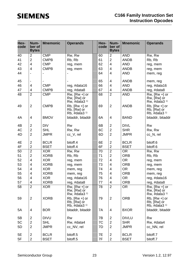| Hex-<br>code    | Num-<br>ber of<br><b>Bytes</b>   | <b>Mnemonic</b>            | <b>Operands</b>                                                 |    | Hex-<br>code   | Num-<br>ber of<br><b>Bytes</b> | <b>Mnemonic</b>            | <b>Operands</b>                                               |
|-----------------|----------------------------------|----------------------------|-----------------------------------------------------------------|----|----------------|--------------------------------|----------------------------|---------------------------------------------------------------|
| 40              | $\overline{2}$                   | <b>CMP</b>                 | Rw, Rw                                                          |    | 60             | 2                              | <b>AND</b>                 | Rw, Rw                                                        |
| 41              | $\overline{2}$                   | <b>CMPB</b>                | Rb, Rb                                                          |    | 61             | $\overline{2}$                 | <b>ANDB</b>                | Rb, Rb                                                        |
| 42              | $\overline{4}$                   | <b>CMP</b>                 | reg, mem                                                        |    | 62             | 4                              | <b>AND</b>                 | reg, mem                                                      |
| 43              | $\overline{4}$                   | <b>CMPB</b>                | reg, mem                                                        |    | 63             | 4                              | <b>ANDB</b>                | reg, mem                                                      |
| 44              |                                  |                            |                                                                 |    | 64             | 4                              | <b>AND</b>                 | mem, reg                                                      |
|                 |                                  |                            |                                                                 |    |                |                                |                            |                                                               |
| 45              |                                  |                            |                                                                 |    | 65             | 4                              | <b>ANDB</b>                | mem, reg                                                      |
| 46              | 4                                | <b>CMP</b>                 | reg, #data16                                                    |    | 66             | 4                              | <b>AND</b>                 | reg, #data16                                                  |
| 47              | 4                                | <b>CMPB</b>                | reg, #data8                                                     |    | 67             | 4                              | <b>ANDB</b>                | reg, #data8                                                   |
| $\overline{48}$ | $\overline{2}$                   | <b>CMP</b>                 | $Rw$ , $[Rw +]$ or<br>Rw, [Rw] or<br>Rw, #data $31$             |    | 68             | $\overline{2}$                 | <b>AND</b>                 | $Rw$ , $[Rw +]$ or<br>$Rw$ , $[Rw]$ or<br>Rw, #data $31$      |
| 49              | $\overline{2}$                   | <b>CMPB</b>                | $Rb$ , $[Rw +]$ or<br>Rb, [Rw] or<br>Rb, $#data3$ <sup>1)</sup> |    | 69             | $\overline{2}$                 | <b>ANDB</b>                | $Rb$ , $[Rw +]$ or<br>Rb, [Rw] or<br>Rb, #data $31$           |
| 4A              | $\overline{4}$                   | <b>BMOV</b>                | bitaddr, bitaddr                                                |    | 6A             | 4                              | <b>BAND</b>                | bitaddr, bitaddr                                              |
| 4B              | $\overline{2}$                   | <b>DIV</b>                 | Rw                                                              |    | 6B             | $\overline{c}$                 | <b>DIVL</b>                | <b>Rw</b>                                                     |
| 4C              | $\overline{2}$                   | <b>SHL</b>                 | Rw, Rw                                                          |    | 6C             | $\overline{2}$                 | <b>SHR</b>                 | Rw, Rw                                                        |
| 4D              | $\overline{2}$                   | <b>JMPR</b>                | cc_V, rel                                                       | 6D | $\overline{2}$ | <b>JMPR</b>                    | cc_N, rel                  |                                                               |
| 4E              | $\overline{2}$                   | <b>BCLR</b>                | bitoff.4                                                        |    | 6E             | $\overline{2}$                 | <b>BCLR</b>                | bitoff.6                                                      |
| 4F              | $\overline{2}$                   | <b>BSET</b>                | bitoff.4                                                        |    | 6F             | $\overline{2}$                 | <b>BSET</b>                | bitoff.6                                                      |
| $\overline{50}$ | $\overline{2}$                   | <b>XOR</b>                 | Rw, Rw                                                          |    | 70             | $\overline{2}$                 | <b>OR</b>                  | Rw, Rw                                                        |
| 51              | $\overline{2}$                   | <b>XORB</b>                | Rb, Rb                                                          |    | 71             | $\overline{2}$                 | <b>ORB</b>                 | Rb, Rb                                                        |
| 52              | 4                                | <b>XOR</b>                 | reg, mem                                                        |    | 72             | 4                              | <b>OR</b>                  | reg, mem                                                      |
| 53              | 4                                | <b>XORB</b>                | reg, mem                                                        |    | 73             | 4                              | <b>ORB</b>                 | reg, mem                                                      |
| 54              | 4                                | <b>XOR</b>                 | mem, reg                                                        |    | 74             | 4                              | <b>OR</b>                  | mem, reg                                                      |
| 55              | 4                                | <b>XORB</b>                | mem, reg                                                        |    | 75             | 4                              | <b>ORB</b>                 | mem, reg                                                      |
| 56              | $\overline{4}$                   | <b>XOR</b>                 | reg, #data16                                                    |    | 76             | 4                              | <b>OR</b>                  | reg, #data16                                                  |
| 57              | 4                                | <b>XORB</b>                | reg, #data8                                                     |    | $77 \,$        | 4                              | ORB                        | reg, #data8                                                   |
| 58              | $\overline{2}$                   | <b>XOR</b>                 | $Rw$ , $[Rw +]$ or<br>Rw, [Rw] or<br>Rw, #data $31$             |    | 78             | $\overline{2}$                 | OR.                        | $Rw$ , $[Rw +]$ or<br>Rw, [Rw] or<br>Rw, #data3 <sup>1)</sup> |
| 59              | $\overline{2}$                   | <b>XORB</b>                | $Rb$ , $[Rw +]$ or<br>Rb, [Rw] or<br>Rb, #data $31$             |    | 79             | $\overline{2}$                 | <b>ORB</b>                 | $Rb$ , $[Rw +]$ or<br>Rb, [Rw] or<br>Rb, #data3 <sup>1)</sup> |
| 5A              | 4                                | <b>BOR</b>                 | bitaddr, bitaddr                                                |    | 7A             | 4                              | <b>BXOR</b>                | bitaddr, bitaddr                                              |
| 5B              | $\overline{2}$                   | <b>DIVU</b>                | Rw                                                              |    | 7B             | 2                              | <b>DIVLU</b>               | Rw                                                            |
| 5C              | $\overline{2}$                   | <b>SHL</b>                 | Rw, #data4                                                      |    | 7C             | $\overline{2}$                 | <b>SHR</b>                 | Rw, #data4                                                    |
| 5D              | $\overline{2}$                   | <b>JMPR</b>                | cc_NV, rel                                                      |    | 7D             | $\overline{2}$                 | <b>JMPR</b>                | cc_NN, rel                                                    |
| 5E<br>5F        | $\overline{2}$<br>$\overline{2}$ | <b>BCLR</b><br><b>BSET</b> | bitoff.5<br>bitoff.5                                            |    | 7E<br>7F       | 2<br>$\overline{2}$            | <b>BCLR</b><br><b>BSET</b> | bitoff.7<br>bitoff.7                                          |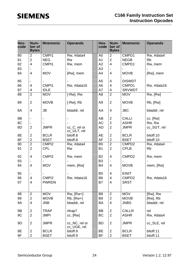| Hex-<br>code | Num-<br>ber of<br><b>Bytes</b> | <b>Mnemonic</b>   | <b>Operands</b>              |  | Hex-<br>code   | Num-<br>ber of<br><b>Bytes</b> | <b>Mnemonic</b>   | <b>Operands</b> |
|--------------|--------------------------------|-------------------|------------------------------|--|----------------|--------------------------------|-------------------|-----------------|
| 80           | 2                              | CMP <sub>11</sub> | Rw, #data4                   |  | A <sub>0</sub> | $\overline{2}$                 | CMPD1             | Rw, #data4      |
| 81           | $\overline{2}$                 | <b>NEG</b>        | <b>Rw</b>                    |  | A <sub>1</sub> | $\overline{2}$                 | <b>NEGB</b>       | <b>Rb</b>       |
| 82           | $\overline{\mathbf{4}}$        | CMPI1             | Rw, mem                      |  | A2             | $\overline{4}$                 | CMPD1             | Rw, mem         |
| 83           |                                |                   |                              |  | A <sub>3</sub> |                                |                   |                 |
| 84           | 4                              | <b>MOV</b>        | [Rw], mem                    |  | A4             | $\overline{4}$                 | <b>MOVB</b>       | [Rw], mem       |
| 85           |                                |                   |                              |  | A <sub>5</sub> | $\overline{4}$                 | <b>DISWDT</b>     |                 |
| 86           | 4                              | CMP <sub>11</sub> | Rw, #data16                  |  | A <sub>6</sub> | $\overline{4}$                 | CMPD1             | Rw, #data16     |
| 87           | 4                              | <b>IDLE</b>       |                              |  | A7             | 4                              | <b>SRVWDT</b>     |                 |
| 88           | $\overline{2}$                 | <b>MOV</b>        | $[-Rw]$ , $Rw$               |  | A <sub>8</sub> | $\overline{2}$                 | <b>MOV</b>        | Rw, [Rw]        |
| 89           | $\overline{2}$                 | <b>MOVB</b>       | $[-Rw]$ , $Rb$               |  | A <sub>9</sub> | $\overline{2}$                 | <b>MOVB</b>       | Rb, [Rw]        |
| 8A           | 4                              | <b>JB</b>         | bitaddr, rel                 |  | AA             | $\overline{4}$                 | <b>JBC</b>        | bitaddr, rel    |
| 8B           |                                |                   |                              |  | AB             | $\overline{2}$                 | <b>CALLI</b>      | cc, [Rw]        |
| 8C           |                                |                   |                              |  | AC             | $\overline{2}$                 | <b>ASHR</b>       | Rw, Rw          |
| 8D           | $\overline{2}$                 | <b>JMPR</b>       | cc_C, rel or                 |  | AD             | $\overline{2}$                 | <b>JMPR</b>       | cc_SGT, rel     |
| 8E           | $\overline{2}$                 | <b>BCLR</b>       | cc_ULT, rel<br>bitoff.8      |  | AE             | $\overline{2}$                 | <b>BCLR</b>       | bitoff.10       |
| 8F           | $\overline{2}$                 | <b>BSET</b>       | bitoff.8                     |  | AF             | $\overline{2}$                 | <b>BSET</b>       | bitoff.10       |
| 90           | $\overline{2}$                 | CMPI <sub>2</sub> | Rw, #data4                   |  | B <sub>0</sub> | $\overline{2}$                 | CMPD <sub>2</sub> | Rw, #data4      |
| 91           | $\overline{2}$                 | <b>CPL</b>        | <b>Rw</b>                    |  | <b>B1</b>      | $\overline{2}$                 | <b>CPLB</b>       | <b>Rb</b>       |
|              |                                |                   |                              |  |                |                                |                   |                 |
| 92           | 4                              | CMPI <sub>2</sub> | Rw, mem                      |  | <b>B2</b>      | $\overline{4}$                 | CMPD <sub>2</sub> | Rw, mem         |
| 93           |                                |                   |                              |  | B <sub>3</sub> |                                |                   |                 |
| 94           | 4                              | <b>MOV</b>        | mem, [Rw]                    |  | B4             | $\overline{4}$                 | <b>MOVB</b>       | mem, [Rw]       |
|              |                                |                   |                              |  |                |                                |                   |                 |
| 95           | $\qquad \qquad \blacksquare$   |                   |                              |  | B <sub>5</sub> | $\overline{4}$                 | <b>EINIT</b>      |                 |
| 96           | 4                              | CMPI <sub>2</sub> | Rw, #data16                  |  | B <sub>6</sub> | $\overline{\mathbf{4}}$        | CMPD <sub>2</sub> | Rw, #data16     |
| 97           | 4                              | <b>PWRDN</b>      |                              |  | B7             | 4                              | <b>SRST</b>       |                 |
| 98           | $\overline{2}$                 | <b>MOV</b>        | $Rw$ , $[Rw+]$               |  | B <sub>8</sub> | $\overline{2}$                 | <b>MOV</b>        | [Rw], Rw        |
| 99           | $\overline{2}$                 | <b>MOVB</b>       | $Rb, [Rw+]$                  |  | B <sub>9</sub> | $\overline{2}$                 | <b>MOVB</b>       | [Rw], Rb        |
| <b>9A</b>    | 4                              | <b>JNB</b>        | bitaddr, rel                 |  | <b>BA</b>      | $\overline{4}$                 | <b>JNBS</b>       | bitaddr, rel    |
| 9B           | $\overline{2}$                 | <b>TRAP</b>       | #trap7                       |  | <b>BB</b>      | $\overline{2}$                 | <b>CALLR</b>      | rel             |
| 9C           | $\overline{2}$                 | <b>JMPI</b>       | cc, [Rw]                     |  | <b>BC</b>      | $\overline{2}$                 | <b>ASHR</b>       | Rw, #data4      |
| 9D           | $\overline{2}$                 | <b>JMPR</b>       | cc_NC, rel or<br>cc_UGE, rel |  | <b>BD</b>      | $\overline{2}$                 | <b>JMPR</b>       | cc_SLE, rel     |
| 9E           | $\overline{2}$                 | <b>BCLR</b>       | bitoff.9                     |  | <b>BE</b>      | $\overline{2}$                 | <b>BCLR</b>       | bitoff.11       |
| 9F           | $\overline{2}$                 | <b>BSET</b>       | bitoff.9                     |  | <b>BF</b>      | $\mathbf{2}$                   | <b>BSET</b>       | bitoff.11       |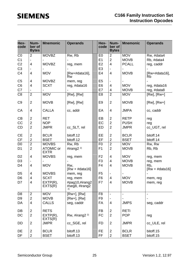| Hex-<br>code           | Num-<br>ber of<br><b>Bytes</b> | <b>Mnemonic</b>                 | <b>Operands</b>                  |  | Hex-<br>code   | Num-<br>ber of<br><b>Bytes</b> | <b>Mnemonic</b> | <b>Operands</b>         |
|------------------------|--------------------------------|---------------------------------|----------------------------------|--|----------------|--------------------------------|-----------------|-------------------------|
| CO                     | $\overline{2}$                 | <b>MOVBZ</b>                    | Rw, Rb                           |  | E <sub>0</sub> | $\overline{2}$                 | <b>MOV</b>      | Rw, #data4              |
| C <sub>1</sub>         | $\overline{\phantom{a}}$       |                                 |                                  |  | E1             | $\overline{2}$                 | <b>MOVB</b>     | Rb, #data4              |
| C <sub>2</sub>         | $\overline{4}$                 | <b>MOVBZ</b>                    | reg, mem                         |  | E2             | $\overline{4}$                 | <b>PCALL</b>    | reg, caddr              |
| C <sub>3</sub>         |                                |                                 |                                  |  | E <sub>3</sub> |                                |                 |                         |
| C <sub>4</sub>         | 4                              | <b>MOV</b>                      | [Rw+#data16],<br><b>Rw</b>       |  | E4             | $\overline{4}$                 | <b>MOVB</b>     | [Rw+#data16],<br>Rb     |
| C <sub>5</sub>         | 4                              | <b>MOVBZ</b>                    | mem, reg                         |  | E <sub>5</sub> |                                |                 |                         |
| C6                     | $\overline{4}$                 | <b>SCXT</b>                     | reg, #data16                     |  | E <sub>6</sub> | $\overline{4}$                 | <b>MOV</b>      | reg, #data16            |
| C7                     |                                |                                 |                                  |  | E7             | 4                              | <b>MOVB</b>     | reg, #data8             |
| $\overline{C8}$        | $\overline{2}$                 | <b>MOV</b>                      | [Rw], [Rw]                       |  | E <sub>8</sub> | $\overline{2}$                 | <b>MOV</b>      | $[Rw], [Rw+]$           |
| C <sub>9</sub>         | $\overline{2}$                 | <b>MOVB</b>                     | $[Rw]$ , $[Rw]$                  |  | E <sub>9</sub> | $\overline{2}$                 | <b>MOVB</b>     | $[Rw], [Rw+]$           |
| CA                     | 4                              | <b>CALLA</b>                    | cc, addr                         |  | EA             | $\overline{4}$                 | <b>JMPA</b>     | cc, caddr               |
| CB                     | $\overline{2}$                 | <b>RET</b>                      |                                  |  | EB             | $\overline{2}$                 | <b>RETP</b>     | reg                     |
| CC                     | $\overline{2}$                 | <b>NOP</b>                      |                                  |  | EC             | $\overline{2}$                 | <b>PUSH</b>     | reg                     |
| CD                     | $\overline{2}$                 | <b>JMPR</b>                     | cc_SLT, rel                      |  | ED             | $\overline{2}$                 | <b>JMPR</b>     | cc_UGT, rel             |
| <b>CE</b>              | $\overline{2}$                 | <b>BCLR</b>                     | bitoff.12                        |  | EE             | $\overline{2}$                 | <b>BCLR</b>     | bitoff.14               |
| $\mathsf{C}\mathsf{F}$ | $\overline{2}$                 | <b>BSET</b>                     | bitoff.12                        |  | EF             | $\overline{2}$                 | <b>BSET</b>     | bitoff.14               |
| $\overline{D0}$        | $\overline{2}$                 | <b>MOVBS</b>                    | Rw, Rb                           |  | F <sub>0</sub> | $\overline{2}$                 | <b>MOV</b>      | Rw, Rw                  |
| D <sub>1</sub>         | $\overline{2}$                 | <b>ATOMIC or</b><br><b>EXTR</b> | #irang2 $2$                      |  | F <sub>1</sub> | $\overline{2}$                 | <b>MOVB</b>     | Rb, Rb                  |
| D <sub>2</sub>         | 4                              | <b>MOVBS</b>                    | reg, mem                         |  | F <sub>2</sub> | $\overline{4}$                 | <b>MOV</b>      | reg, mem                |
| D <sub>3</sub>         |                                |                                 |                                  |  | F <sub>3</sub> | 4                              | <b>MOVB</b>     | reg, mem                |
| D <sub>4</sub>         | 4                              | <b>MOV</b>                      | Rw,<br>$[Rw + #data16]$          |  | F4             | $\overline{4}$                 | <b>MOVB</b>     | Rb,<br>$[Rw + #data16]$ |
| D <sub>5</sub>         | 4                              | <b>MOVBS</b>                    | mem, reg                         |  | F <sub>5</sub> | $\blacksquare$                 |                 |                         |
| D <sub>6</sub>         | 4                              | <b>SCXT</b>                     | reg, mem                         |  | F <sub>6</sub> | 4                              | <b>MOV</b>      | mem, reg                |
| D7                     | 4                              | EXTP(R),<br>EXTS(R)             | #pag10,#irang2<br>#seg8, #irang2 |  | F7             | 4                              | <b>MOVB</b>     | mem, reg                |
| D <sub>8</sub>         | $\overline{2}$                 | <b>MOV</b>                      | $[Rw+]$ , $[Rw]$                 |  | F <sub>8</sub> | $\overline{\phantom{a}}$       | $\blacksquare$  | $\blacksquare$          |
| D <sub>9</sub>         | $\overline{2}$                 | <b>MOVB</b>                     | $[Rw+]$ , $[Rw]$                 |  | F <sub>9</sub> | $\overline{\phantom{a}}$       |                 |                         |
| DA                     | 4                              | <b>CALLS</b>                    | seg, caddr                       |  | <b>FA</b>      | $\overline{4}$                 | <b>JMPS</b>     | seg, caddr              |
| DB                     | $\overline{2}$                 | <b>RETS</b>                     |                                  |  | <b>FB</b>      | $\overline{2}$                 | <b>RETI</b>     |                         |
| DC                     | $\overline{2}$                 | EXTP(R),<br>EXTS(R)             | Rw, #irang2 $2$                  |  | <b>FC</b>      | $\overline{2}$                 | <b>POP</b>      | reg                     |
| DD                     | $\overline{2}$                 | <b>JMPR</b>                     | cc_SGE, rel                      |  | <b>FD</b>      | $\overline{2}$                 | <b>JMPR</b>     | cc_ULE, rel             |
| DE                     | $\overline{2}$                 | <b>BCLR</b>                     | bitoff.13                        |  | <b>FE</b>      | $\overline{2}$                 | <b>BCLR</b>     | bitoff.15               |
| DF                     | $\overline{c}$                 | <b>BSET</b>                     | bitoff.13                        |  | FF             | $\overline{2}$                 | <b>BSET</b>     | bitoff.15               |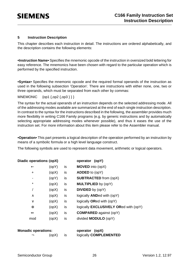#### **5 Instruction Description**

This chapter describes each instruction in detail. The instructions are ordered alphabetically, and the description contains the following elements:

**•Instruction Name•** Specifies the mnemonic opcode of the instruction in oversized bold lettering for easy reference. The mnemonics have been chosen with regard to the particular operation which is performed by the specified instruction.

**•Syntax•** Specifies the mnemonic opcode and the required formal operands of the instruction as used in the following subsection 'Operation'. There are instructions with either none, one, two or three operands, which must be separated from each other by commas:

MNEMONIC {op1 {,op2 {,op3 } } }

The syntax for the actual operands of an instruction depends on the selected addressing mode. All of the addressing modes available are summarized at the end of each single instruction description. In contrast to the syntax for the instructions described in the following, the assembler provides much more flexibility in writing C166 Family programs (e.g. by generic instructions and by automatically selecting appropriate addressing modes whenever possible), and thus it eases the use of the instruction set. For more information about this item please refer to the Assembler manual.

**•Operation•** This part presents a logical description of the operation performed by an instruction by means of a symbolic formula or a high level language construct.

The following symbols are used to represent data movement, arithmetic or logical operators.

| Diadic operations: (opX) |       |    | operator (opY)                               |
|--------------------------|-------|----|----------------------------------------------|
| $\leftarrow$             | (opY) | is | <b>MOVED</b> into (opX)                      |
| ٠                        | (opX) | is | <b>ADDED</b> to (opY)                        |
| ٠                        | (opY) | is | <b>SUBTRACTED from (opX)</b>                 |
| $\star$                  | (opX) | is | <b>MULTIPLIED</b> by (opY)                   |
| 7                        | (opX) | is | <b>DIVIDED</b> by (opY)                      |
| $\wedge$                 | (opX) | is | logically <b>ANDed</b> with (opY)            |
| $\vee$                   | (opX) | is | logically ORed with (opY)                    |
| $\oplus$                 | (opX) | is | logically <b>EXCLUSIVELY ORed with (opY)</b> |
| $\Leftrightarrow$        | (opX) | is | <b>COMPARED</b> against (opY)                |
| mod                      | (opX) | is | divided <b>MODULO</b> (opY)                  |
|                          |       |    |                                              |

| <b>Monadic operations:</b> |       | operator (opX)                |
|----------------------------|-------|-------------------------------|
|                            | (opX) | logically <b>COMPLEMENTED</b> |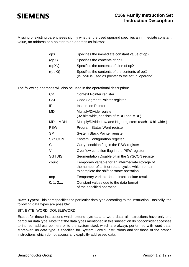Missing or existing parentheses signify whether the used operand specifies an immediate constant value, an address or a pointer to an address as follows:

| opX       | Specifies the immediate constant value of opX                                                       |
|-----------|-----------------------------------------------------------------------------------------------------|
| (opX)     | Specifies the contents of opX                                                                       |
| $(opX_n)$ | Specifies the contents of bit n of opX                                                              |
| ((opX))   | Specifies the contents of the contents of opX<br>(ie. opX is used as pointer to the actual operand) |

The following operands will also be used in the operational description:

| <b>CP</b>     | <b>Context Pointer register</b>                                                                                                                     |
|---------------|-----------------------------------------------------------------------------------------------------------------------------------------------------|
| <b>CSP</b>    | Code Segment Pointer register                                                                                                                       |
| IP            | <b>Instruction Pointer</b>                                                                                                                          |
| MD            | Multiply/Divide register<br>(32 bits wide, consists of MDH and MDL)                                                                                 |
| MDL, MDH      | Multiply/Divide Low and High registers (each 16 bit wide)                                                                                           |
| <b>PSW</b>    | Program Status Word register                                                                                                                        |
| <b>SP</b>     | System Stack Pointer register                                                                                                                       |
| <b>SYSCON</b> | <b>System Configuration register</b>                                                                                                                |
| C             | Carry condition flag in the PSW register                                                                                                            |
| V             | Overflow condition flag in the PSW register                                                                                                         |
| <b>SGTDIS</b> | Segmentation Disable bit in the SYSCON register                                                                                                     |
| count         | Temporary variable for an intermediate storage of<br>the number of shift or rotate cycles which remain<br>to complete the shift or rotate operation |
| tmp           | Temporary variable for an intermediate result                                                                                                       |
| 0, 1, 2,      | Constant values due to the data format<br>of the specified operation                                                                                |

**•Data Types•** This part specifies the particular data type according to the instruction. Basically, the following data types are possible:

#### BIT, BYTE, WORD, DOUBLEWORD

Except for those instructions which extend byte data to word data, all instructions have only one particular data type. Note that the data types mentioned in this subsection do not consider accesses to indirect address pointers or to the system stack which are always performed with word data. Moreover, no data type is specified for System Control Instructions and for those of the branch instructions which do not access any explicitly addressed data.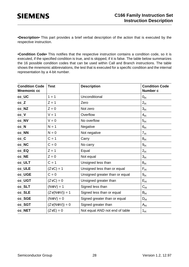**•Description•** This part provides a brief verbal description of the action that is executed by the respective instruction.

**•Condition Code•** This notifies that the respective instruction contains a condition code, so it is executed, if the specified condition is true, and is skipped, if it is false. The table below summarizes the 16 possible condition codes that can be used within Call and Branch instructions. The table shows the mnemonic abbreviations, the test that is executed for a specific condition and the internal representation by a 4-bit number.

| <b>Condition Code</b><br><b>Mnemonic cc</b> | <b>Test</b>                 | <b>Description</b>             | <b>Condition Code</b><br>Number c |
|---------------------------------------------|-----------------------------|--------------------------------|-----------------------------------|
| cc_UC                                       | $1 = 1$                     | Unconditional                  | 0 <sub>H</sub>                    |
| cc Z                                        | $Z = 1$                     | Zero                           | 2 <sub>H</sub>                    |
| cc_NZ                                       | $Z = 0$                     | Not zero                       | 3 <sub>H</sub>                    |
| $cc_{V}$                                    | $V = 1$                     | Overflow                       | 4 <sub>H</sub>                    |
| cc_NV                                       | $V = 0$                     | No overflow                    | 5 <sub>H</sub>                    |
| $cc_N$                                      | $N = 1$                     | Negative                       | 6 <sub>H</sub>                    |
| cc_NN                                       | $N = 0$                     | Not negative                   | 7 <sub>H</sub>                    |
| $cc$ <sub><math>C</math></sub> $C$          | $C = 1$                     | Carry                          | 8 <sub>H</sub>                    |
| cc_NC                                       | $C = 0$                     | No carry                       | 9 <sub>H</sub>                    |
| cc_EQ                                       | $Z = 1$                     | Equal                          | 2 <sub>H</sub>                    |
| cc_NE                                       | $Z = 0$                     | Not equal                      | 3 <sub>H</sub>                    |
| cc_ULT                                      | $C = 1$                     | Unsigned less than             | 8 <sub>H</sub>                    |
| cc_ULE                                      | $(Z \vee C) = 1$            | Unsigned less than or equal    | $F_H$                             |
| cc_UGE                                      | $C = 0$                     | Unsigned greater than or equal | 9 <sub>H</sub>                    |
| cc_UGT                                      | $(Z \vee C) = 0$            | Unsigned greater than          | $E_{H}$                           |
| cc_SLT                                      | $(N \oplus V) = 1$          | Signed less than               | $C_H$                             |
| cc_SLE                                      | $(Z \vee (N \oplus V)) = 1$ | Signed less than or equal      | $B_{H}$                           |
| cc_SGE                                      | $(N \oplus V) = 0$          | Signed greater than or equal   | $D_H$                             |
| cc_SGT                                      | $(Z\vee(N\oplus V))=0$      | Signed greater than            | $A_H$                             |
| cc_NET                                      | $(Z \vee E) = 0$            | Not equal AND not end of table | $1_H$                             |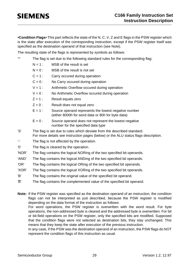**•Condition Flags•** This part reflects the state of the N, C, V, Z and E flags in the PSW register which is the state after execution of the corresponding instruction, except if the PSW register itself was specified as the destination operand of that instruction (see Note).

The resulting state of the flags is represented by symbols as follows:

'\*' The flag is set due to the following standard rules for the corresponding flag:

- $N = 1$ : MSB of the result is set
- $N = 0$ : MSB of the result is not set
- $C = 1$  : Carry occured during operation
- $C = 0$ : No Carry occured during operation
- $V = 1$ : Arithmetic Overflow occured during operation
- $V = 0$ : No Arithmetic Overflow occured during operation
- $Z = 1$ : Result equals zero
- $Z = 0$  : Result does not equal zero
- $E = 1$  : Source operand represents the lowest negative number (either 8000h for word data or 80h for byte data)
- $E = 0$ : Source operand does not represent the lowest negative number for the specified data type
- 'S' The flag is set due to rules which deviate from the described standard. For more details see instruction pages (below) or the ALU status flags description.
- '-' The flag is not affected by the operation.
- '0' The flag is cleared by the operation.
- 'NOR' The flag contains the logical NORing of the two specified bit operands.
- 'AND' The flag contains the logical ANDing of the two specified bit operands.
- 'OR' The flag contains the logical ORing of the two specified bit operands.
- 'XOR' The flag contains the logical XORing of the two specified bit operands.
- 'B' The flag contains the original value of the specified bit operand.
- $\overline{B}$  The flag contains the complemented value of the specified bit operand.

**Note:** If the PSW register was specified as the destination operand of an instruction, the condition flags can not be interpreted as just described, because the PSW register is modified depending on the data format of the instruction as follows:

For word operations, the PSW register is overwritten with the word result. For byte operations, the non-addressed byte is cleared and the addressed byte is overwritten. For bit or bit-field operations on the PSW register, only the specified bits are modified. Supposed that the condition flags were not selected as destination bits, they stay unchanged. This means that they keep the state after execution of the previous instruction.

In any case, if the PSW was the destination operand of an instruction, the PSW flags do NOT represent the condition flags of this instruction as usual.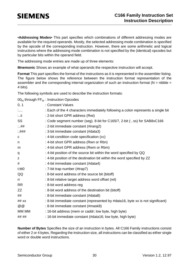**•Addressing Modes•** This part specifies which combinations of different addressing modes are available for the required operands. Mostly, the selected addressing mode combination is specified by the opcode of the corresponding instruction. However, there are some arithmetic and logical instructions where the addressing mode combination is not specified by the (identical) opcodes but by particular bits within the operand field.

The addressing mode entries are made up of three elements:

**Mnemonic** Shows an example of what operands the respective instruction will accept.

**Format** This part specifies the format of the instructions as it is represented in the assembler listing. The figure below shows the reference between the instruction format representation of the assembler and the corresponding internal organization of such an instruction format ( $N = n$ ibble = 4 bits).

The following symbols are used to describe the instruction formats:

|             | $00_H$ through FF $_H$ : Instruction Opcodes                                     |
|-------------|----------------------------------------------------------------------------------|
| 0, 1        | : Constant Values                                                                |
| $1,\ldots$  | : Each of the 4 characters immediately following a colon represents a single bit |
| $:.$ ii     | : 2-bit short GPR address (Rwi)                                                  |
| SS          | : Code segment number (seg). 8-bit for C165/7, 2-bit (:ss) for SAB8xC166         |
| $\ldots$ ## | : 2-bit immediate constant (#irang2)                                             |
| : ###       | : 3-bit immediate constant (#data3)                                              |
| C           | : 4-bit condition code specification (cc)                                        |
| n           | : 4-bit short GPR address (Rwn or Rbn)                                           |
| m           | : 4-bit short GPR address (Rwm or Rbm)                                           |
| q           | : 4-bit position of the source bit within the word specified by QQ               |
| Z           | : 4-bit position of the destination bit within the word specified by ZZ          |
| #           | : 4-bit immediate constant (#data4)                                              |
| t:ttt0      | : 7-bit trap number (#trap7)                                                     |
| QQ          | : 8-bit word address of the source bit (bitoff)                                  |
| rr          | : 8-bit relative target address word offset (rel)                                |
| <b>RR</b>   | : 8-bit word address reg                                                         |
| ZZ          | : 8-bit word address of the destination bit (bitoff)                             |
| ##          | : 8-bit immediate constant (#data8)                                              |
| ## xx       | : 8-bit immediate constant (represented by #data16, byte xx is not significant)  |
| @@          | : 8-bit immediate constant (#mask8)                                              |
| MM MM       | : 16-bit address (mem or caddr; low byte, high byte)                             |
| ## ##       | : 16-bit immediate constant (#data16; low byte, high byte)                       |
|             |                                                                                  |

**Number of Bytes** Specifies the size of an instruction in bytes. All C166 Family instructions consist of either 2 or 4 bytes. Regarding the instruction size, all instructions can be classified as either single word or double word instructions.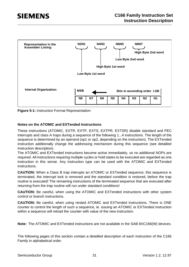

**Figure 5-1:** Instruction Format Representation

#### **Notes on the ATOMIC and EXTended Instructions**

These instructions (ATOMIC, EXTR, EXTP, EXTS, EXTPR, EXTSR) disable standard and PEC interrupts and class A traps during a sequence of the following 1...4 instructions. The length of the sequence is determined by an operand (op1 or op2, depending on the instruction). The EXTended instruction additionally change the addressing mechanism during this sequence (see detailled instruction description).

The ATOMIC and EXTended instructions become active immediately, so no additional NOPs are required. All instructions requiring multiple cycles or hold states to be executed are regarded as one instruction in this sense. Any instruction type can be used with the ATOMIC and EXTended instructions.

**CAUTION:** When a Class B trap interupts an ATOMIC or EXTended sequence, this sequence is terminated, the interrupt lock is removed and the standard condition is restored, before the trap routine is executed! The remaining instructions of the terminated sequence that are executed after returning from the trap routine will run under standard conditions!

**CAUTION:** Be careful, when using the ATOMIC and EXTended instructions with other system control or branch instructions.

**CAUTION:** Be careful, when using nested ATOMIC and EXTended instructions. There is ONE counter to control the length of such a sequence, ie. issuing an ATOMIC or EXTended instruction within a sequence will reload the counter with value of the new instruction.

**Note:** The ATOMIC and EXTended instructions are not available in the SAB 8XC166(W) devices.

The following pages of this section contain a detailled description of each instruction of the C166 Family in alphabetical order.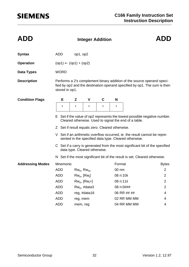| <b>ADD</b>              |                                                                                                                                                                                                                                                                                                                                                                                                                                              | <b>Integer Addition</b> |         |         |           |             |                |  |  |  |
|-------------------------|----------------------------------------------------------------------------------------------------------------------------------------------------------------------------------------------------------------------------------------------------------------------------------------------------------------------------------------------------------------------------------------------------------------------------------------------|-------------------------|---------|---------|-----------|-------------|----------------|--|--|--|
| <b>Syntax</b>           | <b>ADD</b>                                                                                                                                                                                                                                                                                                                                                                                                                                   | op1, op2                |         |         |           |             |                |  |  |  |
| <b>Operation</b>        | $(op1) \leftarrow (op1) + (op2)$                                                                                                                                                                                                                                                                                                                                                                                                             |                         |         |         |           |             |                |  |  |  |
| <b>Data Types</b>       | <b>WORD</b>                                                                                                                                                                                                                                                                                                                                                                                                                                  |                         |         |         |           |             |                |  |  |  |
| <b>Description</b>      | Performs a 2's complement binary addition of the source operand speci-<br>fied by op2 and the destination operand specified by op1. The sum is then<br>stored in op1.                                                                                                                                                                                                                                                                        |                         |         |         |           |             |                |  |  |  |
| <b>Condition Flags</b>  | Е                                                                                                                                                                                                                                                                                                                                                                                                                                            | Z                       | V       | C       | N         |             |                |  |  |  |
|                         | $\star$                                                                                                                                                                                                                                                                                                                                                                                                                                      | $^\star$                | $\star$ | $\star$ | *         |             |                |  |  |  |
|                         | E Set if the value of op2 represents the lowest possible negative number.<br>Cleared otherwise. Used to signal the end of a table.<br>Z Set if result equals zero. Cleared otherwise.<br>V Set if an arithmetic overflow occurred, ie. the result cannot be repre-<br>sented in the specified data type. Cleared otherwise.<br>C Set if a carry is generated from the most significant bit of the specified<br>data type. Cleared otherwise. |                         |         |         |           |             |                |  |  |  |
|                         | N Set if the most significant bit of the result is set. Cleared otherwise.                                                                                                                                                                                                                                                                                                                                                                   |                         |         |         |           |             |                |  |  |  |
| <b>Addressing Modes</b> | Mnemonic                                                                                                                                                                                                                                                                                                                                                                                                                                     |                         |         |         | Format    |             | <b>Bytes</b>   |  |  |  |
|                         | <b>ADD</b>                                                                                                                                                                                                                                                                                                                                                                                                                                   | $Rw_n$ , $Rw_m$         |         |         | 00 nm     |             | $\overline{2}$ |  |  |  |
|                         | <b>ADD</b>                                                                                                                                                                                                                                                                                                                                                                                                                                   | $Rw_n$ , $[Rw_i]$       |         |         | 08 n:10ii |             | $\overline{c}$ |  |  |  |
|                         | <b>ADD</b>                                                                                                                                                                                                                                                                                                                                                                                                                                   | $Rw_n$ , $[Rw_i+]$      |         |         | 08 n:11ii |             | $\overline{2}$ |  |  |  |
|                         | <b>ADD</b>                                                                                                                                                                                                                                                                                                                                                                                                                                   | $Rw_n$ , #data3         |         |         |           | 08 n:0###   | $\overline{c}$ |  |  |  |
|                         | <b>ADD</b>                                                                                                                                                                                                                                                                                                                                                                                                                                   | reg, #data16            |         |         |           | 06 RR ## ## | 4              |  |  |  |
|                         | <b>ADD</b>                                                                                                                                                                                                                                                                                                                                                                                                                                   | reg, mem                |         |         |           | 02 RR MM MM | 4              |  |  |  |
|                         | <b>ADD</b>                                                                                                                                                                                                                                                                                                                                                                                                                                   | mem, reg                |         |         |           | 04 RR MM MM | 4              |  |  |  |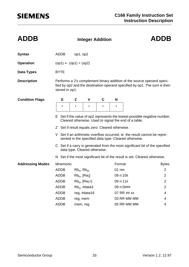| <b>ADDB</b>             | <b>Integer Addition</b>                                                                                                                                               |                                                                                                                                                                                                                                                                                                                                                                                                             |                 |         |           |             | <b>ADDB</b>    |  |  |  |
|-------------------------|-----------------------------------------------------------------------------------------------------------------------------------------------------------------------|-------------------------------------------------------------------------------------------------------------------------------------------------------------------------------------------------------------------------------------------------------------------------------------------------------------------------------------------------------------------------------------------------------------|-----------------|---------|-----------|-------------|----------------|--|--|--|
| <b>Syntax</b>           | ADDB                                                                                                                                                                  | op1, op2                                                                                                                                                                                                                                                                                                                                                                                                    |                 |         |           |             |                |  |  |  |
| <b>Operation</b>        | $(op1) \leftarrow (op1) + (op2)$                                                                                                                                      |                                                                                                                                                                                                                                                                                                                                                                                                             |                 |         |           |             |                |  |  |  |
| Data Types              | <b>BYTE</b>                                                                                                                                                           |                                                                                                                                                                                                                                                                                                                                                                                                             |                 |         |           |             |                |  |  |  |
| <b>Description</b>      | Performs a 2's complement binary addition of the source operand speci-<br>fied by op2 and the destination operand specified by op1. The sum is then<br>stored in op1. |                                                                                                                                                                                                                                                                                                                                                                                                             |                 |         |           |             |                |  |  |  |
| <b>Condition Flags</b>  | Е                                                                                                                                                                     | Z                                                                                                                                                                                                                                                                                                                                                                                                           | V               | C       | N         |             |                |  |  |  |
|                         | $\star$                                                                                                                                                               | $\star$                                                                                                                                                                                                                                                                                                                                                                                                     | $\star$         | $\star$ | $^\star$  |             |                |  |  |  |
|                         |                                                                                                                                                                       | E Set if the value of op2 represents the lowest possible negative number.<br>Cleared otherwise. Used to signal the end of a table.<br>Z Set if result equals zero. Cleared otherwise.<br>V Set if an arithmetic overflow occurred, ie. the result cannot be repre-<br>sented in the specified data type. Cleared otherwise.<br>C Set if a carry is generated from the most significant bit of the specified |                 |         |           |             |                |  |  |  |
|                         | data type. Cleared otherwise.<br>N Set if the most significant bit of the result is set. Cleared otherwise.                                                           |                                                                                                                                                                                                                                                                                                                                                                                                             |                 |         |           |             |                |  |  |  |
| <b>Addressing Modes</b> | Mnemonic                                                                                                                                                              |                                                                                                                                                                                                                                                                                                                                                                                                             |                 |         | Format    |             | <b>Bytes</b>   |  |  |  |
|                         | <b>ADDB</b>                                                                                                                                                           |                                                                                                                                                                                                                                                                                                                                                                                                             | $Rb_n$ , $Rb_m$ |         |           | $01$ nm     | $\overline{2}$ |  |  |  |
|                         | <b>ADDB</b>                                                                                                                                                           | $Rb_n$ , $[Rw_i]$                                                                                                                                                                                                                                                                                                                                                                                           |                 |         | 09 n:10ii |             | $\overline{c}$ |  |  |  |
|                         | ADDB                                                                                                                                                                  | $Rb_n$ , $[Rw_i+]$                                                                                                                                                                                                                                                                                                                                                                                          |                 |         | 09 n:11ii |             | 2              |  |  |  |
|                         | <b>ADDB</b>                                                                                                                                                           | $Rb_n$ , #data3                                                                                                                                                                                                                                                                                                                                                                                             |                 |         |           | 09 n:0###   | 2              |  |  |  |
|                         | ADDB                                                                                                                                                                  | reg, #data16                                                                                                                                                                                                                                                                                                                                                                                                |                 |         |           | 07 RR ## xx | 4              |  |  |  |
|                         | <b>ADDB</b>                                                                                                                                                           | reg, mem                                                                                                                                                                                                                                                                                                                                                                                                    |                 |         |           | 03 RR MM MM | 4              |  |  |  |
|                         | <b>ADDB</b>                                                                                                                                                           | mem, reg                                                                                                                                                                                                                                                                                                                                                                                                    |                 |         |           | 05 RR MM MM | 4              |  |  |  |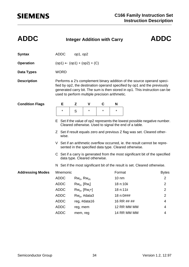| <b>ADDC</b>             | <b>Integer Addition with Carry</b>                                                                                                                                                                                                                                                  |                    |         |           |                 |                                                                            | <b>ADDC</b>    |  |  |  |
|-------------------------|-------------------------------------------------------------------------------------------------------------------------------------------------------------------------------------------------------------------------------------------------------------------------------------|--------------------|---------|-----------|-----------------|----------------------------------------------------------------------------|----------------|--|--|--|
| <b>Syntax</b>           | <b>ADDC</b>                                                                                                                                                                                                                                                                         | op1, op2           |         |           |                 |                                                                            |                |  |  |  |
| <b>Operation</b>        | $(op1) \leftarrow (op1) + (op2) + (C)$                                                                                                                                                                                                                                              |                    |         |           |                 |                                                                            |                |  |  |  |
| <b>Data Types</b>       | <b>WORD</b>                                                                                                                                                                                                                                                                         |                    |         |           |                 |                                                                            |                |  |  |  |
| <b>Description</b>      | Performs a 2's complement binary addition of the source operand speci-<br>fied by op2, the destination operand specified by op1 and the previously<br>generated carry bit. The sum is then stored in op1. This instruction can be<br>used to perform multiple precision arithmetic. |                    |         |           |                 |                                                                            |                |  |  |  |
| <b>Condition Flags</b>  | Е                                                                                                                                                                                                                                                                                   | Z                  | V       | C         | N               |                                                                            |                |  |  |  |
|                         | $^\star$                                                                                                                                                                                                                                                                            | S                  | $\star$ | $\star$   | $\star$         |                                                                            |                |  |  |  |
|                         | E Set if the value of op2 represents the lowest possible negative number.<br>Cleared otherwise. Used to signal the end of a table.<br>Z Set if result equals zero and previous Z flag was set. Cleared other-<br>wise.                                                              |                    |         |           |                 |                                                                            |                |  |  |  |
|                         | V Set if an arithmetic overflow occurred, ie. the result cannot be repre-<br>sented in the specified data type. Cleared otherwise.                                                                                                                                                  |                    |         |           |                 |                                                                            |                |  |  |  |
|                         | C Set if a carry is generated from the most significant bit of the specified<br>data type. Cleared otherwise.                                                                                                                                                                       |                    |         |           |                 |                                                                            |                |  |  |  |
|                         |                                                                                                                                                                                                                                                                                     |                    |         |           |                 | N Set if the most significant bit of the result is set. Cleared otherwise. |                |  |  |  |
| <b>Addressing Modes</b> |                                                                                                                                                                                                                                                                                     | Mnemonic           |         |           |                 | Format                                                                     | <b>Bytes</b>   |  |  |  |
|                         |                                                                                                                                                                                                                                                                                     | ADDC $Rw_n, Rw_m$  |         |           | $10 \text{ nm}$ |                                                                            | 2              |  |  |  |
|                         | <b>ADDC</b>                                                                                                                                                                                                                                                                         | $Rw_n$ , $[Rw_i]$  |         | 18 n:10ii |                 | $\overline{2}$                                                             |                |  |  |  |
|                         | <b>ADDC</b>                                                                                                                                                                                                                                                                         | $Rw_n$ , $[Rw_i+]$ |         | 18 n:11ii |                 | $\overline{2}$                                                             |                |  |  |  |
|                         | <b>ADDC</b>                                                                                                                                                                                                                                                                         | $Rw_n$ , #data3    |         |           | 18 n:0###       |                                                                            | $\overline{2}$ |  |  |  |
|                         | <b>ADDC</b>                                                                                                                                                                                                                                                                         | reg, #data16       |         |           | 16 RR ## ##     | 4                                                                          |                |  |  |  |
|                         | <b>ADDC</b>                                                                                                                                                                                                                                                                         | reg, mem           |         |           |                 | 12 RR MM MM                                                                | 4              |  |  |  |
|                         | <b>ADDC</b>                                                                                                                                                                                                                                                                         | mem, reg           |         |           |                 | 14 RR MM MM                                                                | 4              |  |  |  |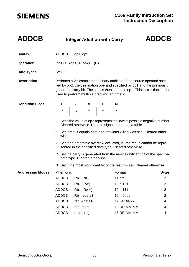| <b>ADDCB</b>            |                                                                                                                                       |                                        | <b>Integer Addition with Carry</b> |         |                 |                                                                                                                                                                                                                                   | <b>ADDCB</b>   |  |  |  |  |
|-------------------------|---------------------------------------------------------------------------------------------------------------------------------------|----------------------------------------|------------------------------------|---------|-----------------|-----------------------------------------------------------------------------------------------------------------------------------------------------------------------------------------------------------------------------------|----------------|--|--|--|--|
| <b>Syntax</b>           | <b>ADDCB</b>                                                                                                                          | op1, op2                               |                                    |         |                 |                                                                                                                                                                                                                                   |                |  |  |  |  |
| <b>Operation</b>        |                                                                                                                                       | $(op1) \leftarrow (op1) + (op2) + (C)$ |                                    |         |                 |                                                                                                                                                                                                                                   |                |  |  |  |  |
| Data Types              | <b>BYTE</b>                                                                                                                           |                                        |                                    |         |                 |                                                                                                                                                                                                                                   |                |  |  |  |  |
| <b>Description</b>      | used to perform multiple precision arithmetic.                                                                                        |                                        |                                    |         |                 | Performs a 2's complement binary addition of the source operand speci-<br>fied by op2, the destination operand specified by op1 and the previously<br>generated carry bit. The sum is then stored in op1. This instruction can be |                |  |  |  |  |
| <b>Condition Flags</b>  | Е                                                                                                                                     | Z                                      | V                                  | С       | N               |                                                                                                                                                                                                                                   |                |  |  |  |  |
|                         | $\star$                                                                                                                               | S                                      | $^\star$                           | $\star$ | $\star$         |                                                                                                                                                                                                                                   |                |  |  |  |  |
|                         | Set if the value of op2 represents the lowest possible negative number.<br>Е<br>Cleared otherwise. Used to signal the end of a table. |                                        |                                    |         |                 |                                                                                                                                                                                                                                   |                |  |  |  |  |
|                         | Z Set if result equals zero and previous Z flag was set Cleared other-<br>wise.                                                       |                                        |                                    |         |                 |                                                                                                                                                                                                                                   |                |  |  |  |  |
|                         | V Set if an arithmetic overflow occurred, ie. the result cannot be repre-<br>sented in the specified data type. Cleared otherwise.    |                                        |                                    |         |                 |                                                                                                                                                                                                                                   |                |  |  |  |  |
|                         | C Set if a carry is generated from the most significant bit of the specified<br>data type. Cleared otherwise.                         |                                        |                                    |         |                 |                                                                                                                                                                                                                                   |                |  |  |  |  |
|                         |                                                                                                                                       |                                        |                                    |         |                 | N Set if the most significant bit of the result is set. Cleared otherwise.                                                                                                                                                        |                |  |  |  |  |
| <b>Addressing Modes</b> | Mnemonic                                                                                                                              |                                        |                                    |         | Format          |                                                                                                                                                                                                                                   | <b>Bytes</b>   |  |  |  |  |
|                         | <b>ADDCB</b>                                                                                                                          | $Rb_n$ , $Rb_m$                        |                                    |         | $11 \text{ nm}$ |                                                                                                                                                                                                                                   | $\overline{c}$ |  |  |  |  |
|                         | <b>ADDCB</b>                                                                                                                          |                                        | $Rb_n$ , $[Rw_i]$                  |         |                 | 19 n:10ii                                                                                                                                                                                                                         | $\overline{2}$ |  |  |  |  |
|                         | <b>ADDCB</b>                                                                                                                          |                                        | $Rb_n$ , $[Rw_i+]$                 |         |                 | 19 n:11ii                                                                                                                                                                                                                         | 2              |  |  |  |  |
|                         | <b>ADDCB</b>                                                                                                                          |                                        | $Rb_n$ , #data3                    |         |                 | 19 n:0###                                                                                                                                                                                                                         | 2              |  |  |  |  |
|                         | <b>ADDCB</b>                                                                                                                          | reg, #data16                           |                                    |         |                 | 17 RR ## xx                                                                                                                                                                                                                       | 4              |  |  |  |  |
|                         | <b>ADDCB</b>                                                                                                                          | reg, mem                               |                                    |         |                 | 13 RR MM MM                                                                                                                                                                                                                       | 4              |  |  |  |  |
|                         | <b>ADDCB</b>                                                                                                                          | mem, reg                               |                                    |         |                 | 15 RR MM MM                                                                                                                                                                                                                       | 4              |  |  |  |  |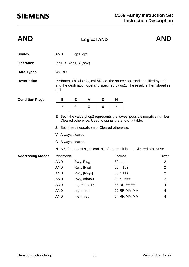| <b>AND</b>              |                                                                                                                                                             |                    | <b>AND</b>        |             |           |                                                                            |                |  |  |  |
|-------------------------|-------------------------------------------------------------------------------------------------------------------------------------------------------------|--------------------|-------------------|-------------|-----------|----------------------------------------------------------------------------|----------------|--|--|--|
| <b>Syntax</b>           | <b>AND</b>                                                                                                                                                  | op1, op2           |                   |             |           |                                                                            |                |  |  |  |
| <b>Operation</b>        | $(op1) \leftarrow (op1) \wedge (op2)$                                                                                                                       |                    |                   |             |           |                                                                            |                |  |  |  |
| <b>Data Types</b>       | <b>WORD</b>                                                                                                                                                 |                    |                   |             |           |                                                                            |                |  |  |  |
| <b>Description</b>      | Performs a bitwise logical AND of the source operand specified by op2<br>and the destination operand specified by op1. The result is then stored in<br>op1. |                    |                   |             |           |                                                                            |                |  |  |  |
| <b>Condition Flags</b>  | Е                                                                                                                                                           | Z                  | $\mathbf v$       | $\mathbf C$ | N         |                                                                            |                |  |  |  |
|                         | $^\star$                                                                                                                                                    | $\star$            | 0                 | $\mathbf 0$ | $\star$   |                                                                            |                |  |  |  |
|                         | E Set if the value of op2 represents the lowest possible negative number.<br>Cleared otherwise. Used to signal the end of a table.                          |                    |                   |             |           |                                                                            |                |  |  |  |
|                         | Z Set if result equals zero. Cleared otherwise.                                                                                                             |                    |                   |             |           |                                                                            |                |  |  |  |
|                         | V Always cleared.                                                                                                                                           |                    |                   |             |           |                                                                            |                |  |  |  |
|                         | C Always cleared.                                                                                                                                           |                    |                   |             |           |                                                                            |                |  |  |  |
|                         |                                                                                                                                                             |                    |                   |             |           | N Set if the most significant bit of the result is set. Cleared otherwise. |                |  |  |  |
| <b>Addressing Modes</b> | Mnemonic                                                                                                                                                    |                    |                   |             |           | Format                                                                     | <b>Bytes</b>   |  |  |  |
|                         | <b>AND</b>                                                                                                                                                  |                    | $Rw_n$ , $Rw_m$   |             |           | 60 nm                                                                      | $\overline{2}$ |  |  |  |
|                         | <b>AND</b>                                                                                                                                                  |                    | $Rw_n$ , $[Rw_i]$ |             |           | 68 n:10ii                                                                  | $\overline{2}$ |  |  |  |
|                         | <b>AND</b>                                                                                                                                                  | $Rw_n$ , $[Rw_i+]$ |                   |             | 68 n:11ii |                                                                            | $\overline{2}$ |  |  |  |
|                         | <b>AND</b>                                                                                                                                                  |                    | $Rw_n$ , #data3   |             |           | 68 n:0###                                                                  | $\overline{2}$ |  |  |  |
|                         | <b>AND</b>                                                                                                                                                  |                    | reg, #data16      |             |           | 66 RR ## ##                                                                | 4              |  |  |  |
|                         | <b>AND</b>                                                                                                                                                  | reg, mem           |                   |             |           | 62 RR MM MM                                                                | 4              |  |  |  |
|                         | <b>AND</b>                                                                                                                                                  | mem, reg           |                   |             |           | 64 RR MM MM                                                                | 4              |  |  |  |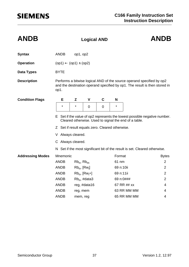| <b>ANDB</b>             |                                                                                                                                    |                   | <b>Logical AND</b> |                |           |                                                                                                                                                     | <b>ANDB</b>    |  |  |  |
|-------------------------|------------------------------------------------------------------------------------------------------------------------------------|-------------------|--------------------|----------------|-----------|-----------------------------------------------------------------------------------------------------------------------------------------------------|----------------|--|--|--|
| <b>Syntax</b>           | <b>ANDB</b>                                                                                                                        | op1, op2          |                    |                |           |                                                                                                                                                     |                |  |  |  |
| <b>Operation</b>        | $(op1) \leftarrow (op1) \wedge (op2)$                                                                                              |                   |                    |                |           |                                                                                                                                                     |                |  |  |  |
| <b>Data Types</b>       | <b>BYTE</b>                                                                                                                        |                   |                    |                |           |                                                                                                                                                     |                |  |  |  |
| <b>Description</b>      | op1.                                                                                                                               |                   |                    |                |           | Performs a bitwise logical AND of the source operand specified by op2<br>and the destination operand specified by op1. The result is then stored in |                |  |  |  |
| <b>Condition Flags</b>  | Е                                                                                                                                  | Z                 | V                  | $\mathbf c$    | N         |                                                                                                                                                     |                |  |  |  |
|                         | $\star$                                                                                                                            | $^\star$          | $\overline{0}$     | $\overline{0}$ | $\star$   |                                                                                                                                                     |                |  |  |  |
|                         | E Set if the value of op2 represents the lowest possible negative number.<br>Cleared otherwise. Used to signal the end of a table. |                   |                    |                |           |                                                                                                                                                     |                |  |  |  |
|                         | Z Set if result equals zero. Cleared otherwise.                                                                                    |                   |                    |                |           |                                                                                                                                                     |                |  |  |  |
|                         | V Always cleared.                                                                                                                  |                   |                    |                |           |                                                                                                                                                     |                |  |  |  |
|                         | C Always cleared.                                                                                                                  |                   |                    |                |           |                                                                                                                                                     |                |  |  |  |
|                         | N Set if the most significant bit of the result is set. Cleared otherwise.                                                         |                   |                    |                |           |                                                                                                                                                     |                |  |  |  |
| <b>Addressing Modes</b> | Mnemonic                                                                                                                           |                   |                    |                | Format    |                                                                                                                                                     | <b>Bytes</b>   |  |  |  |
|                         | <b>ANDB</b>                                                                                                                        | $Rb_n$ , $Rb_m$   |                    |                | 61 nm     |                                                                                                                                                     | $\overline{2}$ |  |  |  |
|                         | <b>ANDB</b>                                                                                                                        | $Rb_n$ , $[Rw_i]$ |                    |                | 69 n:10ii |                                                                                                                                                     | $\overline{2}$ |  |  |  |
|                         | <b>ANDB</b>                                                                                                                        |                   | $Rb_n$ , $[Rw_i+]$ |                | 69 n:11ii |                                                                                                                                                     | $\overline{2}$ |  |  |  |
|                         | <b>ANDB</b>                                                                                                                        |                   | $Rb_n$ , #data3    |                | 69 n:0### |                                                                                                                                                     | $\overline{2}$ |  |  |  |
|                         | <b>ANDB</b>                                                                                                                        |                   | reg, #data16       |                |           | 67 RR ## xx                                                                                                                                         | 4              |  |  |  |
|                         | <b>ANDB</b>                                                                                                                        | reg, mem          |                    |                |           | 63 RR MM MM                                                                                                                                         | 4              |  |  |  |
|                         | <b>ANDB</b>                                                                                                                        | mem, reg          |                    |                |           | 65 RR MM MM                                                                                                                                         | 4              |  |  |  |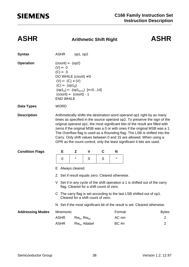### **ASHR Arithmetic Shift Right ASHR**

| <b>Syntax</b>           | <b>ASHR</b>                                                                                                                                                                                                                                                                                                                                                                                                                                                                                                                                       | op1, op2        |                                          |   |        |                                                                            |  |  |  |
|-------------------------|---------------------------------------------------------------------------------------------------------------------------------------------------------------------------------------------------------------------------------------------------------------------------------------------------------------------------------------------------------------------------------------------------------------------------------------------------------------------------------------------------------------------------------------------------|-----------------|------------------------------------------|---|--------|----------------------------------------------------------------------------|--|--|--|
| <b>Operation</b>        | $(count) \leftarrow (op2)$<br>$(V) \leftarrow 0$<br>$(C) \leftarrow 0$<br>DO WHILE (count) $\neq$ 0<br>$(V) \leftarrow (C) \vee (V)$<br>$(C) \leftarrow (op10)$<br>$(op1_n) \leftarrow (op1_{n+1})$ [n=014]<br>$(count) \leftarrow (count) - 1$<br><b>END WHILE</b>                                                                                                                                                                                                                                                                               |                 |                                          |   |        |                                                                            |  |  |  |
| <b>Data Types</b>       | <b>WORD</b>                                                                                                                                                                                                                                                                                                                                                                                                                                                                                                                                       |                 |                                          |   |        |                                                                            |  |  |  |
| <b>Description</b>      | Arithmetically shifts the destination word operand op1 right by as many<br>times as specified in the source operand op2. To preserve the sign of the<br>original operand op1, the most significant bits of the result are filled with<br>zeros if the original MSB was a 0 or with ones if the original MSB was a 1.<br>The Overflow flag is used as a Rounding flag. The LSB is shifted into the<br>Carry. Only shift values between 0 and 15 are allowed. When using a<br>GPR as the count control, only the least significant 4 bits are used. |                 |                                          |   |        |                                                                            |  |  |  |
| <b>Condition Flags</b>  | Е                                                                                                                                                                                                                                                                                                                                                                                                                                                                                                                                                 | Z               | V                                        | C | N      |                                                                            |  |  |  |
|                         | 0                                                                                                                                                                                                                                                                                                                                                                                                                                                                                                                                                 | *               | S                                        | S | *      |                                                                            |  |  |  |
|                         | Always cleared.<br>E.                                                                                                                                                                                                                                                                                                                                                                                                                                                                                                                             |                 |                                          |   |        |                                                                            |  |  |  |
|                         | Z Set if result equals zero. Cleared otherwise.                                                                                                                                                                                                                                                                                                                                                                                                                                                                                                   |                 |                                          |   |        |                                                                            |  |  |  |
|                         | V.                                                                                                                                                                                                                                                                                                                                                                                                                                                                                                                                                |                 | flag. Cleared for a shift count of zero. |   |        | Set if in any cycle of the shift operation a 1 is shifted out of the carry |  |  |  |
|                         |                                                                                                                                                                                                                                                                                                                                                                                                                                                                                                                                                   |                 | Cleared for a shift count of zero.       |   |        | C The carry flag is set according to the last LSB shifted out of op1.      |  |  |  |
|                         |                                                                                                                                                                                                                                                                                                                                                                                                                                                                                                                                                   |                 |                                          |   |        | N Set if the most significant bit of the result is set. Cleared otherwise. |  |  |  |
| <b>Addressing Modes</b> | Mnemonic                                                                                                                                                                                                                                                                                                                                                                                                                                                                                                                                          |                 |                                          |   | Format | <b>Bytes</b>                                                               |  |  |  |
|                         | <b>ASHR</b>                                                                                                                                                                                                                                                                                                                                                                                                                                                                                                                                       | $Rw_n$ , $Rw_m$ |                                          |   | AC nm  | 2                                                                          |  |  |  |
|                         | <b>ASHR</b>                                                                                                                                                                                                                                                                                                                                                                                                                                                                                                                                       |                 | $Rw_n$ , #data4                          |   | BC #n  | 2                                                                          |  |  |  |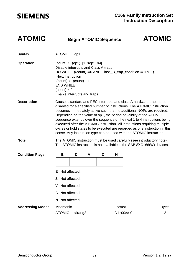### **ATOMIC Begin ATOMIC Sequence ATOMIC**

| <b>Syntax</b>           | <b>ATOMIC</b>                                                                                                                                                                                                                                                                                                                                                                                                                                                                                                                                                                                                    | op1     |             |             |        |                                                                                                                                                 |                |  |  |
|-------------------------|------------------------------------------------------------------------------------------------------------------------------------------------------------------------------------------------------------------------------------------------------------------------------------------------------------------------------------------------------------------------------------------------------------------------------------------------------------------------------------------------------------------------------------------------------------------------------------------------------------------|---------|-------------|-------------|--------|-------------------------------------------------------------------------------------------------------------------------------------------------|----------------|--|--|
| <b>Operation</b>        | $\text{(count)} \leftarrow \text{(op1)} [1 \le \text{op1} \le 4]$<br>Disable interrupts and Class A traps<br><b>Next Instruction</b><br>$(count) \leftarrow (count) - 1$<br><b>END WHILE</b><br>$\text{(count)} = 0$<br>Enable interrupts and traps                                                                                                                                                                                                                                                                                                                                                              |         |             |             |        | DO WHILE ((count) $\neq$ 0 AND Class_B_trap_condition $\neq$ TRUE)                                                                              |                |  |  |
| <b>Description</b>      | Causes standard and PEC interrupts and class A hardware traps to be<br>disabled for a specified number of instructions. The ATOMIC instruction<br>becomes immediately active such that no additional NOPs are required.<br>Depending on the value of op1, the period of validity of the ATOMIC<br>sequence extends over the sequence of the next 1 to 4 instructions being<br>executed after the ATOMIC instruction. All instructions requiring multiple<br>cycles or hold states to be executed are regarded as one instruction in this<br>sense. Any instruction type can be used with the ATOMIC instruction. |         |             |             |        |                                                                                                                                                 |                |  |  |
| <b>Note</b>             |                                                                                                                                                                                                                                                                                                                                                                                                                                                                                                                                                                                                                  |         |             |             |        | The ATOMIC instruction must be used carefully (see introductory note).<br>The ATOMIC instruction is not available in the SAB 8XC166(W) devices. |                |  |  |
| <b>Condition Flags</b>  | Е                                                                                                                                                                                                                                                                                                                                                                                                                                                                                                                                                                                                                | Z       | $\mathbf v$ | $\mathbf C$ | N      |                                                                                                                                                 |                |  |  |
|                         |                                                                                                                                                                                                                                                                                                                                                                                                                                                                                                                                                                                                                  |         |             |             |        |                                                                                                                                                 |                |  |  |
|                         | Not affected.<br>F                                                                                                                                                                                                                                                                                                                                                                                                                                                                                                                                                                                               |         |             |             |        |                                                                                                                                                 |                |  |  |
|                         | Z Not affected.                                                                                                                                                                                                                                                                                                                                                                                                                                                                                                                                                                                                  |         |             |             |        |                                                                                                                                                 |                |  |  |
|                         | Not affected.<br>V                                                                                                                                                                                                                                                                                                                                                                                                                                                                                                                                                                                               |         |             |             |        |                                                                                                                                                 |                |  |  |
|                         | C Not affected.                                                                                                                                                                                                                                                                                                                                                                                                                                                                                                                                                                                                  |         |             |             |        |                                                                                                                                                 |                |  |  |
|                         | N Not affected.                                                                                                                                                                                                                                                                                                                                                                                                                                                                                                                                                                                                  |         |             |             |        |                                                                                                                                                 |                |  |  |
| <b>Addressing Modes</b> | Mnemonic                                                                                                                                                                                                                                                                                                                                                                                                                                                                                                                                                                                                         |         |             |             | Format |                                                                                                                                                 | <b>Bytes</b>   |  |  |
|                         | <b>ATOMIC</b>                                                                                                                                                                                                                                                                                                                                                                                                                                                                                                                                                                                                    | #irang2 |             |             |        | D1:00##-0                                                                                                                                       | $\overline{2}$ |  |  |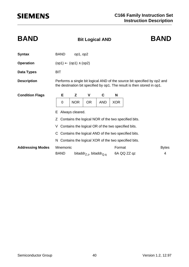| <b>BAND</b>             |                                                                                                                                                     | <b>Bit Logical AND</b> |                                                 | <b>BAND</b> |                  |                                                       |              |  |  |  |
|-------------------------|-----------------------------------------------------------------------------------------------------------------------------------------------------|------------------------|-------------------------------------------------|-------------|------------------|-------------------------------------------------------|--------------|--|--|--|
| <b>Syntax</b>           | <b>BAND</b>                                                                                                                                         | op1, op2               |                                                 |             |                  |                                                       |              |  |  |  |
| <b>Operation</b>        | $(op1) \leftarrow (op1) \wedge (op2)$                                                                                                               |                        |                                                 |             |                  |                                                       |              |  |  |  |
| Data Types              | <b>BIT</b>                                                                                                                                          |                        |                                                 |             |                  |                                                       |              |  |  |  |
| <b>Description</b>      | Performs a single bit logical AND of the source bit specified by op2 and<br>the destination bit specified by op1. The result is then stored in op1. |                        |                                                 |             |                  |                                                       |              |  |  |  |
| <b>Condition Flags</b>  | Е                                                                                                                                                   | Z                      | V                                               | C           | N                |                                                       |              |  |  |  |
|                         | 0                                                                                                                                                   | <b>NOR</b>             | <b>OR</b>                                       | <b>AND</b>  | <b>XOR</b>       |                                                       |              |  |  |  |
|                         | Always cleared.<br>E.                                                                                                                               |                        |                                                 |             |                  |                                                       |              |  |  |  |
|                         | Contains the logical NOR of the two specified bits.<br>Z.                                                                                           |                        |                                                 |             |                  |                                                       |              |  |  |  |
|                         | Contains the logical OR of the two specified bits.<br>V                                                                                             |                        |                                                 |             |                  |                                                       |              |  |  |  |
|                         | C Contains the logical AND of the two specified bits.                                                                                               |                        |                                                 |             |                  |                                                       |              |  |  |  |
|                         |                                                                                                                                                     |                        |                                                 |             |                  | N Contains the logical XOR of the two specified bits. |              |  |  |  |
| <b>Addressing Modes</b> | Mnemonic                                                                                                                                            |                        |                                                 |             | Format           |                                                       | <b>Bytes</b> |  |  |  |
|                         | <b>BAND</b>                                                                                                                                         |                        | bitaddr <sub>Z.z</sub> , bitaddr <sub>Q.g</sub> |             | 6A QQ ZZ qz<br>4 |                                                       |              |  |  |  |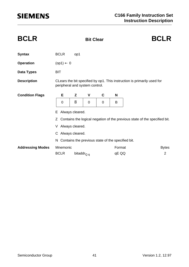| <b>BCLR</b>             |                                                                                                           |                         | <b>BCLR</b> |   |        |                |  |  |  |  |
|-------------------------|-----------------------------------------------------------------------------------------------------------|-------------------------|-------------|---|--------|----------------|--|--|--|--|
| <b>Syntax</b>           | <b>BCLR</b>                                                                                               | op1                     |             |   |        |                |  |  |  |  |
| <b>Operation</b>        | $(op1) \leftarrow 0$                                                                                      |                         |             |   |        |                |  |  |  |  |
| <b>Data Types</b>       | <b>BIT</b>                                                                                                |                         |             |   |        |                |  |  |  |  |
| <b>Description</b>      | CLears the bit specified by op1. This instruction is primarily used for<br>peripheral and system control. |                         |             |   |        |                |  |  |  |  |
| <b>Condition Flags</b>  | Е                                                                                                         | Z                       | V           | C | N      |                |  |  |  |  |
|                         | 0                                                                                                         | $\overline{\mathsf{B}}$ | 0           | 0 | B      |                |  |  |  |  |
|                         | Always cleared.<br>E.                                                                                     |                         |             |   |        |                |  |  |  |  |
|                         | Contains the logical negation of the previous state of the specified bit.<br>Z.                           |                         |             |   |        |                |  |  |  |  |
|                         |                                                                                                           | V Always cleared.       |             |   |        |                |  |  |  |  |
|                         | C Always cleared.                                                                                         |                         |             |   |        |                |  |  |  |  |
|                         | N Contains the previous state of the specified bit.                                                       |                         |             |   |        |                |  |  |  |  |
| <b>Addressing Modes</b> | Mnemonic                                                                                                  |                         |             |   | Format | <b>Bytes</b>   |  |  |  |  |
|                         | <b>BCLR</b>                                                                                               | bitaddr <sub>Q.q</sub>  |             |   | qE QQ  | $\overline{2}$ |  |  |  |  |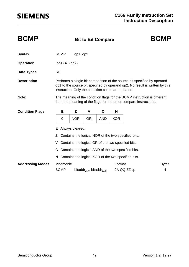| <b>BCMP</b>             |                                                                                                                                               |                                                                                                                                                                                                               |                                                 | <b>Bit to Bit Compare</b> |            | <b>BCMP</b>                                           |                   |  |  |  |
|-------------------------|-----------------------------------------------------------------------------------------------------------------------------------------------|---------------------------------------------------------------------------------------------------------------------------------------------------------------------------------------------------------------|-------------------------------------------------|---------------------------|------------|-------------------------------------------------------|-------------------|--|--|--|
| <b>Syntax</b>           | <b>BCMP</b>                                                                                                                                   | op1, op2                                                                                                                                                                                                      |                                                 |                           |            |                                                       |                   |  |  |  |
| <b>Operation</b>        |                                                                                                                                               | $(op1) \Leftrightarrow (op2)$                                                                                                                                                                                 |                                                 |                           |            |                                                       |                   |  |  |  |
| <b>Data Types</b>       | <b>BIT</b>                                                                                                                                    |                                                                                                                                                                                                               |                                                 |                           |            |                                                       |                   |  |  |  |
| <b>Description</b>      |                                                                                                                                               | Performs a single bit comparison of the source bit specified by operand<br>op1 to the source bit specified by operand op2. No result is written by this<br>instruction. Only the condition codes are updated. |                                                 |                           |            |                                                       |                   |  |  |  |
| Note:                   | The meaning of the condition flags for the BCMP instruction is different<br>from the meaning of the flags for the other compare instructions. |                                                                                                                                                                                                               |                                                 |                           |            |                                                       |                   |  |  |  |
| <b>Condition Flags</b>  | Е                                                                                                                                             | Z                                                                                                                                                                                                             | V                                               | C                         | N          |                                                       |                   |  |  |  |
|                         | 0                                                                                                                                             | <b>NOR</b>                                                                                                                                                                                                    | <b>OR</b>                                       | <b>AND</b>                | <b>XOR</b> |                                                       |                   |  |  |  |
|                         | Е                                                                                                                                             | Always cleared.                                                                                                                                                                                               |                                                 |                           |            |                                                       |                   |  |  |  |
|                         | Z                                                                                                                                             |                                                                                                                                                                                                               |                                                 |                           |            | Contains the logical NOR of the two specified bits.   |                   |  |  |  |
|                         | V                                                                                                                                             | Contains the logical OR of the two specified bits.                                                                                                                                                            |                                                 |                           |            |                                                       |                   |  |  |  |
|                         |                                                                                                                                               |                                                                                                                                                                                                               |                                                 |                           |            | C Contains the logical AND of the two specified bits. |                   |  |  |  |
|                         | N.                                                                                                                                            |                                                                                                                                                                                                               |                                                 |                           |            | Contains the logical XOR of the two specified bits.   |                   |  |  |  |
| <b>Addressing Modes</b> | Mnemonic<br><b>BCMP</b>                                                                                                                       |                                                                                                                                                                                                               | bitaddr <sub>Z.z</sub> , bitaddr <sub>Q.g</sub> |                           | Format     | 2A QQ ZZ qz                                           | <b>Bytes</b><br>4 |  |  |  |
|                         |                                                                                                                                               |                                                                                                                                                                                                               |                                                 |                           |            |                                                       |                   |  |  |  |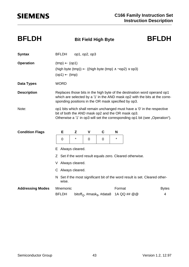| <b>BFLDH</b>            |                                                                                                                                                                                                                | <b>Bit Field High Byte</b> |                | <b>BFLDH</b>                                      |         |              |                                                                             |  |  |  |
|-------------------------|----------------------------------------------------------------------------------------------------------------------------------------------------------------------------------------------------------------|----------------------------|----------------|---------------------------------------------------|---------|--------------|-----------------------------------------------------------------------------|--|--|--|
| <b>Syntax</b>           | <b>BFLDH</b>                                                                                                                                                                                                   |                            | op1, op2, op3  |                                                   |         |              |                                                                             |  |  |  |
| <b>Operation</b>        | $(tmp) \leftarrow (op1)$<br>(high byte (tmp)) $\leftarrow$ ((high byte (tmp) $\land \neg op2$ ) $\lor op3$ )<br>$(op1) \leftarrow (tmp)$                                                                       |                            |                |                                                   |         |              |                                                                             |  |  |  |
| Data Types              | <b>WORD</b>                                                                                                                                                                                                    |                            |                |                                                   |         |              |                                                                             |  |  |  |
| <b>Description</b>      | Replaces those bits in the high byte of the destination word operand op1<br>which are selected by a '1' in the AND mask op2 with the bits at the corre-<br>sponding positions in the OR mask specified by op3. |                            |                |                                                   |         |              |                                                                             |  |  |  |
| Note:                   | op1 bits which shall remain unchanged must have a '0' in the respective<br>bit of both the AND mask op2 and the OR mask op3.<br>Otherwise a '1' in op3 will set the corresponding op1 bit (see "Operation").   |                            |                |                                                   |         |              |                                                                             |  |  |  |
| <b>Condition Flags</b>  | Е                                                                                                                                                                                                              | Z                          | $\mathbf v$    | $\mathbf C$                                       | N       |              |                                                                             |  |  |  |
|                         | $\overline{0}$                                                                                                                                                                                                 | $\star$                    | $\overline{0}$ | $\overline{0}$                                    | $\star$ |              |                                                                             |  |  |  |
|                         | E Always cleared.                                                                                                                                                                                              |                            |                |                                                   |         |              |                                                                             |  |  |  |
|                         | Z Set if the word result equals zero. Cleared otherwise.                                                                                                                                                       |                            |                |                                                   |         |              |                                                                             |  |  |  |
|                         |                                                                                                                                                                                                                | V Always cleared.          |                |                                                   |         |              |                                                                             |  |  |  |
|                         | C Always cleared.                                                                                                                                                                                              |                            |                |                                                   |         |              |                                                                             |  |  |  |
|                         | wise.                                                                                                                                                                                                          |                            |                |                                                   |         |              | N Set if the most significant bit of the word result is set. Cleared other- |  |  |  |
| <b>Addressing Modes</b> | Mnemonic                                                                                                                                                                                                       |                            |                |                                                   | Format  |              | <b>Bytes</b>                                                                |  |  |  |
|                         | <b>BFLDH</b>                                                                                                                                                                                                   |                            |                | bitoff <sub>Q</sub> , #mask <sub>8</sub> , #data8 |         | 1A QQ ## @ @ | 4                                                                           |  |  |  |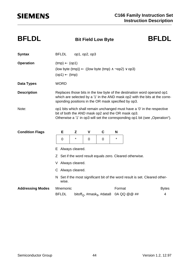| <b>BFLDL</b>            |                                                                                                                                                                                                               |                               |         | <b>BFLDL</b><br><b>Bit Field Low Byte</b> |                                                   |        |              |                                                                             |  |  |  |
|-------------------------|---------------------------------------------------------------------------------------------------------------------------------------------------------------------------------------------------------------|-------------------------------|---------|-------------------------------------------|---------------------------------------------------|--------|--------------|-----------------------------------------------------------------------------|--|--|--|
| <b>Syntax</b>           |                                                                                                                                                                                                               | <b>BFLDL</b><br>op1, op2, op3 |         |                                           |                                                   |        |              |                                                                             |  |  |  |
| <b>Operation</b>        | $(tmp) \leftarrow (op1)$<br>(low byte (tmp)) $\leftarrow$ ((low byte (tmp) $\land \neg op2$ ) $\lor op3$ )<br>$(op1) \leftarrow (tmp)$                                                                        |                               |         |                                           |                                                   |        |              |                                                                             |  |  |  |
| <b>Data Types</b>       | <b>WORD</b>                                                                                                                                                                                                   |                               |         |                                           |                                                   |        |              |                                                                             |  |  |  |
| <b>Description</b>      | Replaces those bits in the low byte of the destination word operand op1<br>which are selected by a '1' in the AND mask op2 with the bits at the corre-<br>sponding positions in the OR mask specified by op3. |                               |         |                                           |                                                   |        |              |                                                                             |  |  |  |
| Note:                   | op1 bits which shall remain unchanged must have a '0' in the respective<br>bit of both the AND mask op2 and the OR mask op3.<br>Otherwise a '1' in op3 will set the corresponding op1 bit (see "Operation").  |                               |         |                                           |                                                   |        |              |                                                                             |  |  |  |
| <b>Condition Flags</b>  |                                                                                                                                                                                                               | Е                             | Z       | V                                         | C                                                 | N      |              |                                                                             |  |  |  |
|                         |                                                                                                                                                                                                               | 0                             | $\star$ | $\mathbf 0$                               | 0                                                 | *      |              |                                                                             |  |  |  |
|                         | E Always cleared.                                                                                                                                                                                             |                               |         |                                           |                                                   |        |              |                                                                             |  |  |  |
|                         | Z Set if the word result equals zero. Cleared otherwise.                                                                                                                                                      |                               |         |                                           |                                                   |        |              |                                                                             |  |  |  |
|                         | V Always cleared.                                                                                                                                                                                             |                               |         |                                           |                                                   |        |              |                                                                             |  |  |  |
|                         | C Always cleared.                                                                                                                                                                                             |                               |         |                                           |                                                   |        |              |                                                                             |  |  |  |
|                         |                                                                                                                                                                                                               | wise.                         |         |                                           |                                                   |        |              | N Set if the most significant bit of the word result is set. Cleared other- |  |  |  |
| <b>Addressing Modes</b> |                                                                                                                                                                                                               | Mnemonic                      |         |                                           |                                                   | Format |              | <b>Bytes</b>                                                                |  |  |  |
|                         |                                                                                                                                                                                                               | <b>BFLDL</b>                  |         |                                           | bitoff <sub>Q</sub> , #mask <sub>8</sub> , #data8 |        | 0A QQ @ @ ## | 4                                                                           |  |  |  |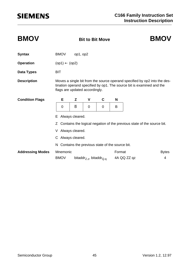| <b>BMOV</b>             |                                                                                                                                                                                      |                                                             | <b>Bit to Bit Move</b> |   |   | <b>BMOV</b>           |                                                                          |  |  |
|-------------------------|--------------------------------------------------------------------------------------------------------------------------------------------------------------------------------------|-------------------------------------------------------------|------------------------|---|---|-----------------------|--------------------------------------------------------------------------|--|--|
| <b>Syntax</b>           | <b>BMOV</b><br>op1, op2                                                                                                                                                              |                                                             |                        |   |   |                       |                                                                          |  |  |
| <b>Operation</b>        | $(op1) \leftarrow (op2)$                                                                                                                                                             |                                                             |                        |   |   |                       |                                                                          |  |  |
| <b>Data Types</b>       | <b>BIT</b>                                                                                                                                                                           |                                                             |                        |   |   |                       |                                                                          |  |  |
| <b>Description</b>      | Moves a single bit from the source operand specified by op2 into the des-<br>tination operand specified by op1. The source bit is examined and the<br>flags are updated accordingly. |                                                             |                        |   |   |                       |                                                                          |  |  |
| <b>Condition Flags</b>  | Е                                                                                                                                                                                    | Z                                                           | V                      | C | N |                       |                                                                          |  |  |
|                         | 0                                                                                                                                                                                    | $\overline{B}$                                              | 0                      | 0 | B |                       |                                                                          |  |  |
|                         | Always cleared.<br>E.                                                                                                                                                                |                                                             |                        |   |   |                       |                                                                          |  |  |
|                         |                                                                                                                                                                                      |                                                             |                        |   |   |                       | Z Contains the logical negation of the previous state of the source bit. |  |  |
|                         | V Always cleared.                                                                                                                                                                    |                                                             |                        |   |   |                       |                                                                          |  |  |
|                         | C Always cleared.                                                                                                                                                                    |                                                             |                        |   |   |                       |                                                                          |  |  |
|                         | N Contains the previous state of the source bit.                                                                                                                                     |                                                             |                        |   |   |                       |                                                                          |  |  |
| <b>Addressing Modes</b> | <b>BMOV</b>                                                                                                                                                                          | Mnemonic<br>bitaddr <sub>Z.z</sub> , bitaddr <sub>Q.g</sub> |                        |   |   | Format<br>4A QQ ZZ qz | <b>Bytes</b><br>4                                                        |  |  |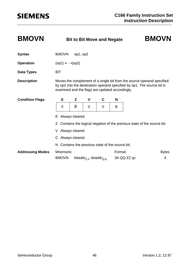### **BMOVN Bit to Bit Move and Negate BMOVN**

### **Syntax** BMOVN op1, op2 **Operation** (op1)  $\leftarrow \neg (op2)$ **Data Types** BIT **Description** Moves the complement of a single bit from the source operand specified by op2 into the destination operand specified by op1. The source bit is examined and the flags are updated accordingly. E Always cleared. Z Contains the logical negation of the previous state of the source bit. V Always cleared. C Always cleared. N Contains the previous state of the source bit. Addressing Modes Mnemonic **Format** Format Bytes  $BMOVN$  bitaddr<sub>Z.z</sub>, bitaddr<sub>Q.q</sub> 3A QQ ZZ qz 4 **Condition Flags E Z V C N** 0 | **B** | 0 | 0 | B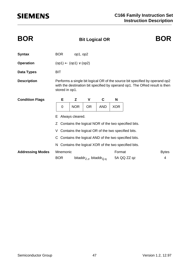| <b>BOR</b>              |                                                       | <b>BOR</b><br><b>Bit Logical OR</b>                                                                                                                                         |                                                 |            |            |                                                       |              |  |  |
|-------------------------|-------------------------------------------------------|-----------------------------------------------------------------------------------------------------------------------------------------------------------------------------|-------------------------------------------------|------------|------------|-------------------------------------------------------|--------------|--|--|
| <b>Syntax</b>           | <b>BOR</b>                                            | op1, op2                                                                                                                                                                    |                                                 |            |            |                                                       |              |  |  |
| <b>Operation</b>        |                                                       | $(op1) \leftarrow (op1) \vee (op2)$                                                                                                                                         |                                                 |            |            |                                                       |              |  |  |
| Data Types              | <b>BIT</b>                                            |                                                                                                                                                                             |                                                 |            |            |                                                       |              |  |  |
| <b>Description</b>      |                                                       | Performs a single bit logical OR of the source bit specified by operand op2<br>with the destination bit specified by operand op1. The ORed result is then<br>stored in op1. |                                                 |            |            |                                                       |              |  |  |
| <b>Condition Flags</b>  | Е                                                     | Z                                                                                                                                                                           | V                                               | C          | N          |                                                       |              |  |  |
|                         | $\mathbf 0$                                           | <b>NOR</b>                                                                                                                                                                  | <b>OR</b>                                       | <b>AND</b> | <b>XOR</b> |                                                       |              |  |  |
|                         | Always cleared.<br>Е                                  |                                                                                                                                                                             |                                                 |            |            |                                                       |              |  |  |
|                         |                                                       | Contains the logical NOR of the two specified bits.                                                                                                                         |                                                 |            |            |                                                       |              |  |  |
|                         | V.                                                    |                                                                                                                                                                             |                                                 |            |            | Contains the logical OR of the two specified bits.    |              |  |  |
|                         | C Contains the logical AND of the two specified bits. |                                                                                                                                                                             |                                                 |            |            |                                                       |              |  |  |
|                         |                                                       |                                                                                                                                                                             |                                                 |            |            | N Contains the logical XOR of the two specified bits. |              |  |  |
| <b>Addressing Modes</b> | Mnemonic                                              |                                                                                                                                                                             |                                                 |            | Format     |                                                       | <b>Bytes</b> |  |  |
|                         | <b>BOR</b>                                            |                                                                                                                                                                             | bitaddr <sub>Z.z</sub> , bitaddr <sub>Q.g</sub> |            |            | 5A QQ ZZ qz                                           | 4            |  |  |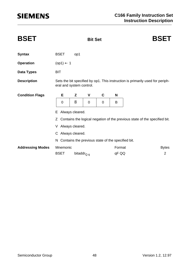| <b>BSET</b>             |                                                                                                           | <b>BSET</b>                                       |             |             |        |                                                                             |  |  |  |  |
|-------------------------|-----------------------------------------------------------------------------------------------------------|---------------------------------------------------|-------------|-------------|--------|-----------------------------------------------------------------------------|--|--|--|--|
| <b>Syntax</b>           | <b>BSET</b>                                                                                               | op1                                               |             |             |        |                                                                             |  |  |  |  |
| <b>Operation</b>        |                                                                                                           | $(op1) \leftarrow 1$                              |             |             |        |                                                                             |  |  |  |  |
| <b>Data Types</b>       | <b>BIT</b>                                                                                                |                                                   |             |             |        |                                                                             |  |  |  |  |
| <b>Description</b>      | Sets the bit specified by op1. This instruction is primarily used for periph-<br>eral and system control. |                                                   |             |             |        |                                                                             |  |  |  |  |
| <b>Condition Flags</b>  | E                                                                                                         | Z                                                 | V           | C           | N      |                                                                             |  |  |  |  |
|                         | $\mathbf 0$                                                                                               | B                                                 | $\mathbf 0$ | $\mathbf 0$ | B      |                                                                             |  |  |  |  |
|                         | Always cleared.<br>Е                                                                                      |                                                   |             |             |        |                                                                             |  |  |  |  |
|                         |                                                                                                           |                                                   |             |             |        | Z Contains the logical negation of the previous state of the specified bit. |  |  |  |  |
|                         |                                                                                                           | V Always cleared.                                 |             |             |        |                                                                             |  |  |  |  |
|                         | C Always cleared.                                                                                         |                                                   |             |             |        |                                                                             |  |  |  |  |
|                         | N.                                                                                                        | Contains the previous state of the specified bit. |             |             |        |                                                                             |  |  |  |  |
| <b>Addressing Modes</b> | Mnemonic                                                                                                  |                                                   |             |             | Format | <b>Bytes</b>                                                                |  |  |  |  |
|                         | <b>BSET</b>                                                                                               | bitaddr <sub>Q.q</sub>                            |             |             | qF QQ  | $\overline{2}$                                                              |  |  |  |  |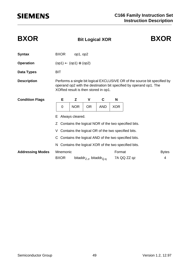| <b>BXOR</b>             |                                                           |                                                                                                                                                                                        | <b>BXOR</b>                                     |            |            |             |                   |  |  |  |
|-------------------------|-----------------------------------------------------------|----------------------------------------------------------------------------------------------------------------------------------------------------------------------------------------|-------------------------------------------------|------------|------------|-------------|-------------------|--|--|--|
| <b>Syntax</b>           | <b>BXOR</b>                                               | op1, op2                                                                                                                                                                               |                                                 |            |            |             |                   |  |  |  |
| <b>Operation</b>        | $(op1) \leftarrow (op1) \oplus (op2)$                     |                                                                                                                                                                                        |                                                 |            |            |             |                   |  |  |  |
| Data Types              | <b>BIT</b>                                                |                                                                                                                                                                                        |                                                 |            |            |             |                   |  |  |  |
| <b>Description</b>      |                                                           | Performs a single bit logical EXCLUSIVE OR of the source bit specified by<br>operand op2 with the destination bit specified by operand op1. The<br>XORed result is then stored in op1. |                                                 |            |            |             |                   |  |  |  |
| <b>Condition Flags</b>  | Е                                                         | Z                                                                                                                                                                                      | V                                               | C          | N          |             |                   |  |  |  |
|                         | $\mathbf 0$                                               | <b>NOR</b>                                                                                                                                                                             | <b>OR</b>                                       | <b>AND</b> | <b>XOR</b> |             |                   |  |  |  |
|                         | Always cleared.<br>E.                                     |                                                                                                                                                                                        |                                                 |            |            |             |                   |  |  |  |
|                         | Contains the logical NOR of the two specified bits.<br>Z. |                                                                                                                                                                                        |                                                 |            |            |             |                   |  |  |  |
|                         | V Contains the logical OR of the two specified bits.      |                                                                                                                                                                                        |                                                 |            |            |             |                   |  |  |  |
|                         | C Contains the logical AND of the two specified bits.     |                                                                                                                                                                                        |                                                 |            |            |             |                   |  |  |  |
|                         | N Contains the logical XOR of the two specified bits.     |                                                                                                                                                                                        |                                                 |            |            |             |                   |  |  |  |
| <b>Addressing Modes</b> | Mnemonic<br><b>BXOR</b>                                   |                                                                                                                                                                                        | bitaddr <sub>Z.z</sub> , bitaddr <sub>Q.g</sub> |            | Format     | 7A QQ ZZ qz | <b>Bytes</b><br>4 |  |  |  |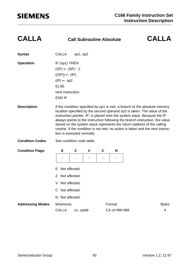| <b>Syntax</b>           | <b>CALLA</b>                                                                                                                                                                                                                                                                                                                                                                                                                                                                                                | op1, op2      |                          |                              |                |  |  |
|-------------------------|-------------------------------------------------------------------------------------------------------------------------------------------------------------------------------------------------------------------------------------------------------------------------------------------------------------------------------------------------------------------------------------------------------------------------------------------------------------------------------------------------------------|---------------|--------------------------|------------------------------|----------------|--|--|
| <b>Operation</b>        | IF (op1) THEN<br>$(SP) \leftarrow (SP) - 2$<br>$((SP)) \leftarrow (IP)$<br>$(IP) \leftarrow op2$<br><b>ELSE</b><br>next instruction<br><b>END IF</b>                                                                                                                                                                                                                                                                                                                                                        |               |                          |                              |                |  |  |
| <b>Description</b>      | If the condition specified by op1 is met, a branch to the absolute memory<br>location specified by the second operand op2 is taken. The value of the<br>instruction pointer, IP, is placed onto the system stack. Because the IP<br>always points to the instruction following the branch instruction, the value<br>stored on the system stack represents the return address of the calling<br>routine. If the condition is not met, no action is taken and the next instruc-<br>tion is executed normally. |               |                          |                              |                |  |  |
| <b>Condition Codes</b>  | See condition code table.                                                                                                                                                                                                                                                                                                                                                                                                                                                                                   |               |                          |                              |                |  |  |
| <b>Condition Flags</b>  | Е                                                                                                                                                                                                                                                                                                                                                                                                                                                                                                           | Z             | V                        | C                            | N              |  |  |
|                         |                                                                                                                                                                                                                                                                                                                                                                                                                                                                                                             | -             | $\overline{\phantom{0}}$ | $\qquad \qquad \blacksquare$ | $\blacksquare$ |  |  |
|                         | E                                                                                                                                                                                                                                                                                                                                                                                                                                                                                                           | Not affected. |                          |                              |                |  |  |
|                         | Ζ                                                                                                                                                                                                                                                                                                                                                                                                                                                                                                           | Not affected. |                          |                              |                |  |  |
|                         | Not affected.<br>V                                                                                                                                                                                                                                                                                                                                                                                                                                                                                          |               |                          |                              |                |  |  |
|                         | C Not affected.                                                                                                                                                                                                                                                                                                                                                                                                                                                                                             |               |                          |                              |                |  |  |
|                         | N Not affected.                                                                                                                                                                                                                                                                                                                                                                                                                                                                                             |               |                          |                              |                |  |  |
| <b>Addressing Modes</b> | Mnemonic                                                                                                                                                                                                                                                                                                                                                                                                                                                                                                    |               |                          |                              | Format         |  |  |
|                         | <b>CALLA</b>                                                                                                                                                                                                                                                                                                                                                                                                                                                                                                | cc, caddr     |                          |                              | CA c0 MM MM    |  |  |

**CALLA Call Subroutine Absolute CALLA**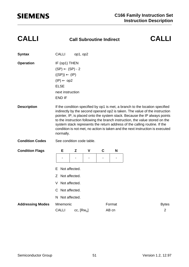| <b>Syntax</b>           | <b>CALLI</b>                                                                                                                                                                                                                                                                                                                                                                                                                                                                                         | op1, op2     |   |             |        |  |  |  |
|-------------------------|------------------------------------------------------------------------------------------------------------------------------------------------------------------------------------------------------------------------------------------------------------------------------------------------------------------------------------------------------------------------------------------------------------------------------------------------------------------------------------------------------|--------------|---|-------------|--------|--|--|--|
| <b>Operation</b>        | IF (op1) THEN<br>$(SP) \leftarrow (SP) - 2$<br>$((SP)) \leftarrow (IP)$<br>$(IP) \leftarrow op2$<br><b>ELSE</b><br>next instruction<br><b>END IF</b>                                                                                                                                                                                                                                                                                                                                                 |              |   |             |        |  |  |  |
| <b>Description</b>      | If the condition specified by op1 is met, a branch to the location specified<br>indirectly by the second operand op2 is taken. The value of the instruction<br>pointer, IP, is placed onto the system stack. Because the IP always points<br>to the instruction following the branch instruction, the value stored on the<br>system stack represents the return address of the calling routine. If the<br>condition is not met, no action is taken and the next instruction is executed<br>normally. |              |   |             |        |  |  |  |
| <b>Condition Codes</b>  | See condition code table.                                                                                                                                                                                                                                                                                                                                                                                                                                                                            |              |   |             |        |  |  |  |
| <b>Condition Flags</b>  | E                                                                                                                                                                                                                                                                                                                                                                                                                                                                                                    | Z            | V | $\mathbf C$ | N      |  |  |  |
|                         | Not affected.<br>F                                                                                                                                                                                                                                                                                                                                                                                                                                                                                   |              |   |             |        |  |  |  |
|                         | Not affected.<br>Z                                                                                                                                                                                                                                                                                                                                                                                                                                                                                   |              |   |             |        |  |  |  |
|                         | Not affected.<br>V                                                                                                                                                                                                                                                                                                                                                                                                                                                                                   |              |   |             |        |  |  |  |
|                         | C Not affected.                                                                                                                                                                                                                                                                                                                                                                                                                                                                                      |              |   |             |        |  |  |  |
|                         | N Not affected.                                                                                                                                                                                                                                                                                                                                                                                                                                                                                      |              |   |             |        |  |  |  |
| <b>Addressing Modes</b> | Mnemonic                                                                                                                                                                                                                                                                                                                                                                                                                                                                                             |              |   |             | Format |  |  |  |
|                         | <b>CALLI</b>                                                                                                                                                                                                                                                                                                                                                                                                                                                                                         | $cc, [Rw_n]$ |   |             | AB cn  |  |  |  |

**CALLI Call Subroutine Indirect CALLI**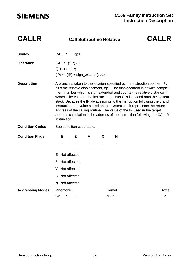### **CALLR Call Subroutine Relative CALLR**

| <b>Syntax</b>          | <b>CALLR</b>                                                                                                                                                                                                                                                                                                                                                                                                                                                                                                                                                                                                                                     | op1 |   |   |   |  |  |  |
|------------------------|--------------------------------------------------------------------------------------------------------------------------------------------------------------------------------------------------------------------------------------------------------------------------------------------------------------------------------------------------------------------------------------------------------------------------------------------------------------------------------------------------------------------------------------------------------------------------------------------------------------------------------------------------|-----|---|---|---|--|--|--|
| <b>Operation</b>       | $(SP) \leftarrow (SP) - 2$<br>$((SP)) \leftarrow (IP)$<br>$(IP) \leftarrow (IP) + sign\_extend (op1)$                                                                                                                                                                                                                                                                                                                                                                                                                                                                                                                                            |     |   |   |   |  |  |  |
| <b>Description</b>     | A branch is taken to the location specified by the instruction pointer, IP,<br>plus the relative displacement, op1. The displacement is a two's comple-<br>ment number which is sign extended and counts the relative distance in<br>words. The value of the instruction pointer (IP) is placed onto the system<br>stack. Because the IP always points to the instruction following the branch<br>instruction, the value stored on the system stack represents the return<br>address of the calling routine. The value of the IP used in the target<br>address calculation is the address of the instruction following the CALLR<br>instruction. |     |   |   |   |  |  |  |
| <b>Condition Codes</b> | See condition code table.                                                                                                                                                                                                                                                                                                                                                                                                                                                                                                                                                                                                                        |     |   |   |   |  |  |  |
| <b>Condition Flags</b> | Е                                                                                                                                                                                                                                                                                                                                                                                                                                                                                                                                                                                                                                                | Z   | V | C | N |  |  |  |
|                        |                                                                                                                                                                                                                                                                                                                                                                                                                                                                                                                                                                                                                                                  |     |   |   |   |  |  |  |
|                        | Not affected.<br>E.                                                                                                                                                                                                                                                                                                                                                                                                                                                                                                                                                                                                                              |     |   |   |   |  |  |  |
|                        | Z Not affected.                                                                                                                                                                                                                                                                                                                                                                                                                                                                                                                                                                                                                                  |     |   |   |   |  |  |  |

V Not affected.

C Not affected.

N Not affected.

Addressing Modes Mnemonic **Format** Format **Bytes** 

CALLR rel BB rr 2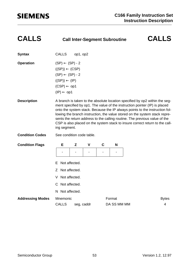| <b>CALLS</b> | Call |
|--------------|------|
|              |      |

### **CALLS Call Inter-Segment Subroutine CALLS**

| <b>Syntax</b>    | <b>CALLS</b>               | op1, op2                   |  |  |  |  |  |
|------------------|----------------------------|----------------------------|--|--|--|--|--|
| <b>Operation</b> | $(SP) \leftarrow (SP) - 2$ |                            |  |  |  |  |  |
|                  | $((SP)) \leftarrow (CSP)$  |                            |  |  |  |  |  |
|                  |                            | $(SP) \leftarrow (SP) - 2$ |  |  |  |  |  |
|                  | $((SP)) \leftarrow (IP)$   |                            |  |  |  |  |  |
|                  | $(CSP) \leftarrow op1$     |                            |  |  |  |  |  |
|                  | $(IP) \leftarrow op1$      |                            |  |  |  |  |  |
|                  |                            |                            |  |  |  |  |  |

- **Description** A branch is taken to the absolute location specified by op2 within the segment specified by op1. The value of the instruction pointer (IP) is placed onto the system stack. Because the IP always points to the instruction following the branch instruction, the value stored on the system stack represents the return address to the calling routine. The previous value of the CSP is also placed on the system stack to insure correct return to the calling segment.
- **Condition Codes** See condition code table.

| <b>Condition Flags</b>  | Е                        | Z                        | $\mathbf v$ | C | N                     |  |                   |  |  |  |  |  |
|-------------------------|--------------------------|--------------------------|-------------|---|-----------------------|--|-------------------|--|--|--|--|--|
|                         |                          | $\overline{\phantom{0}}$ | ۰           |   | ۰                     |  |                   |  |  |  |  |  |
|                         | E Not affected.          |                          |             |   |                       |  |                   |  |  |  |  |  |
|                         | Z Not affected.          |                          |             |   |                       |  |                   |  |  |  |  |  |
|                         | Not affected.<br>V       |                          |             |   |                       |  |                   |  |  |  |  |  |
|                         | C Not affected.          |                          |             |   |                       |  |                   |  |  |  |  |  |
|                         | N Not affected.          |                          |             |   |                       |  |                   |  |  |  |  |  |
| <b>Addressing Modes</b> | Mnemonic<br><b>CALLS</b> | seg, caddr               |             |   | Format<br>DA SS MM MM |  | <b>Bytes</b><br>4 |  |  |  |  |  |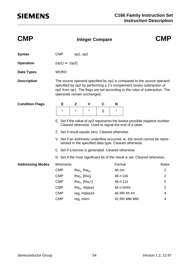| <b>CMP</b>              |                                                                                                                                     |                 | <b>CMP</b>         |             |           |                                                                       |                                                                                                                                                     |  |  |  |
|-------------------------|-------------------------------------------------------------------------------------------------------------------------------------|-----------------|--------------------|-------------|-----------|-----------------------------------------------------------------------|-----------------------------------------------------------------------------------------------------------------------------------------------------|--|--|--|
| <b>Syntax</b>           | <b>CMP</b>                                                                                                                          | op1, op2        |                    |             |           |                                                                       |                                                                                                                                                     |  |  |  |
| <b>Operation</b>        | $(op1) \Leftrightarrow (op2)$                                                                                                       |                 |                    |             |           |                                                                       |                                                                                                                                                     |  |  |  |
| <b>Data Types</b>       | <b>WORD</b>                                                                                                                         |                 |                    |             |           |                                                                       |                                                                                                                                                     |  |  |  |
| <b>Description</b>      | operands remain unchanged.                                                                                                          |                 |                    |             |           | specified by op2 by performing a 2's complement binary subtraction of | The source operand specified by op1 is compared to the source operand<br>op2 from op1. The flags are set according to the rules of subtraction. The |  |  |  |
| <b>Condition Flags</b>  | Е                                                                                                                                   | Z               | V                  | $\mathbf c$ | N         |                                                                       |                                                                                                                                                     |  |  |  |
|                         | $\star$                                                                                                                             | $\star$         | $\star$            | S           | $\star$   |                                                                       |                                                                                                                                                     |  |  |  |
|                         | E Set if the value of op2 represents the lowest possible negative number.<br>Cleared otherwise. Used to signal the end of a table.  |                 |                    |             |           |                                                                       |                                                                                                                                                     |  |  |  |
|                         | Z Set if result equals zero. Cleared otherwise.                                                                                     |                 |                    |             |           |                                                                       |                                                                                                                                                     |  |  |  |
|                         | V Set if an arithmetic underflow occurred, ie. the result cannot be repre-<br>sented in the specified data type. Cleared otherwise. |                 |                    |             |           |                                                                       |                                                                                                                                                     |  |  |  |
|                         | C Set if a borrow is generated. Cleared otherwise.                                                                                  |                 |                    |             |           |                                                                       |                                                                                                                                                     |  |  |  |
|                         | N Set if the most significant bit of the result is set. Cleared otherwise.                                                          |                 |                    |             |           |                                                                       |                                                                                                                                                     |  |  |  |
| <b>Addressing Modes</b> | Mnemonic                                                                                                                            |                 |                    |             | Format    |                                                                       | <b>Bytes</b>                                                                                                                                        |  |  |  |
|                         | <b>CMP</b>                                                                                                                          | $Rw_n$ , $Rw_m$ |                    |             | 40 nm     |                                                                       | $\overline{2}$                                                                                                                                      |  |  |  |
|                         | <b>CMP</b>                                                                                                                          |                 | $Rw_n$ , $[Rw_i]$  |             | 48 n:10ii |                                                                       | $\overline{2}$                                                                                                                                      |  |  |  |
|                         | <b>CMP</b>                                                                                                                          |                 | $Rw_n$ , $[Rw_i+]$ |             | 48 n:11ii |                                                                       | $\overline{2}$                                                                                                                                      |  |  |  |
|                         | <b>CMP</b>                                                                                                                          |                 | $Rw_n$ , #data3    |             | 48 n:0### |                                                                       | $\overline{2}$                                                                                                                                      |  |  |  |
|                         | <b>CMP</b>                                                                                                                          |                 | reg, #data16       |             |           | 46 RR ## ##                                                           | 4                                                                                                                                                   |  |  |  |
|                         | <b>CMP</b>                                                                                                                          |                 | reg, mem           |             |           | 42 RR MM MM                                                           | 4                                                                                                                                                   |  |  |  |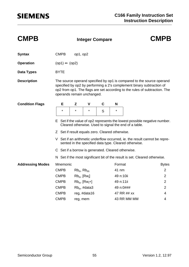| <b>CMPB</b>             |                                                                                                                                     |                   | <b>CMPB</b>        |             |           |                                                                       |                                                                                                                                                     |  |  |  |
|-------------------------|-------------------------------------------------------------------------------------------------------------------------------------|-------------------|--------------------|-------------|-----------|-----------------------------------------------------------------------|-----------------------------------------------------------------------------------------------------------------------------------------------------|--|--|--|
| <b>Syntax</b>           | <b>CMPB</b>                                                                                                                         | op1, op2          |                    |             |           |                                                                       |                                                                                                                                                     |  |  |  |
| <b>Operation</b>        | $(op1) \Leftrightarrow (op2)$                                                                                                       |                   |                    |             |           |                                                                       |                                                                                                                                                     |  |  |  |
| <b>Data Types</b>       | <b>BYTE</b>                                                                                                                         |                   |                    |             |           |                                                                       |                                                                                                                                                     |  |  |  |
| <b>Description</b>      | operands remain unchanged.                                                                                                          |                   |                    |             |           | specified by op2 by performing a 2's complement binary subtraction of | The source operand specified by op1 is compared to the source operand<br>op2 from op1. The flags are set according to the rules of subtraction. The |  |  |  |
| <b>Condition Flags</b>  | Е                                                                                                                                   | Z                 | V                  | $\mathbf c$ | N         |                                                                       |                                                                                                                                                     |  |  |  |
|                         | $\star$                                                                                                                             | $\star$           | $\star$            | S           | $\star$   |                                                                       |                                                                                                                                                     |  |  |  |
|                         | E Set if the value of op2 represents the lowest possible negative number.<br>Cleared otherwise. Used to signal the end of a table.  |                   |                    |             |           |                                                                       |                                                                                                                                                     |  |  |  |
|                         | Z Set if result equals zero. Cleared otherwise.                                                                                     |                   |                    |             |           |                                                                       |                                                                                                                                                     |  |  |  |
|                         | V Set if an arithmetic underflow occurred, ie. the result cannot be repre-<br>sented in the specified data type. Cleared otherwise. |                   |                    |             |           |                                                                       |                                                                                                                                                     |  |  |  |
|                         | C Set if a borrow is generated. Cleared otherwise.                                                                                  |                   |                    |             |           |                                                                       |                                                                                                                                                     |  |  |  |
|                         | N Set if the most significant bit of the result is set. Cleared otherwise.                                                          |                   |                    |             |           |                                                                       |                                                                                                                                                     |  |  |  |
| <b>Addressing Modes</b> | Mnemonic                                                                                                                            |                   |                    |             | Format    |                                                                       | <b>Bytes</b>                                                                                                                                        |  |  |  |
|                         | <b>CMPB</b>                                                                                                                         | $Rb_n$ , $Rb_m$   |                    |             | 41 nm     |                                                                       | $\overline{2}$                                                                                                                                      |  |  |  |
|                         | <b>CMPB</b>                                                                                                                         | $Rb_n$ , $[Rw_i]$ |                    |             | 49 n:10ii |                                                                       | $\overline{2}$                                                                                                                                      |  |  |  |
|                         | <b>CMPB</b>                                                                                                                         |                   | $Rb_n$ , $[Rw_i+]$ |             | 49 n:11ii |                                                                       | $\overline{2}$                                                                                                                                      |  |  |  |
|                         | <b>CMPB</b>                                                                                                                         |                   | $Rb_n$ , #data3    |             | 49 n:0### |                                                                       | $\overline{2}$                                                                                                                                      |  |  |  |
|                         | <b>CMPB</b>                                                                                                                         |                   | reg, #data16       |             |           | 47 RR ## xx                                                           | 4                                                                                                                                                   |  |  |  |
|                         | <b>CMPB</b>                                                                                                                         | reg, mem          |                    |             |           | 43 RR MM MM                                                           | 4                                                                                                                                                   |  |  |  |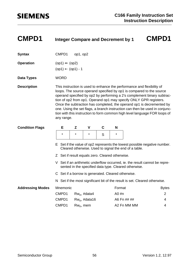| <b>CMPD1</b>            | <b>Integer Compare and Decrement by 1</b>                                                                                                                                                                                                                                                                                                                                                                                                                                                                                                          |          | <b>CMPD1</b>     |   |                           |             |                                                                            |  |
|-------------------------|----------------------------------------------------------------------------------------------------------------------------------------------------------------------------------------------------------------------------------------------------------------------------------------------------------------------------------------------------------------------------------------------------------------------------------------------------------------------------------------------------------------------------------------------------|----------|------------------|---|---------------------------|-------------|----------------------------------------------------------------------------|--|
| <b>Syntax</b>           | CMPD1                                                                                                                                                                                                                                                                                                                                                                                                                                                                                                                                              | op1, op2 |                  |   |                           |             |                                                                            |  |
| <b>Operation</b>        | $(op1) \Leftrightarrow (op2)$<br>$(op1) \leftarrow (op1) - 1$                                                                                                                                                                                                                                                                                                                                                                                                                                                                                      |          |                  |   |                           |             |                                                                            |  |
| <b>Data Types</b>       | <b>WORD</b>                                                                                                                                                                                                                                                                                                                                                                                                                                                                                                                                        |          |                  |   |                           |             |                                                                            |  |
| <b>Description</b>      | This instruction is used to enhance the performance and flexibility of<br>loops. The source operand specified by op1 is compared to the source<br>operand specified by op2 by performing a 2's complement binary subtrac-<br>tion of op2 from op1. Operand op1 may specify ONLY GPR registers.<br>Once the subtraction has completed, the operand op1 is decremented by<br>one. Using the set flags, a branch instruction can then be used in conjunc-<br>tion with this instruction to form common high level language FOR loops of<br>any range. |          |                  |   |                           |             |                                                                            |  |
| <b>Condition Flags</b>  | Е                                                                                                                                                                                                                                                                                                                                                                                                                                                                                                                                                  | Z        | $\mathbf v$      | C | N                         |             |                                                                            |  |
|                         | $\star$                                                                                                                                                                                                                                                                                                                                                                                                                                                                                                                                            | $\star$  | $\star$          | S | $^\star$                  |             |                                                                            |  |
|                         | E Set if the value of op2 represents the lowest possible negative number.<br>Cleared otherwise. Used to signal the end of a table.                                                                                                                                                                                                                                                                                                                                                                                                                 |          |                  |   |                           |             |                                                                            |  |
|                         | Z Set if result equals zero. Cleared otherwise.                                                                                                                                                                                                                                                                                                                                                                                                                                                                                                    |          |                  |   |                           |             |                                                                            |  |
|                         | V Set if an arithmetic underflow occurred, ie. the result cannot be repre-<br>sented in the specified data type. Cleared otherwise.                                                                                                                                                                                                                                                                                                                                                                                                                |          |                  |   |                           |             |                                                                            |  |
|                         | C Set if a borrow is generated. Cleared otherwise.                                                                                                                                                                                                                                                                                                                                                                                                                                                                                                 |          |                  |   |                           |             |                                                                            |  |
|                         |                                                                                                                                                                                                                                                                                                                                                                                                                                                                                                                                                    |          |                  |   |                           |             | N Set if the most significant bit of the result is set. Cleared otherwise. |  |
| <b>Addressing Modes</b> | Mnemonic                                                                                                                                                                                                                                                                                                                                                                                                                                                                                                                                           |          |                  |   | Format                    |             | <b>Bytes</b>                                                               |  |
|                         | CMPD1                                                                                                                                                                                                                                                                                                                                                                                                                                                                                                                                              |          | $Rw_n$ , #data4  |   | $\overline{2}$<br>A0 $#n$ |             |                                                                            |  |
|                         | CMPD1                                                                                                                                                                                                                                                                                                                                                                                                                                                                                                                                              |          | $Rw_n$ , #data16 |   | A6 Fn ## ##<br>4          |             |                                                                            |  |
|                         | CMPD1                                                                                                                                                                                                                                                                                                                                                                                                                                                                                                                                              |          | $Rw_n$ , mem     |   |                           | A2 Fn MM MM | 4                                                                          |  |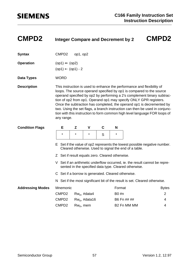| <b>CMPD2</b>            | <b>Integer Compare and Decrement by 2</b>                                                                                                                                                                                                                                                                                                                                                                                                                                                                                                          |          |                  |   |                         |             | <b>CMPD2</b>                                                               |  |  |
|-------------------------|----------------------------------------------------------------------------------------------------------------------------------------------------------------------------------------------------------------------------------------------------------------------------------------------------------------------------------------------------------------------------------------------------------------------------------------------------------------------------------------------------------------------------------------------------|----------|------------------|---|-------------------------|-------------|----------------------------------------------------------------------------|--|--|
| <b>Syntax</b>           | CMPD <sub>2</sub>                                                                                                                                                                                                                                                                                                                                                                                                                                                                                                                                  | op1, op2 |                  |   |                         |             |                                                                            |  |  |
| <b>Operation</b>        | $(op1) \Leftrightarrow (op2)$<br>$(op1) \leftarrow (op1) - 2$                                                                                                                                                                                                                                                                                                                                                                                                                                                                                      |          |                  |   |                         |             |                                                                            |  |  |
| <b>Data Types</b>       | <b>WORD</b>                                                                                                                                                                                                                                                                                                                                                                                                                                                                                                                                        |          |                  |   |                         |             |                                                                            |  |  |
| <b>Description</b>      | This instruction is used to enhance the performance and flexibility of<br>loops. The source operand specified by op1 is compared to the source<br>operand specified by op2 by performing a 2's complement binary subtrac-<br>tion of op2 from op1. Operand op1 may specify ONLY GPR registers.<br>Once the subtraction has completed, the operand op1 is decremented by<br>two. Using the set flags, a branch instruction can then be used in conjunc-<br>tion with this instruction to form common high level language FOR loops of<br>any range. |          |                  |   |                         |             |                                                                            |  |  |
| <b>Condition Flags</b>  | Е                                                                                                                                                                                                                                                                                                                                                                                                                                                                                                                                                  | Z        | $\mathbf v$      | C | N                       |             |                                                                            |  |  |
|                         | $\star$                                                                                                                                                                                                                                                                                                                                                                                                                                                                                                                                            | $\star$  | $\star$          | S | $^\star$                |             |                                                                            |  |  |
|                         | E Set if the value of op2 represents the lowest possible negative number.<br>Cleared otherwise. Used to signal the end of a table.                                                                                                                                                                                                                                                                                                                                                                                                                 |          |                  |   |                         |             |                                                                            |  |  |
|                         | Z Set if result equals zero. Cleared otherwise.                                                                                                                                                                                                                                                                                                                                                                                                                                                                                                    |          |                  |   |                         |             |                                                                            |  |  |
|                         | V Set if an arithmetic underflow occurred, ie. the result cannot be repre-<br>sented in the specified data type. Cleared otherwise.                                                                                                                                                                                                                                                                                                                                                                                                                |          |                  |   |                         |             |                                                                            |  |  |
|                         | C Set if a borrow is generated. Cleared otherwise.                                                                                                                                                                                                                                                                                                                                                                                                                                                                                                 |          |                  |   |                         |             |                                                                            |  |  |
|                         |                                                                                                                                                                                                                                                                                                                                                                                                                                                                                                                                                    |          |                  |   |                         |             | N Set if the most significant bit of the result is set. Cleared otherwise. |  |  |
| <b>Addressing Modes</b> | Mnemonic                                                                                                                                                                                                                                                                                                                                                                                                                                                                                                                                           |          |                  |   | Format                  |             | <b>Bytes</b>                                                               |  |  |
|                         | CMPD <sub>2</sub>                                                                                                                                                                                                                                                                                                                                                                                                                                                                                                                                  |          | $Rw_n$ , #data4  |   | $\overline{2}$<br>B0 #n |             |                                                                            |  |  |
|                         | CMPD <sub>2</sub>                                                                                                                                                                                                                                                                                                                                                                                                                                                                                                                                  |          | $Rw_n$ , #data16 |   | B6 Fn ## ##<br>4        |             |                                                                            |  |  |
|                         | CMPD <sub>2</sub>                                                                                                                                                                                                                                                                                                                                                                                                                                                                                                                                  |          | $Rw_n$ , mem     |   |                         | B2 Fn MM MM | 4                                                                          |  |  |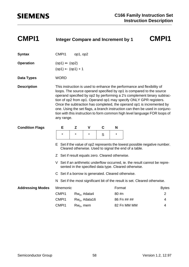| <b>CMPI1</b>            | <b>Integer Compare and Increment by 1</b>                                                                                                                                                                                                                                                                                                                                                                                                                                                                                                          |          |                  |   |                  |             | <b>CMPI1</b>                                                               |  |  |
|-------------------------|----------------------------------------------------------------------------------------------------------------------------------------------------------------------------------------------------------------------------------------------------------------------------------------------------------------------------------------------------------------------------------------------------------------------------------------------------------------------------------------------------------------------------------------------------|----------|------------------|---|------------------|-------------|----------------------------------------------------------------------------|--|--|
| <b>Syntax</b>           | CMP <sub>11</sub>                                                                                                                                                                                                                                                                                                                                                                                                                                                                                                                                  | op1, op2 |                  |   |                  |             |                                                                            |  |  |
| <b>Operation</b>        | $(op1) \Leftrightarrow (op2)$<br>$(op1) \leftarrow (op1) + 1$                                                                                                                                                                                                                                                                                                                                                                                                                                                                                      |          |                  |   |                  |             |                                                                            |  |  |
| Data Types              | <b>WORD</b>                                                                                                                                                                                                                                                                                                                                                                                                                                                                                                                                        |          |                  |   |                  |             |                                                                            |  |  |
| <b>Description</b>      | This instruction is used to enhance the performance and flexibility of<br>loops. The source operand specified by op1 is compared to the source<br>operand specified by op2 by performing a 2's complement binary subtrac-<br>tion of op2 from op1. Operand op1 may specify ONLY GPR registers.<br>Once the subtraction has completed, the operand op1 is incremented by<br>one. Using the set flags, a branch instruction can then be used in conjunc-<br>tion with this instruction to form common high level language FOR loops of<br>any range. |          |                  |   |                  |             |                                                                            |  |  |
| <b>Condition Flags</b>  | Е                                                                                                                                                                                                                                                                                                                                                                                                                                                                                                                                                  | Z        | V                | C | N                |             |                                                                            |  |  |
|                         | $\star$                                                                                                                                                                                                                                                                                                                                                                                                                                                                                                                                            | $\star$  | $\star$          | S | *                |             |                                                                            |  |  |
|                         | E Set if the value of op2 represents the lowest possible negative number.<br>Cleared otherwise. Used to signal the end of a table.                                                                                                                                                                                                                                                                                                                                                                                                                 |          |                  |   |                  |             |                                                                            |  |  |
|                         | Z Set if result equals zero. Cleared otherwise.                                                                                                                                                                                                                                                                                                                                                                                                                                                                                                    |          |                  |   |                  |             |                                                                            |  |  |
|                         | V Set if an arithmetic underflow occurred, ie. the result cannot be repre-<br>sented in the specified data type. Cleared otherwise.                                                                                                                                                                                                                                                                                                                                                                                                                |          |                  |   |                  |             |                                                                            |  |  |
|                         | C Set if a borrow is generated. Cleared otherwise.                                                                                                                                                                                                                                                                                                                                                                                                                                                                                                 |          |                  |   |                  |             |                                                                            |  |  |
|                         |                                                                                                                                                                                                                                                                                                                                                                                                                                                                                                                                                    |          |                  |   |                  |             | N Set if the most significant bit of the result is set. Cleared otherwise. |  |  |
| <b>Addressing Modes</b> | Mnemonic                                                                                                                                                                                                                                                                                                                                                                                                                                                                                                                                           |          |                  |   | Format           |             | <b>Bytes</b>                                                               |  |  |
|                         | CMP <sub>11</sub>                                                                                                                                                                                                                                                                                                                                                                                                                                                                                                                                  |          | $Rw_n$ , #data4  |   | 80 #n<br>2       |             |                                                                            |  |  |
|                         | CMP <sub>11</sub>                                                                                                                                                                                                                                                                                                                                                                                                                                                                                                                                  |          | $Rw_n$ , #data16 |   | 86 Fn ## ##<br>4 |             |                                                                            |  |  |
|                         | CMP <sub>11</sub>                                                                                                                                                                                                                                                                                                                                                                                                                                                                                                                                  |          | $Rw_n$ , mem     |   |                  | 82 Fn MM MM | 4                                                                          |  |  |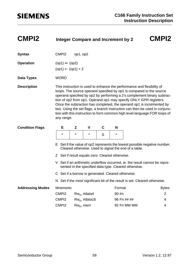| <b>CMPI2</b>            | <b>Integer Compare and Increment by 2</b>                                                                                           |                                                                                                                                                                                                                                                                                                                                                                                                                                                                                                                                                    |                  |   |        |                         | <b>CMPI2</b>                                                               |  |  |  |
|-------------------------|-------------------------------------------------------------------------------------------------------------------------------------|----------------------------------------------------------------------------------------------------------------------------------------------------------------------------------------------------------------------------------------------------------------------------------------------------------------------------------------------------------------------------------------------------------------------------------------------------------------------------------------------------------------------------------------------------|------------------|---|--------|-------------------------|----------------------------------------------------------------------------|--|--|--|
| <b>Syntax</b>           | CMP <sub>12</sub>                                                                                                                   | op1, op2                                                                                                                                                                                                                                                                                                                                                                                                                                                                                                                                           |                  |   |        |                         |                                                                            |  |  |  |
| <b>Operation</b>        | $(op1) \Leftrightarrow (op2)$<br>$(op1) \leftarrow (op1) + 2$                                                                       |                                                                                                                                                                                                                                                                                                                                                                                                                                                                                                                                                    |                  |   |        |                         |                                                                            |  |  |  |
| Data Types              | <b>WORD</b>                                                                                                                         |                                                                                                                                                                                                                                                                                                                                                                                                                                                                                                                                                    |                  |   |        |                         |                                                                            |  |  |  |
| <b>Description</b>      |                                                                                                                                     | This instruction is used to enhance the performance and flexibility of<br>loops. The source operand specified by op1 is compared to the source<br>operand specified by op2 by performing a 2's complement binary subtrac-<br>tion of op2 from op1. Operand op1 may specify ONLY GPR registers.<br>Once the subtraction has completed, the operand op1 is incremented by<br>two. Using the set flags, a branch instruction can then be used in conjunc-<br>tion with this instruction to form common high level language FOR loops of<br>any range. |                  |   |        |                         |                                                                            |  |  |  |
| <b>Condition Flags</b>  | Е                                                                                                                                   | Z                                                                                                                                                                                                                                                                                                                                                                                                                                                                                                                                                  | V                | C | N      |                         |                                                                            |  |  |  |
|                         | $\star$                                                                                                                             | $\star$                                                                                                                                                                                                                                                                                                                                                                                                                                                                                                                                            | $\star$          | S | *      |                         |                                                                            |  |  |  |
|                         | E Set if the value of op2 represents the lowest possible negative number.<br>Cleared otherwise. Used to signal the end of a table.  |                                                                                                                                                                                                                                                                                                                                                                                                                                                                                                                                                    |                  |   |        |                         |                                                                            |  |  |  |
|                         | Z Set if result equals zero. Cleared otherwise.                                                                                     |                                                                                                                                                                                                                                                                                                                                                                                                                                                                                                                                                    |                  |   |        |                         |                                                                            |  |  |  |
|                         | V Set if an arithmetic underflow occurred, ie. the result cannot be repre-<br>sented in the specified data type. Cleared otherwise. |                                                                                                                                                                                                                                                                                                                                                                                                                                                                                                                                                    |                  |   |        |                         |                                                                            |  |  |  |
|                         | C Set if a borrow is generated. Cleared otherwise.                                                                                  |                                                                                                                                                                                                                                                                                                                                                                                                                                                                                                                                                    |                  |   |        |                         |                                                                            |  |  |  |
|                         |                                                                                                                                     |                                                                                                                                                                                                                                                                                                                                                                                                                                                                                                                                                    |                  |   |        |                         | N Set if the most significant bit of the result is set. Cleared otherwise. |  |  |  |
| <b>Addressing Modes</b> | Mnemonic                                                                                                                            |                                                                                                                                                                                                                                                                                                                                                                                                                                                                                                                                                    |                  |   | Format |                         | <b>Bytes</b>                                                               |  |  |  |
|                         | CMPI <sub>2</sub>                                                                                                                   |                                                                                                                                                                                                                                                                                                                                                                                                                                                                                                                                                    | $Rw_n$ , #data4  |   |        | 90 #n<br>$\overline{2}$ |                                                                            |  |  |  |
|                         | CMP <sub>12</sub>                                                                                                                   |                                                                                                                                                                                                                                                                                                                                                                                                                                                                                                                                                    | $Rw_n$ , #data16 |   |        | 96 Fn ## ##             | 4<br>4                                                                     |  |  |  |
|                         |                                                                                                                                     | CMPI <sub>2</sub><br>92 Fn MM MM<br>$Rw_n$ , mem                                                                                                                                                                                                                                                                                                                                                                                                                                                                                                   |                  |   |        |                         |                                                                            |  |  |  |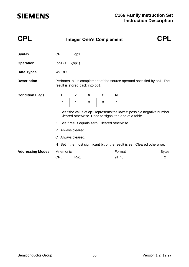| <b>CPL</b>              |                                                                                                                                    |                                                                                                          | <b>Integer One's Complement</b>                 |   |                   |  |                                                                            |  |  |
|-------------------------|------------------------------------------------------------------------------------------------------------------------------------|----------------------------------------------------------------------------------------------------------|-------------------------------------------------|---|-------------------|--|----------------------------------------------------------------------------|--|--|
| <b>Syntax</b>           | <b>CPL</b>                                                                                                                         | op1                                                                                                      |                                                 |   |                   |  |                                                                            |  |  |
| <b>Operation</b>        | $(op1) \leftarrow \neg (op1)$                                                                                                      |                                                                                                          |                                                 |   |                   |  |                                                                            |  |  |
| <b>Data Types</b>       | <b>WORD</b>                                                                                                                        |                                                                                                          |                                                 |   |                   |  |                                                                            |  |  |
| <b>Description</b>      |                                                                                                                                    | Performs a 1's complement of the source operand specified by op1. The<br>result is stored back into op1. |                                                 |   |                   |  |                                                                            |  |  |
| <b>Condition Flags</b>  | Е                                                                                                                                  | Z                                                                                                        | V                                               | C | N                 |  |                                                                            |  |  |
|                         | $\star$                                                                                                                            | $\star$                                                                                                  | 0                                               | 0 | $\star$           |  |                                                                            |  |  |
|                         | E Set if the value of op1 represents the lowest possible negative number.<br>Cleared otherwise. Used to signal the end of a table. |                                                                                                          |                                                 |   |                   |  |                                                                            |  |  |
|                         |                                                                                                                                    |                                                                                                          | Z Set if result equals zero. Cleared otherwise. |   |                   |  |                                                                            |  |  |
|                         | V Always cleared.                                                                                                                  |                                                                                                          |                                                 |   |                   |  |                                                                            |  |  |
|                         | C Always cleared.                                                                                                                  |                                                                                                          |                                                 |   |                   |  |                                                                            |  |  |
|                         |                                                                                                                                    |                                                                                                          |                                                 |   |                   |  | N Set if the most significant bit of the result is set. Cleared otherwise. |  |  |
| <b>Addressing Modes</b> | Mnemonic                                                                                                                           |                                                                                                          |                                                 |   | Format            |  | <b>Bytes</b>                                                               |  |  |
|                         | <b>CPL</b>                                                                                                                         | $Rw_n$                                                                                                   |                                                 |   | 91 n <sub>0</sub> |  | 2                                                                          |  |  |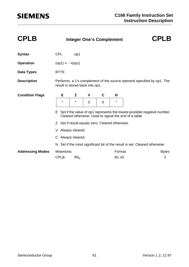| <b>CPLB</b>             |                                                                                                                                    | <b>Integer One's Complement</b>                                                                          |   |   |              |  | <b>CPLB</b>                                                                |  |  |
|-------------------------|------------------------------------------------------------------------------------------------------------------------------------|----------------------------------------------------------------------------------------------------------|---|---|--------------|--|----------------------------------------------------------------------------|--|--|
| <b>Syntax</b>           | <b>CPL</b>                                                                                                                         | op1                                                                                                      |   |   |              |  |                                                                            |  |  |
| <b>Operation</b>        | $(op1) \leftarrow \neg (op1)$                                                                                                      |                                                                                                          |   |   |              |  |                                                                            |  |  |
| <b>Data Types</b>       | <b>BYTE</b>                                                                                                                        |                                                                                                          |   |   |              |  |                                                                            |  |  |
| <b>Description</b>      |                                                                                                                                    | Performs a 1's complement of the source operand specified by op1. The<br>result is stored back into op1. |   |   |              |  |                                                                            |  |  |
| <b>Condition Flags</b>  | Е                                                                                                                                  | Z                                                                                                        | ۷ | C | N            |  |                                                                            |  |  |
|                         | $\star$                                                                                                                            | $\star$                                                                                                  | 0 | 0 | $\star$      |  |                                                                            |  |  |
|                         | E Set if the value of op1 represents the lowest possible negative number.<br>Cleared otherwise. Used to signal the end of a table. |                                                                                                          |   |   |              |  |                                                                            |  |  |
|                         |                                                                                                                                    | Z Set if result equals zero. Cleared otherwise.                                                          |   |   |              |  |                                                                            |  |  |
|                         |                                                                                                                                    | V Always cleared.                                                                                        |   |   |              |  |                                                                            |  |  |
|                         |                                                                                                                                    | C Always cleared.                                                                                        |   |   |              |  |                                                                            |  |  |
|                         |                                                                                                                                    |                                                                                                          |   |   |              |  | N Set if the most significant bit of the result is set. Cleared otherwise. |  |  |
| <b>Addressing Modes</b> | Mnemonic                                                                                                                           |                                                                                                          |   |   | Format       |  | <b>Bytes</b>                                                               |  |  |
|                         | <b>CPLB</b>                                                                                                                        | $Rb_n$                                                                                                   |   |   | <b>B1 n0</b> |  | $\overline{2}$                                                             |  |  |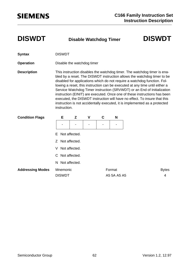**DISWDT Disable Watchdog Timer DISWDT**

| <b>Syntax</b> | <b>DISWDT</b> |
|---------------|---------------|
|               |               |

**Operation Disable the watchdog timer** 

**Description** This instruction disables the watchdog timer. The watchdog timer is enabled by a reset. The DISWDT instruction allows the watchdog timer to be disabled for applications which do not require a watchdog function. Following a reset, this instruction can be executed at any time until either a Service Watchdog Timer instruction (SRVWDT) or an End of Initialization instruction (EINIT) are executed. Once one of these instructions has been executed, the DISWDT instruction will have no effect. To insure that this instruction is not accidentally executed, it is implemented as a protected instruction.

| <b>Condition Flags</b>  | Е               | Z                        | $\mathsf{V}$ | C | N           |  |              |  |  |
|-------------------------|-----------------|--------------------------|--------------|---|-------------|--|--------------|--|--|
|                         |                 | $\overline{\phantom{0}}$ | ٠            |   | -           |  |              |  |  |
|                         |                 | E Not affected.          |              |   |             |  |              |  |  |
|                         | Z Not affected. |                          |              |   |             |  |              |  |  |
|                         | V Not affected. |                          |              |   |             |  |              |  |  |
|                         | C Not affected. |                          |              |   |             |  |              |  |  |
|                         | N Not affected. |                          |              |   |             |  |              |  |  |
| <b>Addressing Modes</b> | Mnemonic        |                          |              |   | Format      |  | <b>Bytes</b> |  |  |
|                         | <b>DISWDT</b>   |                          |              |   | A5 5A A5 A5 |  | 4            |  |  |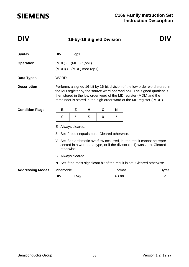### **DIV 16-by-16 Signed Division DIV**

### **Syntax** DIV op1 **Operation** (MDL) ← (MDL) / (op1)  $(MDH) \leftarrow (MDL) \mod (op1)$ **Data Types** WORD **Description** Performs a signed 16-bit by 16-bit division of the low order word stored in the MD register by the source word operand op1. The signed quotient is then stored in the low order word of the MD register (MDL) and the remainder is stored in the high order word of the MD register ( MDH). E Always cleared. Z Set if result equals zero. Cleared otherwise. V Set if an arithmetic overflow occurred, ie. the result cannot be represented in a word data type, or if the divisor (op1) was zero. Cleared otherwise. C Always cleared. N Set if the most significant bit of the result is set. Cleared otherwise. Addressing Modes Mnemonic **Format** Format Bytes DIV Rw<sub>n</sub> 2 **Condition Flags E Z V C N** 0 | \* | S | 0 | \*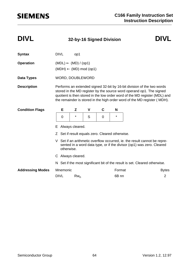### **DIVL 32-by-16 Signed Division DIVL**

| <b>Syntax</b>           | <b>DIVL</b>                                                                                                                                                                                                                                                                                              |                                                                               | op1               |                                                 |          |                  |                                                                            |              |  |
|-------------------------|----------------------------------------------------------------------------------------------------------------------------------------------------------------------------------------------------------------------------------------------------------------------------------------------------------|-------------------------------------------------------------------------------|-------------------|-------------------------------------------------|----------|------------------|----------------------------------------------------------------------------|--------------|--|
| <b>Operation</b>        |                                                                                                                                                                                                                                                                                                          | $(MDL) \leftarrow (MD) / (op1)$<br>$(MDH) \leftarrow (MD) \text{ mod } (op1)$ |                   |                                                 |          |                  |                                                                            |              |  |
| Data Types              |                                                                                                                                                                                                                                                                                                          | WORD, DOUBLEWORD                                                              |                   |                                                 |          |                  |                                                                            |              |  |
| <b>Description</b>      | Performs an extended signed 32-bit by 16-bit division of the two words<br>stored in the MD register by the source word operand op1. The signed<br>quotient is then stored in the low order word of the MD register (MDL) and<br>the remainder is stored in the high order word of the MD register (MDH). |                                                                               |                   |                                                 |          |                  |                                                                            |              |  |
| <b>Condition Flags</b>  |                                                                                                                                                                                                                                                                                                          | Е                                                                             | Z                 | V                                               | C        | N                |                                                                            |              |  |
|                         |                                                                                                                                                                                                                                                                                                          | 0                                                                             | $^\star$          | S                                               | $\Omega$ | $\star$          |                                                                            |              |  |
|                         | Е                                                                                                                                                                                                                                                                                                        |                                                                               | Always cleared.   |                                                 |          |                  |                                                                            |              |  |
|                         |                                                                                                                                                                                                                                                                                                          |                                                                               |                   | Z Set if result equals zero. Cleared otherwise. |          |                  |                                                                            |              |  |
|                         | V Set if an arithmetic overflow occurred, ie. the result cannot be repre-<br>sented in a word data type, or if the divisor (op1) was zero. Cleared<br>otherwise.                                                                                                                                         |                                                                               |                   |                                                 |          |                  |                                                                            |              |  |
|                         |                                                                                                                                                                                                                                                                                                          |                                                                               | C Always cleared. |                                                 |          |                  |                                                                            |              |  |
|                         |                                                                                                                                                                                                                                                                                                          |                                                                               |                   |                                                 |          |                  | N Set if the most significant bit of the result is set. Cleared otherwise. |              |  |
| <b>Addressing Modes</b> |                                                                                                                                                                                                                                                                                                          | Mnemonic                                                                      |                   |                                                 |          | Format           |                                                                            | <b>Bytes</b> |  |
|                         | <b>DIVL</b>                                                                                                                                                                                                                                                                                              |                                                                               | $Rw_n$            |                                                 |          | 6B <sub>nn</sub> |                                                                            | 2            |  |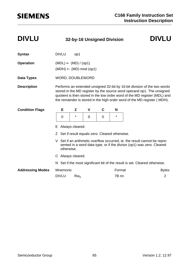### **DIVLU 32-by-16 Unsigned Division DIVLU**

| <b>Syntax</b>           |                                                                                                                                                                  | <b>DIVLU</b>     | op1                                        |   |   |         |                                                                                                                                                                                                                                                                                                              |                |  |
|-------------------------|------------------------------------------------------------------------------------------------------------------------------------------------------------------|------------------|--------------------------------------------|---|---|---------|--------------------------------------------------------------------------------------------------------------------------------------------------------------------------------------------------------------------------------------------------------------------------------------------------------------|----------------|--|
| <b>Operation</b>        |                                                                                                                                                                  |                  | $(MDL) \leftarrow (MD) / (op1)$            |   |   |         |                                                                                                                                                                                                                                                                                                              |                |  |
|                         |                                                                                                                                                                  |                  | $(MDH) \leftarrow (MD) \text{ mod } (op1)$ |   |   |         |                                                                                                                                                                                                                                                                                                              |                |  |
| Data Types              |                                                                                                                                                                  | WORD, DOUBLEWORD |                                            |   |   |         |                                                                                                                                                                                                                                                                                                              |                |  |
| <b>Description</b>      |                                                                                                                                                                  |                  |                                            |   |   |         | Performs an extended unsigned 32-bit by 16-bit division of the two words<br>stored in the MD register by the source word operand op1. The unsigned<br>quotient is then stored in the low order word of the MD register (MDL) and<br>the remainder is stored in the high order word of the MD register (MDH). |                |  |
| <b>Condition Flags</b>  |                                                                                                                                                                  | Е                | Z                                          | V | C | N       |                                                                                                                                                                                                                                                                                                              |                |  |
|                         |                                                                                                                                                                  | $\mathbf 0$      | $^\star$                                   | S | 0 | $\star$ |                                                                                                                                                                                                                                                                                                              |                |  |
|                         | Always cleared.<br>E                                                                                                                                             |                  |                                            |   |   |         |                                                                                                                                                                                                                                                                                                              |                |  |
|                         | Z Set if result equals zero. Cleared otherwise.                                                                                                                  |                  |                                            |   |   |         |                                                                                                                                                                                                                                                                                                              |                |  |
|                         | V Set if an arithmetic overflow occurred, ie. the result cannot be repre-<br>sented in a word data type, or if the divisor (op1) was zero. Cleared<br>otherwise. |                  |                                            |   |   |         |                                                                                                                                                                                                                                                                                                              |                |  |
|                         | C Always cleared.                                                                                                                                                |                  |                                            |   |   |         |                                                                                                                                                                                                                                                                                                              |                |  |
|                         |                                                                                                                                                                  |                  |                                            |   |   |         | N Set if the most significant bit of the result is set. Cleared otherwise.                                                                                                                                                                                                                                   |                |  |
| <b>Addressing Modes</b> |                                                                                                                                                                  | Mnemonic         |                                            |   |   | Format  |                                                                                                                                                                                                                                                                                                              | <b>Bytes</b>   |  |
|                         |                                                                                                                                                                  | <b>DIVLU</b>     | $Rw_n$                                     |   |   | 7B nn   |                                                                                                                                                                                                                                                                                                              | $\overline{2}$ |  |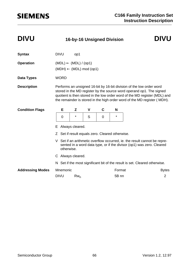### **DIVU 16-by-16 Unsigned Division DIVU**

### **Syntax** DIVU op1 **Operation** (MDL) ← (MDL) / (op1)  $(MDH) \leftarrow (MDL) \mod (op1)$ **Data Types** WORD **Description** Performs an unsigned 16-bit by 16-bit division of the low order word stored in the MD register by the source word operand op1. The signed quotient is then stored in the low order word of the MD register (MDL) and the remainder is stored in the high order word of the MD register ( MDH). E Always cleared. Z Set if result equals zero. Cleared otherwise. V Set if an arithmetic overflow occurred, ie. the result cannot be represented in a word data type, or if the divisor (op1) was zero. Cleared otherwise. C Always cleared. N Set if the most significant bit of the result is set. Cleared otherwise. Addressing Modes Mnemonic **Format** Format Bytes DIVU Rw<sub>n</sub> 2 **Condition Flags E Z V C N** 0 | \* | S | 0 | \*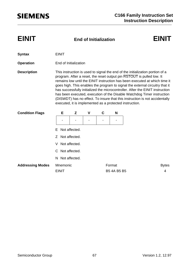| <b>EINIT</b>            |                 |                                                                                                                                                                                                                                                                                                                                                                                                                                                                                                                                                                                                                           |   | <b>End of Initialization</b> |             | EINIT        |  |  |  |  |
|-------------------------|-----------------|---------------------------------------------------------------------------------------------------------------------------------------------------------------------------------------------------------------------------------------------------------------------------------------------------------------------------------------------------------------------------------------------------------------------------------------------------------------------------------------------------------------------------------------------------------------------------------------------------------------------------|---|------------------------------|-------------|--------------|--|--|--|--|
| <b>Syntax</b>           | <b>EINIT</b>    |                                                                                                                                                                                                                                                                                                                                                                                                                                                                                                                                                                                                                           |   |                              |             |              |  |  |  |  |
| <b>Operation</b>        |                 | End of Initialization                                                                                                                                                                                                                                                                                                                                                                                                                                                                                                                                                                                                     |   |                              |             |              |  |  |  |  |
| <b>Description</b>      |                 | This instruction is used to signal the end of the initialization portion of a<br>program. After a reset, the reset output pin RSTOUT is pulled low. It<br>remains low until the EINIT instruction has been executed at which time it<br>goes high. This enables the program to signal the external circuitry that it<br>has successfully initialized the microcontroller. After the EINIT instruction<br>has been executed, execution of the Disable Watchdog Timer instruction<br>(DISWDT) has no effect. To insure that this instruction is not accidentally<br>executed, it is implemented as a protected instruction. |   |                              |             |              |  |  |  |  |
| <b>Condition Flags</b>  | Е               | Z                                                                                                                                                                                                                                                                                                                                                                                                                                                                                                                                                                                                                         | ۷ | C                            | N           |              |  |  |  |  |
|                         |                 |                                                                                                                                                                                                                                                                                                                                                                                                                                                                                                                                                                                                                           |   |                              |             |              |  |  |  |  |
|                         | F.              | Not affected.                                                                                                                                                                                                                                                                                                                                                                                                                                                                                                                                                                                                             |   |                              |             |              |  |  |  |  |
|                         | 7               | Not affected.                                                                                                                                                                                                                                                                                                                                                                                                                                                                                                                                                                                                             |   |                              |             |              |  |  |  |  |
|                         | V               | Not affected.                                                                                                                                                                                                                                                                                                                                                                                                                                                                                                                                                                                                             |   |                              |             |              |  |  |  |  |
|                         | C               | Not affected.                                                                                                                                                                                                                                                                                                                                                                                                                                                                                                                                                                                                             |   |                              |             |              |  |  |  |  |
|                         | N Not affected. |                                                                                                                                                                                                                                                                                                                                                                                                                                                                                                                                                                                                                           |   |                              |             |              |  |  |  |  |
| <b>Addressing Modes</b> | Mnemonic        |                                                                                                                                                                                                                                                                                                                                                                                                                                                                                                                                                                                                                           |   |                              | Format      | <b>Bytes</b> |  |  |  |  |
|                         | <b>EINIT</b>    |                                                                                                                                                                                                                                                                                                                                                                                                                                                                                                                                                                                                                           |   |                              | B5 4A B5 B5 |              |  |  |  |  |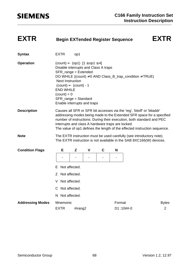| <b>EXTR</b>             | <b>Begin EXTended Register Sequence</b>                                                                                                                                                                                                                                                                                                                            |         |   |   |        |                                                                                                                                             | <b>EXTR</b>       |  |  |
|-------------------------|--------------------------------------------------------------------------------------------------------------------------------------------------------------------------------------------------------------------------------------------------------------------------------------------------------------------------------------------------------------------|---------|---|---|--------|---------------------------------------------------------------------------------------------------------------------------------------------|-------------------|--|--|
| <b>Syntax</b>           | <b>EXTR</b>                                                                                                                                                                                                                                                                                                                                                        | op1     |   |   |        |                                                                                                                                             |                   |  |  |
| <b>Operation</b>        | $\text{(count)} \leftarrow \text{(op1)} [1 \le \text{op1} \le 4]$<br>Disable interrupts and Class A traps<br>SFR_range = Extended<br>DO WHILE ((count) $\neq$ 0 AND Class_B_trap_condition $\neq$ TRUE)<br><b>Next Instruction</b><br>$(count) \leftarrow (count) - 1$<br><b>END WHILE</b><br>$(count) = 0$<br>SFR_range = Standard<br>Enable interrupts and traps |         |   |   |        |                                                                                                                                             |                   |  |  |
| <b>Description</b>      | Causes all SFR or SFR bit accesses via the 'reg', 'bitoff' or 'bitaddr'<br>addressing modes being made to the Extended SFR space for a specified<br>number of instructions. During their execution, both standard and PEC<br>interrupts and class A hardware traps are locked.<br>The value of op1 defines the length of the effected instruction sequence.        |         |   |   |        |                                                                                                                                             |                   |  |  |
| <b>Note</b>             |                                                                                                                                                                                                                                                                                                                                                                    |         |   |   |        | The EXTR instruction must be used carefully (see introductory note).<br>The EXTR instruction is not available in the SAB 8XC166(W) devices. |                   |  |  |
| <b>Condition Flags</b>  | Е                                                                                                                                                                                                                                                                                                                                                                  | Z       | V | C | N      |                                                                                                                                             |                   |  |  |
|                         |                                                                                                                                                                                                                                                                                                                                                                    |         |   |   |        |                                                                                                                                             |                   |  |  |
|                         | Not affected.<br>Е                                                                                                                                                                                                                                                                                                                                                 |         |   |   |        |                                                                                                                                             |                   |  |  |
|                         | Z Not affected.                                                                                                                                                                                                                                                                                                                                                    |         |   |   |        |                                                                                                                                             |                   |  |  |
|                         | Not affected.                                                                                                                                                                                                                                                                                                                                                      |         |   |   |        |                                                                                                                                             |                   |  |  |
|                         | C Not affected.                                                                                                                                                                                                                                                                                                                                                    |         |   |   |        |                                                                                                                                             |                   |  |  |
|                         | N Not affected.                                                                                                                                                                                                                                                                                                                                                    |         |   |   |        |                                                                                                                                             |                   |  |  |
| <b>Addressing Modes</b> | Mnemonic<br><b>EXTR</b>                                                                                                                                                                                                                                                                                                                                            | #irang2 |   |   | Format | D1:10##-0                                                                                                                                   | <b>Bytes</b><br>2 |  |  |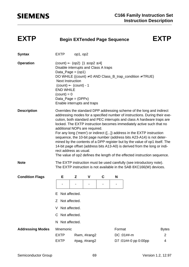| <b>EXTP</b> | <b>Begin EXTended Page Sequence</b> | <b>EXTP</b> |
|-------------|-------------------------------------|-------------|
|-------------|-------------------------------------|-------------|

| <b>Syntax</b>           | <b>EXTP</b>                                                                                                                                                                                                                                                                                                                                                                                                                                                                                                                                                                                                                                                                                                                                                   | op1, op2 |               |   |        |                                                                                                                                             |                |  |
|-------------------------|---------------------------------------------------------------------------------------------------------------------------------------------------------------------------------------------------------------------------------------------------------------------------------------------------------------------------------------------------------------------------------------------------------------------------------------------------------------------------------------------------------------------------------------------------------------------------------------------------------------------------------------------------------------------------------------------------------------------------------------------------------------|----------|---------------|---|--------|---------------------------------------------------------------------------------------------------------------------------------------------|----------------|--|
| <b>Operation</b>        | $\text{(count)} \leftarrow \text{(op2)} \; [1 \le \text{op2} \le 4]$<br>Disable interrupts and Class A traps<br>Data_Page = $(op1)$<br><b>Next Instruction</b><br>$(count) \leftarrow (count) - 1$<br><b>END WHILE</b><br>$\text{(count)} = 0$<br>Data_Page = $(DPPx)$<br>Enable interrupts and traps                                                                                                                                                                                                                                                                                                                                                                                                                                                         |          |               |   |        | DO WHILE ((count) $\neq$ 0 AND Class_B_trap_condition $\neq$ TRUE)                                                                          |                |  |
| <b>Description</b>      | Overrides the standard DPP addressing scheme of the long and indirect<br>addressing modes for a specified number of instructions. During their exe-<br>cution, both standard and PEC interrupts and class A hardware traps are<br>locked. The EXTP instruction becomes immediately active such that no<br>additional NOPs are required.<br>For any long ('mem') or indirect ([]) address in the EXTP instruction<br>sequence, the 10-bit page number (address bits A23-A14) is not deter-<br>mined by the contents of a DPP register but by the value of op1 itself. The<br>14-bit page offset (address bits A13-A0) is derived from the long or indi-<br>rect address as usual.<br>The value of op2 defines the length of the effected instruction sequence. |          |               |   |        |                                                                                                                                             |                |  |
| <b>Note</b>             |                                                                                                                                                                                                                                                                                                                                                                                                                                                                                                                                                                                                                                                                                                                                                               |          |               |   |        | The EXTP instruction must be used carefully (see introductory note).<br>The EXTP instruction is not available in the SAB 8XC166(W) devices. |                |  |
| <b>Condition Flags</b>  | Е                                                                                                                                                                                                                                                                                                                                                                                                                                                                                                                                                                                                                                                                                                                                                             | Z        | V             | C | N      |                                                                                                                                             |                |  |
|                         | Not affected.<br>Е<br>Not affected.<br>Ζ<br>Not affected.<br>C Not affected.<br>Not affected.<br>N.                                                                                                                                                                                                                                                                                                                                                                                                                                                                                                                                                                                                                                                           |          |               |   |        |                                                                                                                                             |                |  |
| <b>Addressing Modes</b> | Mnemonic                                                                                                                                                                                                                                                                                                                                                                                                                                                                                                                                                                                                                                                                                                                                                      |          |               |   | Format |                                                                                                                                             | <b>Bytes</b>   |  |
|                         | <b>EXTP</b>                                                                                                                                                                                                                                                                                                                                                                                                                                                                                                                                                                                                                                                                                                                                                   |          | Rwm, #irang2  |   |        | DC:01##-m                                                                                                                                   | $\overline{2}$ |  |
|                         | <b>EXTP</b>                                                                                                                                                                                                                                                                                                                                                                                                                                                                                                                                                                                                                                                                                                                                                   |          | #pag, #irang2 |   |        | D7:01##-0 pp 0:00pp                                                                                                                         | 4              |  |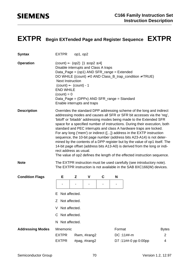### **EXTPR Begin EXTended Page and Register Sequence EXTPR**

| <b>Syntax</b>           | <b>EXTPR</b>                                                                                                                                                                                                                                                                                                                                                                                                                                                                                                                                                                                                                                                                                                                                                                                       | op1, op2 |               |   |        |                                                                                                                                               |                |  |
|-------------------------|----------------------------------------------------------------------------------------------------------------------------------------------------------------------------------------------------------------------------------------------------------------------------------------------------------------------------------------------------------------------------------------------------------------------------------------------------------------------------------------------------------------------------------------------------------------------------------------------------------------------------------------------------------------------------------------------------------------------------------------------------------------------------------------------------|----------|---------------|---|--------|-----------------------------------------------------------------------------------------------------------------------------------------------|----------------|--|
| <b>Operation</b>        | $\text{(count)} \leftarrow \text{(op2)} \; [1 \le \text{op2} \le 4]$<br>Disable interrupts and Class A traps<br>Data_Page = (op1) AND SFR_range = Extended<br><b>Next Instruction</b><br>$(count) \leftarrow (count) - 1$<br><b>END WHILE</b><br>$(count) = 0$<br>Data_Page = (DPPx) AND SFR_range = Standard<br>Enable interrupts and traps                                                                                                                                                                                                                                                                                                                                                                                                                                                       |          |               |   |        | DO WHILE ((count) $\neq$ 0 AND Class_B_trap_condition $\neq$ TRUE)                                                                            |                |  |
| <b>Description</b>      | Overrides the standard DPP addressing scheme of the long and indirect<br>addressing modes and causes all SFR or SFR bit accesses via the 'reg',<br>'bitoff' or 'bitaddr' addressing modes being made to the Extended SFR<br>space for a specified number of instructions. During their execution, both<br>standard and PEC interrupts and class A hardware traps are locked.<br>For any long ('mem') or indirect ([]) address in the EXTP instruction<br>sequence, the 10-bit page number (address bits A23-A14) is not deter-<br>mined by the contents of a DPP register but by the value of op1 itself. The<br>14-bit page offset (address bits A13-A0) is derived from the long or indi-<br>rect address as usual.<br>The value of op2 defines the length of the effected instruction sequence. |          |               |   |        |                                                                                                                                               |                |  |
| <b>Note</b>             |                                                                                                                                                                                                                                                                                                                                                                                                                                                                                                                                                                                                                                                                                                                                                                                                    |          |               |   |        | The EXTPR instruction must be used carefully (see introductory note).<br>The EXTPR instruction is not available in the SAB 8XC166(W) devices. |                |  |
| <b>Condition Flags</b>  | Е                                                                                                                                                                                                                                                                                                                                                                                                                                                                                                                                                                                                                                                                                                                                                                                                  | Z        | V             | C | N      |                                                                                                                                               |                |  |
|                         |                                                                                                                                                                                                                                                                                                                                                                                                                                                                                                                                                                                                                                                                                                                                                                                                    |          |               |   |        |                                                                                                                                               |                |  |
|                         | Not affected.<br>ᆮ                                                                                                                                                                                                                                                                                                                                                                                                                                                                                                                                                                                                                                                                                                                                                                                 |          |               |   |        |                                                                                                                                               |                |  |
|                         | Not affected.<br>Ζ                                                                                                                                                                                                                                                                                                                                                                                                                                                                                                                                                                                                                                                                                                                                                                                 |          |               |   |        |                                                                                                                                               |                |  |
|                         | Not affected.                                                                                                                                                                                                                                                                                                                                                                                                                                                                                                                                                                                                                                                                                                                                                                                      |          |               |   |        |                                                                                                                                               |                |  |
|                         | Not affected.<br>C                                                                                                                                                                                                                                                                                                                                                                                                                                                                                                                                                                                                                                                                                                                                                                                 |          |               |   |        |                                                                                                                                               |                |  |
|                         | N Not affected.                                                                                                                                                                                                                                                                                                                                                                                                                                                                                                                                                                                                                                                                                                                                                                                    |          |               |   |        |                                                                                                                                               |                |  |
| <b>Addressing Modes</b> | Mnemonic                                                                                                                                                                                                                                                                                                                                                                                                                                                                                                                                                                                                                                                                                                                                                                                           |          |               |   | Format |                                                                                                                                               | <b>Bytes</b>   |  |
|                         | <b>EXTPR</b>                                                                                                                                                                                                                                                                                                                                                                                                                                                                                                                                                                                                                                                                                                                                                                                       |          | Rwm, #irang2  |   |        | DC:11##-m                                                                                                                                     | $\overline{2}$ |  |
|                         | <b>EXTPR</b>                                                                                                                                                                                                                                                                                                                                                                                                                                                                                                                                                                                                                                                                                                                                                                                       |          | #pag, #irang2 |   |        | D7:11##-0 pp 0:00pp                                                                                                                           | 4              |  |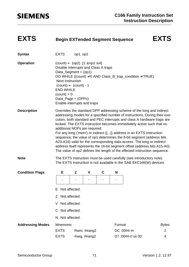| <b>EXTS</b><br><b>EXTS</b><br><b>Begin EXTended Segment Sequence</b> |
|----------------------------------------------------------------------|
|                                                                      |

| <b>Syntax</b>           | <b>EXTS</b>                                                                                                                                                                                                                                                                                                                                                                                                                                                                                                                                                                                                                                                                                                                   | op1, op2 |               |   |        |                                                                                                                                             |              |  |  |
|-------------------------|-------------------------------------------------------------------------------------------------------------------------------------------------------------------------------------------------------------------------------------------------------------------------------------------------------------------------------------------------------------------------------------------------------------------------------------------------------------------------------------------------------------------------------------------------------------------------------------------------------------------------------------------------------------------------------------------------------------------------------|----------|---------------|---|--------|---------------------------------------------------------------------------------------------------------------------------------------------|--------------|--|--|
| <b>Operation</b>        | $\text{(count)} \leftarrow \text{(op2)} [1 \le \text{op2} \le 4]$<br>Disable interrupts and Class A traps<br>Data_Segment = $(op1)$<br><b>Next Instruction</b><br>$(count) \leftarrow (count) - 1$<br><b>END WHILE</b><br>$\text{(count)} = 0$<br>Data_Page = $(DPPx)$<br>Enable interrupts and traps                                                                                                                                                                                                                                                                                                                                                                                                                         |          |               |   |        | DO WHILE ((count) $\neq$ 0 AND Class_B_trap_condition $\neq$ TRUE)                                                                          |              |  |  |
| <b>Description</b>      | Overrides the standard DPP addressing scheme of the long and indirect<br>addressing modes for a specified number of instructions. During their exe-<br>cution, both standard and PEC interrupts and class A hardware traps are<br>locked. The EXTS instruction becomes immediately active such that no<br>additional NOPs are required.<br>For any long ('mem') or indirect ([]) address in an EXTS instruction<br>sequence, the value of op1 determines the 8-bit segment (address bits<br>A23-A16) valid for the corresponding data access. The long or indirect<br>address itself represents the 16-bit segment offset (address bits A15-A0).<br>The value of op2 defines the length of the effected instruction sequence. |          |               |   |        |                                                                                                                                             |              |  |  |
| <b>Note</b>             |                                                                                                                                                                                                                                                                                                                                                                                                                                                                                                                                                                                                                                                                                                                               |          |               |   |        | The EXTS instruction must be used carefully (see introductory note).<br>The EXTS instruction is not available in the SAB 8XC166(W) devices. |              |  |  |
| <b>Condition Flags</b>  | Е                                                                                                                                                                                                                                                                                                                                                                                                                                                                                                                                                                                                                                                                                                                             | Z        | $\mathbf v$   | C | N      |                                                                                                                                             |              |  |  |
|                         |                                                                                                                                                                                                                                                                                                                                                                                                                                                                                                                                                                                                                                                                                                                               | -        |               |   | -      |                                                                                                                                             |              |  |  |
|                         | Not affected.<br>Е                                                                                                                                                                                                                                                                                                                                                                                                                                                                                                                                                                                                                                                                                                            |          |               |   |        |                                                                                                                                             |              |  |  |
|                         | Not affected.                                                                                                                                                                                                                                                                                                                                                                                                                                                                                                                                                                                                                                                                                                                 |          |               |   |        |                                                                                                                                             |              |  |  |
|                         | Not affected.<br>V                                                                                                                                                                                                                                                                                                                                                                                                                                                                                                                                                                                                                                                                                                            |          |               |   |        |                                                                                                                                             |              |  |  |
|                         | Not affected.<br>C.                                                                                                                                                                                                                                                                                                                                                                                                                                                                                                                                                                                                                                                                                                           |          |               |   |        |                                                                                                                                             |              |  |  |
|                         | Not affected.<br>N.                                                                                                                                                                                                                                                                                                                                                                                                                                                                                                                                                                                                                                                                                                           |          |               |   |        |                                                                                                                                             |              |  |  |
| <b>Addressing Modes</b> | Mnemonic                                                                                                                                                                                                                                                                                                                                                                                                                                                                                                                                                                                                                                                                                                                      |          |               |   | Format |                                                                                                                                             | <b>Bytes</b> |  |  |
|                         | <b>EXTS</b>                                                                                                                                                                                                                                                                                                                                                                                                                                                                                                                                                                                                                                                                                                                   |          | Rwm, #irang2  |   |        | DC:00##-m                                                                                                                                   | 2            |  |  |
|                         | <b>EXTS</b>                                                                                                                                                                                                                                                                                                                                                                                                                                                                                                                                                                                                                                                                                                                   |          | #seg, #irang2 |   |        | D7:00##-0 ss 00                                                                                                                             | 4            |  |  |
|                         |                                                                                                                                                                                                                                                                                                                                                                                                                                                                                                                                                                                                                                                                                                                               |          |               |   |        |                                                                                                                                             |              |  |  |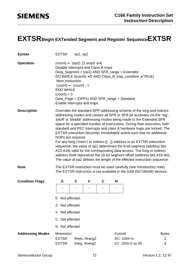### **EXTSR** Begin EXTended Segment and Register Sequence EXTSR

| <b>Syntax</b>           | <b>EXTSR</b>                                                                                                                                                                                                                                                                                                                                                                                                                                                                                                                                                                                                                                                                                                                                                                                                                                                                                                                                   | op1, op2 |                               |   |        |                                                                                                                     |                        |  |  |
|-------------------------|------------------------------------------------------------------------------------------------------------------------------------------------------------------------------------------------------------------------------------------------------------------------------------------------------------------------------------------------------------------------------------------------------------------------------------------------------------------------------------------------------------------------------------------------------------------------------------------------------------------------------------------------------------------------------------------------------------------------------------------------------------------------------------------------------------------------------------------------------------------------------------------------------------------------------------------------|----------|-------------------------------|---|--------|---------------------------------------------------------------------------------------------------------------------|------------------------|--|--|
| <b>Operation</b>        | $\text{(count)} \leftarrow \text{(op2)} \; [1 \le \text{op2} \le 4]$<br>Disable interrupts and Class A traps<br><b>Next Instruction</b><br>$(count) \leftarrow (count) - 1$<br><b>END WHILE</b><br>$(count) = 0$<br>Data_Page = (DPPx) AND SFR_range = Standard<br>Enable interrupts and traps                                                                                                                                                                                                                                                                                                                                                                                                                                                                                                                                                                                                                                                 |          |                               |   |        | Data_Segment = (op1) AND SFR_range = Extended<br>DO WHILE ((count) $\neq$ 0 AND Class_B_trap_condition $\neq$ TRUE) |                        |  |  |
| <b>Description</b>      | Overrides the standard DPP addressing scheme of the long and indirect<br>addressing modes and causes all SFR or SFR bit accesses via the 'reg',<br>'bitoff' or 'bitaddr' addressing modes being made to the Extended SFR<br>space for a specified number of instructions. During their execution, both<br>standard and PEC interrupts and class A hardware traps are locked. The<br>EXTSR instruction becomes immediately active such that no additional<br>NOPs are required.<br>For any long ('mem') or indirect ([]) address in an EXTSR instruction<br>sequence, the value of op1 determines the 8-bit segment (address bits<br>A23-A16) valid for the corresponding data access. The long or indirect<br>address itself represents the 16-bit segment offset (address bits A15-A0).<br>The value of op2 defines the length of the effected instruction sequence.<br>The EXTSR instruction must be used carefully (see introductory note). |          |                               |   |        |                                                                                                                     |                        |  |  |
| <b>Note</b>             |                                                                                                                                                                                                                                                                                                                                                                                                                                                                                                                                                                                                                                                                                                                                                                                                                                                                                                                                                |          |                               |   |        | The EXTSR instruction is not available in the SAB 8XC166(W) devices.                                                |                        |  |  |
| <b>Condition Flags</b>  | Е<br>Not affected.<br>Е<br>Not affected.<br>Ζ<br>Not affected.<br>Not affected.<br>C<br>N Not affected.                                                                                                                                                                                                                                                                                                                                                                                                                                                                                                                                                                                                                                                                                                                                                                                                                                        | Z        | V                             | C | N      |                                                                                                                     |                        |  |  |
| <b>Addressing Modes</b> | Mnemonic<br><b>EXTSR</b><br><b>EXTSR</b>                                                                                                                                                                                                                                                                                                                                                                                                                                                                                                                                                                                                                                                                                                                                                                                                                                                                                                       |          | Rwm, #irang2<br>#seg, #irang2 |   | Format | DC:10##-m<br>D7:10##-0 ss 00                                                                                        | <b>Bytes</b><br>2<br>4 |  |  |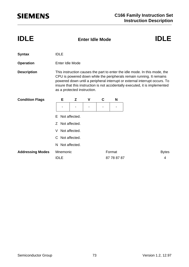| <b>IDLE</b>             |                                 | IDLF |   |   |             |                                                                                                                                                                                                                                                                                                                  |
|-------------------------|---------------------------------|------|---|---|-------------|------------------------------------------------------------------------------------------------------------------------------------------------------------------------------------------------------------------------------------------------------------------------------------------------------------------|
| <b>Syntax</b>           | <b>IDLE</b>                     |      |   |   |             |                                                                                                                                                                                                                                                                                                                  |
| <b>Operation</b>        | Enter Idle Mode                 |      |   |   |             |                                                                                                                                                                                                                                                                                                                  |
| <b>Description</b>      | as a protected instruction.     |      |   |   |             | This instruction causes the part to enter the idle mode. In this mode, the<br>CPU is powered down while the peripherals remain running. It remains<br>powered down until a peripheral interrupt or external interrupt occurs. To<br>insure that this instruction is not accidentally executed, it is implemented |
| <b>Condition Flags</b>  | Е                               | Z    | V | C | N           |                                                                                                                                                                                                                                                                                                                  |
|                         |                                 |      |   |   |             |                                                                                                                                                                                                                                                                                                                  |
|                         | Not affected.<br>F              |      |   |   |             |                                                                                                                                                                                                                                                                                                                  |
|                         | Not affected.<br>$\overline{z}$ |      |   |   |             |                                                                                                                                                                                                                                                                                                                  |
|                         | Not affected.<br>V              |      |   |   |             |                                                                                                                                                                                                                                                                                                                  |
|                         | C Not affected.                 |      |   |   |             |                                                                                                                                                                                                                                                                                                                  |
|                         | N Not affected.                 |      |   |   |             |                                                                                                                                                                                                                                                                                                                  |
| <b>Addressing Modes</b> | Mnemonic                        |      |   |   | Format      | <b>Bytes</b>                                                                                                                                                                                                                                                                                                     |
|                         | <b>IDLE</b>                     |      |   |   | 87 78 87 87 | 4                                                                                                                                                                                                                                                                                                                |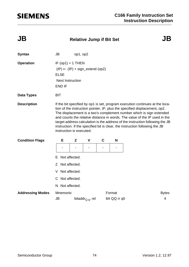| JB | <b>Relative Jump if Bit Set</b> | <b>JB</b> |
|----|---------------------------------|-----------|
|    |                                 |           |

| <b>Syntax</b>           | <b>JB</b>                                                                                                                                                                                                                                                                                                                                                                                                                                                                                                     | op1, op2 |                              |             |                        |             |   |  |  |  |
|-------------------------|---------------------------------------------------------------------------------------------------------------------------------------------------------------------------------------------------------------------------------------------------------------------------------------------------------------------------------------------------------------------------------------------------------------------------------------------------------------------------------------------------------------|----------|------------------------------|-------------|------------------------|-------------|---|--|--|--|
| <b>Operation</b>        | IF $(op1) = 1$ THEN<br>$(IP) \leftarrow (IP) + sign\_extend (op2)$<br><b>ELSE</b><br><b>Next Instruction</b><br><b>END IF</b>                                                                                                                                                                                                                                                                                                                                                                                 |          |                              |             |                        |             |   |  |  |  |
| <b>Data Types</b>       | <b>BIT</b>                                                                                                                                                                                                                                                                                                                                                                                                                                                                                                    |          |                              |             |                        |             |   |  |  |  |
| <b>Description</b>      | If the bit specified by op1 is set, program execution continues at the loca-<br>tion of the instruction pointer, IP, plus the specified displacement, op2.<br>The displacement is a two's complement number which is sign extended<br>and counts the relative distance in words. The value of the IP used in the<br>target address calculation is the address of the instruction following the JB<br>instruction. If the specified bit is clear, the instruction following the JB<br>instruction is executed. |          |                              |             |                        |             |   |  |  |  |
| <b>Condition Flags</b>  | Е                                                                                                                                                                                                                                                                                                                                                                                                                                                                                                             | Z        | V                            | $\mathbf C$ |                        | N           |   |  |  |  |
|                         |                                                                                                                                                                                                                                                                                                                                                                                                                                                                                                               |          |                              |             |                        |             |   |  |  |  |
|                         | Not affected.<br>F.                                                                                                                                                                                                                                                                                                                                                                                                                                                                                           |          |                              |             |                        |             |   |  |  |  |
|                         | Not affected.<br>Z                                                                                                                                                                                                                                                                                                                                                                                                                                                                                            |          |                              |             |                        |             |   |  |  |  |
|                         | Not affected.<br>V                                                                                                                                                                                                                                                                                                                                                                                                                                                                                            |          |                              |             |                        |             |   |  |  |  |
|                         | Not affected.<br>C                                                                                                                                                                                                                                                                                                                                                                                                                                                                                            |          |                              |             |                        |             |   |  |  |  |
|                         | N Not affected.                                                                                                                                                                                                                                                                                                                                                                                                                                                                                               |          |                              |             |                        |             |   |  |  |  |
| <b>Addressing Modes</b> | Mnemonic                                                                                                                                                                                                                                                                                                                                                                                                                                                                                                      |          |                              |             | Format<br><b>Bytes</b> |             |   |  |  |  |
|                         | JB                                                                                                                                                                                                                                                                                                                                                                                                                                                                                                            |          | bitaddr <sub>Q.q</sub> , rel |             |                        | 8A QQ rr q0 | 4 |  |  |  |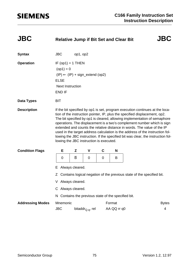| <b>JBC</b>              | <b>Relative Jump if Bit Set and Clear Bit</b>                                                                                                                                                                                                                                                                                                                                                                                                                                                                                                                                                                 |          |                              |             |                                                   |  | <b>JBC</b>        |  |  |
|-------------------------|---------------------------------------------------------------------------------------------------------------------------------------------------------------------------------------------------------------------------------------------------------------------------------------------------------------------------------------------------------------------------------------------------------------------------------------------------------------------------------------------------------------------------------------------------------------------------------------------------------------|----------|------------------------------|-------------|---------------------------------------------------|--|-------------------|--|--|
| <b>Syntax</b>           | <b>JBC</b>                                                                                                                                                                                                                                                                                                                                                                                                                                                                                                                                                                                                    | op1, op2 |                              |             |                                                   |  |                   |  |  |
| <b>Operation</b>        | IF $(op1) = 1$ THEN<br>$(op1) = 0$<br>$(IP) \leftarrow (IP) + sign\_extend (op2)$<br><b>ELSE</b><br><b>Next Instruction</b><br><b>END IF</b>                                                                                                                                                                                                                                                                                                                                                                                                                                                                  |          |                              |             |                                                   |  |                   |  |  |
| <b>Data Types</b>       | <b>BIT</b>                                                                                                                                                                                                                                                                                                                                                                                                                                                                                                                                                                                                    |          |                              |             |                                                   |  |                   |  |  |
| <b>Description</b>      | If the bit specified by op1 is set, program execution continues at the loca-<br>tion of the instruction pointer, IP, plus the specified displacement, op2.<br>The bit specified by op1 is cleared, allowing implementation of semaphore<br>operations. The displacement is a two's complement number which is sign<br>extended and counts the relative distance in words. The value of the IP<br>used in the target address calculation is the address of the instruction fol-<br>lowing the JBC instruction. If the specified bit was clear, the instruction fol-<br>lowing the JBC instruction is executed. |          |                              |             |                                                   |  |                   |  |  |
| <b>Condition Flags</b>  | Е                                                                                                                                                                                                                                                                                                                                                                                                                                                                                                                                                                                                             | Z        | V                            | $\mathbf c$ | N                                                 |  |                   |  |  |
|                         | B<br>0<br>0<br>0<br>B                                                                                                                                                                                                                                                                                                                                                                                                                                                                                                                                                                                         |          |                              |             |                                                   |  |                   |  |  |
|                         | Always cleared.<br>E.                                                                                                                                                                                                                                                                                                                                                                                                                                                                                                                                                                                         |          |                              |             |                                                   |  |                   |  |  |
|                         | Z Contains logical negation of the previous state of the specified bit.<br>Always cleared.<br>C Always cleared.                                                                                                                                                                                                                                                                                                                                                                                                                                                                                               |          |                              |             |                                                   |  |                   |  |  |
|                         |                                                                                                                                                                                                                                                                                                                                                                                                                                                                                                                                                                                                               |          |                              |             |                                                   |  |                   |  |  |
|                         | N.                                                                                                                                                                                                                                                                                                                                                                                                                                                                                                                                                                                                            |          |                              |             | Contains the previous state of the specified bit. |  |                   |  |  |
| <b>Addressing Modes</b> | Mnemonic<br><b>JBC</b>                                                                                                                                                                                                                                                                                                                                                                                                                                                                                                                                                                                        |          | bitaddr <sub>Q.q</sub> , rel |             | Format<br>AA QQ rr q0                             |  | <b>Bytes</b><br>4 |  |  |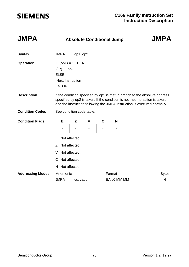| <b>JMPA</b>             | <b>Absolute Conditional Jump</b>                      | <b>JMPA</b>                                                                                                                                                                                                                           |   |   |                       |  |                   |  |  |  |  |
|-------------------------|-------------------------------------------------------|---------------------------------------------------------------------------------------------------------------------------------------------------------------------------------------------------------------------------------------|---|---|-----------------------|--|-------------------|--|--|--|--|
| <b>Syntax</b>           | <b>JMPA</b>                                           | op1, op2                                                                                                                                                                                                                              |   |   |                       |  |                   |  |  |  |  |
| <b>Operation</b>        | $(IP) \leftarrow op2$<br><b>ELSE</b><br><b>END IF</b> | IF $(op1) = 1$ THEN<br><b>Next Instruction</b>                                                                                                                                                                                        |   |   |                       |  |                   |  |  |  |  |
| <b>Description</b>      |                                                       | If the condition specified by op1 is met, a branch to the absolute address<br>specified by op2 is taken. If the condition is not met, no action is taken,<br>and the instruction following the JMPA instruction is executed normally. |   |   |                       |  |                   |  |  |  |  |
| <b>Condition Codes</b>  |                                                       | See condition code table.                                                                                                                                                                                                             |   |   |                       |  |                   |  |  |  |  |
| <b>Condition Flags</b>  | Е                                                     | Z                                                                                                                                                                                                                                     | V | C | N                     |  |                   |  |  |  |  |
|                         | F.                                                    | Not affected.                                                                                                                                                                                                                         |   |   |                       |  |                   |  |  |  |  |
|                         | Z Not affected.                                       |                                                                                                                                                                                                                                       |   |   |                       |  |                   |  |  |  |  |
|                         | Not affected.<br>V                                    |                                                                                                                                                                                                                                       |   |   |                       |  |                   |  |  |  |  |
|                         | C Not affected.                                       |                                                                                                                                                                                                                                       |   |   |                       |  |                   |  |  |  |  |
|                         | N Not affected.                                       |                                                                                                                                                                                                                                       |   |   |                       |  |                   |  |  |  |  |
| <b>Addressing Modes</b> | Mnemonic<br><b>JMPA</b>                               | cc, caddr                                                                                                                                                                                                                             |   |   | Format<br>EA c0 MM MM |  | <b>Bytes</b><br>4 |  |  |  |  |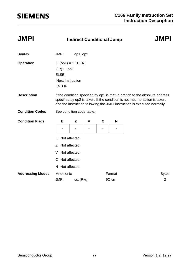| <b>JMPI</b>             | <b>Indirect Conditional Jump</b>                                                                  | <b>JMPI</b>                                                                                                                                                                                                                           |   |   |                 |                                |  |  |  |  |  |
|-------------------------|---------------------------------------------------------------------------------------------------|---------------------------------------------------------------------------------------------------------------------------------------------------------------------------------------------------------------------------------------|---|---|-----------------|--------------------------------|--|--|--|--|--|
| <b>Syntax</b>           | <b>JMPI</b>                                                                                       | op1, op2                                                                                                                                                                                                                              |   |   |                 |                                |  |  |  |  |  |
| <b>Operation</b>        | IF $(op1) = 1$ THEN<br>$(IP) \leftarrow op2$<br><b>ELSE</b><br><b>Next Instruction</b><br>END IF  |                                                                                                                                                                                                                                       |   |   |                 |                                |  |  |  |  |  |
| <b>Description</b>      |                                                                                                   | If the condition specified by op1 is met, a branch to the absolute address<br>specified by op2 is taken. If the condition is not met, no action is taken,<br>and the instruction following the JMPI instruction is executed normally. |   |   |                 |                                |  |  |  |  |  |
| <b>Condition Codes</b>  |                                                                                                   | See condition code table.                                                                                                                                                                                                             |   |   |                 |                                |  |  |  |  |  |
| <b>Condition Flags</b>  | Е                                                                                                 | Z                                                                                                                                                                                                                                     | V | C | N               |                                |  |  |  |  |  |
|                         | Not affected.<br>Е<br>Z Not affected.<br>Not affected.<br>V<br>C Not affected.<br>N Not affected. |                                                                                                                                                                                                                                       |   |   |                 |                                |  |  |  |  |  |
| <b>Addressing Modes</b> | Mnemonic<br><b>JMPI</b>                                                                           | $cc, [Rw_n]$                                                                                                                                                                                                                          |   |   | Format<br>9C cn | <b>Bytes</b><br>$\overline{2}$ |  |  |  |  |  |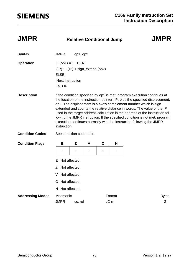| <b>JMPR</b> |  |
|-------------|--|
|-------------|--|

### **JMPR Relative Conditional Jump JMPR**

### **Syntax** JMPR op1, op2 **Operation** IF (op1) = 1 THEN  $(IP) \leftarrow (IP) + sign\_extend (op2)$ ELSE Next Instruction END IF **Description** If the condition specified by op1 is met, program execution continues at the location of the instruction pointer, IP, plus the specified displacement, op2. The displacement is a two's complement number which is sign extended and counts the relative distance in words. The value of the IP used in the target address calculation is the address of the instruction following the JMPR instruction. If the specified condition is not met, program execution continues normally with the instruction following the JMPR instruction. **Condition Codes** See condition code table. E Not affected. **Condition Flags E Z V C N** --- --

- Z Not affected.
- V Not affected.
- C Not affected.
- N Not affected.

| <b>Addressing Modes</b> Mnemonic |             |         | Format | <b>Bytes</b> |
|----------------------------------|-------------|---------|--------|--------------|
|                                  | <b>JMPR</b> | cc. rel | cD rr  |              |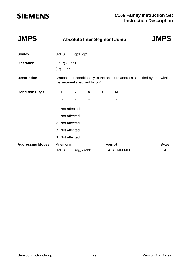| <b>JMPS</b>             | <b>Absolute Inter-Segment Jump</b>              | <b>JMPS</b>                   |   |             |             |  |                                                                          |  |  |  |
|-------------------------|-------------------------------------------------|-------------------------------|---|-------------|-------------|--|--------------------------------------------------------------------------|--|--|--|
| <b>Syntax</b>           | <b>JMPS</b>                                     | op1, op2                      |   |             |             |  |                                                                          |  |  |  |
| <b>Operation</b>        | $(CSP) \leftarrow op1$<br>$(IP) \leftarrow op2$ |                               |   |             |             |  |                                                                          |  |  |  |
| <b>Description</b>      |                                                 | the segment specified by op1. |   |             |             |  | Branches unconditionally to the absolute address specified by op2 within |  |  |  |
| <b>Condition Flags</b>  | Е                                               | Z                             | V | $\mathbf c$ | N           |  |                                                                          |  |  |  |
|                         |                                                 |                               |   |             |             |  |                                                                          |  |  |  |
|                         | Not affected.<br>E.                             |                               |   |             |             |  |                                                                          |  |  |  |
|                         | Not affected.<br>Z                              |                               |   |             |             |  |                                                                          |  |  |  |
|                         | Not affected.<br>V                              |                               |   |             |             |  |                                                                          |  |  |  |
|                         | C Not affected.                                 |                               |   |             |             |  |                                                                          |  |  |  |
|                         | N Not affected.                                 |                               |   |             |             |  |                                                                          |  |  |  |
| <b>Addressing Modes</b> | Mnemonic                                        |                               |   |             | Format      |  | <b>Bytes</b>                                                             |  |  |  |
|                         | <b>JMPS</b>                                     | seg, caddr                    |   |             | FA SS MM MM |  | 4                                                                        |  |  |  |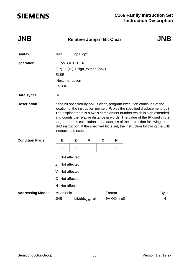### **JNB Relative Jump if Bit Clear JNB**

| <b>Syntax</b>           | <b>JNB</b>                                                                                                                                                                                                                                                                                                                                                                                                                                                                                                    | op1, op2 |                              |             |             |              |  |  |  |
|-------------------------|---------------------------------------------------------------------------------------------------------------------------------------------------------------------------------------------------------------------------------------------------------------------------------------------------------------------------------------------------------------------------------------------------------------------------------------------------------------------------------------------------------------|----------|------------------------------|-------------|-------------|--------------|--|--|--|
| <b>Operation</b>        | IF $(op1) = 0$ THEN<br>$(IP) \leftarrow (IP) + sign\_extend (op2)$<br><b>ELSE</b><br><b>Next Instruction</b><br><b>END IF</b>                                                                                                                                                                                                                                                                                                                                                                                 |          |                              |             |             |              |  |  |  |
| <b>Data Types</b>       | <b>BIT</b>                                                                                                                                                                                                                                                                                                                                                                                                                                                                                                    |          |                              |             |             |              |  |  |  |
| <b>Description</b>      | If the bit specified by op1 is clear, program execution continues at the<br>location of the instruction pointer, IP, plus the specified displacement, op2.<br>The displacement is a two's complement number which is sign extended<br>and counts the relative distance in words. The value of the IP used in the<br>target address calculation is the address of the instruction following the<br>JNB instruction. If the specified bit is set, the instruction following the JNB<br>instruction is executed. |          |                              |             |             |              |  |  |  |
| <b>Condition Flags</b>  | Е                                                                                                                                                                                                                                                                                                                                                                                                                                                                                                             | Z        | V                            | $\mathbf C$ | N           |              |  |  |  |
|                         |                                                                                                                                                                                                                                                                                                                                                                                                                                                                                                               |          |                              |             |             |              |  |  |  |
|                         | Not affected.<br>Е                                                                                                                                                                                                                                                                                                                                                                                                                                                                                            |          |                              |             |             |              |  |  |  |
|                         | Z Not affected.                                                                                                                                                                                                                                                                                                                                                                                                                                                                                               |          |                              |             |             |              |  |  |  |
|                         | Not affected.<br>V                                                                                                                                                                                                                                                                                                                                                                                                                                                                                            |          |                              |             |             |              |  |  |  |
|                         | C Not affected.                                                                                                                                                                                                                                                                                                                                                                                                                                                                                               |          |                              |             |             |              |  |  |  |
|                         | N Not affected.                                                                                                                                                                                                                                                                                                                                                                                                                                                                                               |          |                              |             |             |              |  |  |  |
| <b>Addressing Modes</b> | Mnemonic                                                                                                                                                                                                                                                                                                                                                                                                                                                                                                      |          |                              |             | Format      | <b>Bytes</b> |  |  |  |
|                         | <b>JNB</b>                                                                                                                                                                                                                                                                                                                                                                                                                                                                                                    |          | bitaddr <sub>Q.q</sub> , rel |             | 9A QQ rr q0 | 4            |  |  |  |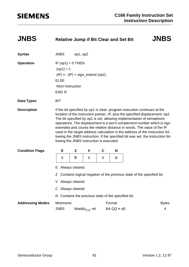| <b>JNBS</b>             | <b>Relative Jump if Bit Clear and Set Bit</b>                                                                                                                                                                                                                                                                                                                                                                                                                                                                                                                                                             |          |                              |                                                   |                       |  | <b>JNBS</b>       |  |  |  |
|-------------------------|-----------------------------------------------------------------------------------------------------------------------------------------------------------------------------------------------------------------------------------------------------------------------------------------------------------------------------------------------------------------------------------------------------------------------------------------------------------------------------------------------------------------------------------------------------------------------------------------------------------|----------|------------------------------|---------------------------------------------------|-----------------------|--|-------------------|--|--|--|
| <b>Syntax</b>           | <b>JNBS</b>                                                                                                                                                                                                                                                                                                                                                                                                                                                                                                                                                                                               | op1, op2 |                              |                                                   |                       |  |                   |  |  |  |
| <b>Operation</b>        | IF $(op1) = 0$ THEN<br>$(op1) = 1$<br>$(IP) \leftarrow (IP) + sign\_extend (op2)$<br><b>ELSE</b><br><b>Next Instruction</b><br><b>END IF</b>                                                                                                                                                                                                                                                                                                                                                                                                                                                              |          |                              |                                                   |                       |  |                   |  |  |  |
| <b>Data Types</b>       | <b>BIT</b>                                                                                                                                                                                                                                                                                                                                                                                                                                                                                                                                                                                                |          |                              |                                                   |                       |  |                   |  |  |  |
| <b>Description</b>      | If the bit specified by op1 is clear, program execution continues at the<br>location of the instruction pointer, IP, plus the specified displacement, op2.<br>The bit specified by op1 is set, allowing implementation of semaphore<br>operations. The displacement is a two's complement number which is sign<br>extended and counts the relative distance in words. The value of the IP<br>used in the target address calculation is the address of the instruction fol-<br>lowing the JNBS instruction. If the specified bit was set, the instruction fol-<br>lowing the JNBS instruction is executed. |          |                              |                                                   |                       |  |                   |  |  |  |
| <b>Condition Flags</b>  | Е                                                                                                                                                                                                                                                                                                                                                                                                                                                                                                                                                                                                         | Z        | V                            | C                                                 | N                     |  |                   |  |  |  |
|                         | B<br>0<br>$\mathbf 0$<br>0<br>B<br>Always cleared.<br>E.                                                                                                                                                                                                                                                                                                                                                                                                                                                                                                                                                  |          |                              |                                                   |                       |  |                   |  |  |  |
|                         | Contains logical negation of the previous state of the specified bit.<br>Z.                                                                                                                                                                                                                                                                                                                                                                                                                                                                                                                               |          |                              |                                                   |                       |  |                   |  |  |  |
|                         | Always cleared.                                                                                                                                                                                                                                                                                                                                                                                                                                                                                                                                                                                           |          |                              |                                                   |                       |  |                   |  |  |  |
|                         | C Always cleared.                                                                                                                                                                                                                                                                                                                                                                                                                                                                                                                                                                                         |          |                              |                                                   |                       |  |                   |  |  |  |
|                         | N                                                                                                                                                                                                                                                                                                                                                                                                                                                                                                                                                                                                         |          |                              | Contains the previous state of the specified bit. |                       |  |                   |  |  |  |
| <b>Addressing Modes</b> | Mnemonic<br><b>JNBS</b>                                                                                                                                                                                                                                                                                                                                                                                                                                                                                                                                                                                   |          | bitaddr <sub>Q.q</sub> , rel |                                                   | Format<br>BA QQ rr q0 |  | <b>Bytes</b><br>4 |  |  |  |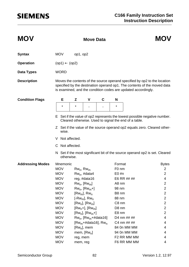| <b>MOV</b>              |                                                                                                                                        | <b>Move Data</b> |                             | <b>MOV</b> |                   |                                                                                                                                                                                                                        |                |  |  |  |  |
|-------------------------|----------------------------------------------------------------------------------------------------------------------------------------|------------------|-----------------------------|------------|-------------------|------------------------------------------------------------------------------------------------------------------------------------------------------------------------------------------------------------------------|----------------|--|--|--|--|
| <b>Syntax</b>           | <b>MOV</b>                                                                                                                             | op1, op2         |                             |            |                   |                                                                                                                                                                                                                        |                |  |  |  |  |
| <b>Operation</b>        | $(op1) \leftarrow (op2)$                                                                                                               |                  |                             |            |                   |                                                                                                                                                                                                                        |                |  |  |  |  |
| <b>Data Types</b>       | <b>WORD</b>                                                                                                                            |                  |                             |            |                   |                                                                                                                                                                                                                        |                |  |  |  |  |
| <b>Description</b>      |                                                                                                                                        |                  |                             |            |                   | Moves the contents of the source operand specified by op2 to the location<br>specified by the destination operand op1. The contents of the moved data<br>is examined, and the condition codes are updated accordingly. |                |  |  |  |  |
| <b>Condition Flags</b>  | Е                                                                                                                                      | Z                | V                           | С          | N                 |                                                                                                                                                                                                                        |                |  |  |  |  |
|                         | $\star$                                                                                                                                | $^\star$         |                             |            | *                 |                                                                                                                                                                                                                        |                |  |  |  |  |
|                         | Set if the value of op2 represents the lowest possible negative number.<br>Е.<br>Cleared otherwise. Used to signal the end of a table. |                  |                             |            |                   |                                                                                                                                                                                                                        |                |  |  |  |  |
|                         | wise.                                                                                                                                  |                  |                             |            |                   | Z Set if the value of the source operand op2 equals zero. Cleared other-                                                                                                                                               |                |  |  |  |  |
|                         |                                                                                                                                        | Not affected.    |                             |            |                   |                                                                                                                                                                                                                        |                |  |  |  |  |
|                         | C Not affected.                                                                                                                        |                  |                             |            |                   |                                                                                                                                                                                                                        |                |  |  |  |  |
|                         | otherwise.                                                                                                                             |                  |                             |            |                   | N Set if the most significant bit of the source operand op2 is set. Cleared                                                                                                                                            |                |  |  |  |  |
| <b>Addressing Modes</b> | Mnemonic                                                                                                                               |                  |                             |            | Format            |                                                                                                                                                                                                                        | <b>Bytes</b>   |  |  |  |  |
|                         | <b>MOV</b>                                                                                                                             | $Rw_n$ , $Rw_m$  |                             |            | F <sub>0</sub> nm |                                                                                                                                                                                                                        | $\overline{2}$ |  |  |  |  |
|                         | <b>MOV</b>                                                                                                                             |                  | $Rw_n$ , #data4             |            | $E0 \#n$          |                                                                                                                                                                                                                        | 2              |  |  |  |  |
|                         | <b>MOV</b>                                                                                                                             |                  | reg, #data16                |            |                   | E6 RR ## ##                                                                                                                                                                                                            | 4              |  |  |  |  |
|                         | <b>MOV</b>                                                                                                                             |                  | $Rw_n$ , $[Rw_m]$           |            | A8 nm             |                                                                                                                                                                                                                        | $\overline{2}$ |  |  |  |  |
|                         | <b>MOV</b>                                                                                                                             |                  | $Rw_n$ , $[Rw_m+]$          |            | 98 nm             |                                                                                                                                                                                                                        | $\overline{c}$ |  |  |  |  |
|                         | <b>MOV</b>                                                                                                                             |                  | $[Rw_m]$ , $Rw_n$           |            | B8 nm             |                                                                                                                                                                                                                        | $\overline{2}$ |  |  |  |  |
|                         | <b>MOV</b>                                                                                                                             |                  | [- $Rw_m$ ], $Rw_n$         |            | 88 nm             |                                                                                                                                                                                                                        | $\overline{c}$ |  |  |  |  |
|                         | <b>MOV</b>                                                                                                                             |                  | $[Rw_n]$ , $[Rw_m]$         |            | C8 nm             |                                                                                                                                                                                                                        | $\overline{2}$ |  |  |  |  |
|                         | <b>MOV</b>                                                                                                                             |                  | $[Rw_n+]$ , $[Rw_m]$        |            | D8 nm             |                                                                                                                                                                                                                        | $\overline{2}$ |  |  |  |  |
|                         | <b>MOV</b>                                                                                                                             |                  | $[Rw_n], [Rw_m+]$           |            | E8 nm             |                                                                                                                                                                                                                        | $\overline{2}$ |  |  |  |  |
|                         | <b>MOV</b>                                                                                                                             |                  | $Rw_n$ , [ $Rw_m$ +#data16] |            |                   | D4 nm ## ##                                                                                                                                                                                                            | 4              |  |  |  |  |
|                         | <b>MOV</b>                                                                                                                             |                  | [ $Rw_m$ +#data16], $Rw_n$  |            |                   | C4 nm ## ##                                                                                                                                                                                                            | 4              |  |  |  |  |
|                         | <b>MOV</b>                                                                                                                             |                  | $[Rw_n]$ , mem              |            |                   | 84 On MM MM                                                                                                                                                                                                            | 4              |  |  |  |  |
|                         | <b>MOV</b>                                                                                                                             |                  | mem, $[Rw_n]$               |            |                   | 94 On MM MM                                                                                                                                                                                                            | 4              |  |  |  |  |
|                         | <b>MOV</b>                                                                                                                             | reg, mem         |                             |            |                   | F2 RR MM MM                                                                                                                                                                                                            | 4              |  |  |  |  |
|                         | <b>MOV</b>                                                                                                                             | mem, reg         |                             |            |                   | F6 RR MM MM                                                                                                                                                                                                            | 4              |  |  |  |  |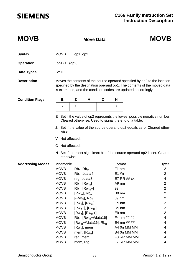| <b>MOVB</b>             |                          |                 | <b>Move Data</b>            |   | <b>MOVB</b> |                                                                                                                                                                                                                        |                         |
|-------------------------|--------------------------|-----------------|-----------------------------|---|-------------|------------------------------------------------------------------------------------------------------------------------------------------------------------------------------------------------------------------------|-------------------------|
| <b>Syntax</b>           | <b>MOVB</b>              | op1, op2        |                             |   |             |                                                                                                                                                                                                                        |                         |
| <b>Operation</b>        | $(op1) \leftarrow (op2)$ |                 |                             |   |             |                                                                                                                                                                                                                        |                         |
| <b>Data Types</b>       | <b>BYTE</b>              |                 |                             |   |             |                                                                                                                                                                                                                        |                         |
| <b>Description</b>      |                          |                 |                             |   |             | Moves the contents of the source operand specified by op2 to the location<br>specified by the destination operand op1. The contents of the moved data<br>is examined, and the condition codes are updated accordingly. |                         |
| <b>Condition Flags</b>  | Е                        | Z               | V                           | C | N           |                                                                                                                                                                                                                        |                         |
|                         | $\star$                  | $\star$         |                             |   | $\star$     |                                                                                                                                                                                                                        |                         |
|                         |                          |                 |                             |   |             | E Set if the value of op2 represents the lowest possible negative number.<br>Cleared otherwise. Used to signal the end of a table.<br>Z Set if the value of the source operand op2 equals zero. Cleared other-         |                         |
|                         | wise.                    |                 |                             |   |             |                                                                                                                                                                                                                        |                         |
|                         | V Not affected.          |                 |                             |   |             |                                                                                                                                                                                                                        |                         |
|                         | C Not affected.          |                 |                             |   |             |                                                                                                                                                                                                                        |                         |
|                         | otherwise.               |                 |                             |   |             | N Set if the most significant bit of the source operand op2 is set. Cleared                                                                                                                                            |                         |
| <b>Addressing Modes</b> | Mnemonic                 |                 |                             |   | Format      |                                                                                                                                                                                                                        | <b>Bytes</b>            |
|                         | <b>MOVB</b>              | $Rb_n$ , $Rb_m$ |                             |   | F1 nm       |                                                                                                                                                                                                                        | $\overline{2}$          |
|                         | <b>MOVB</b>              |                 | $Rb_n$ , #data4             |   | $E1$ #n     |                                                                                                                                                                                                                        | $\overline{2}$          |
|                         | <b>MOVB</b>              |                 | reg, #data8                 |   |             | E7 RR ## xx                                                                                                                                                                                                            | 4                       |
|                         | <b>MOVB</b>              |                 | $Rb_n$ , $[Rw_m]$           |   | A9 nm       |                                                                                                                                                                                                                        | $\overline{\mathbf{c}}$ |
|                         | <b>MOVB</b>              |                 | $Rb_n$ , $[Rw_m+]$          |   | 99 nm       |                                                                                                                                                                                                                        | $\overline{c}$          |
|                         | <b>MOVB</b>              |                 | $[Rw_m]$ , $Rb_n$           |   | B9 nm       |                                                                                                                                                                                                                        | $\overline{2}$          |
|                         | <b>MOVB</b>              |                 | [- $Rw_m$ ], $Rb_n$         |   | 89 nm       |                                                                                                                                                                                                                        | $\overline{2}$          |
|                         | <b>MOVB</b>              |                 | $[Rw_n]$ , $[Rw_m]$         |   | C9 nm       |                                                                                                                                                                                                                        | $\overline{2}$          |
|                         | <b>MOVB</b>              |                 | $[Rw_n+]$ , $[Rw_m]$        |   | D9 nm       |                                                                                                                                                                                                                        | $\overline{2}$          |
|                         | <b>MOVB</b>              |                 | $[Rw_n], [Rw_m+]$           |   | E9 nm       |                                                                                                                                                                                                                        | $\overline{2}$          |
|                         | <b>MOVB</b>              |                 | $Rb_n$ , [ $Rw_m$ +#data16] |   |             | F4 nm ## ##                                                                                                                                                                                                            | 4                       |
|                         | <b>MOVB</b>              |                 | [ $Rw_m$ +#data16], $Rb_n$  |   |             | E4 nm $\#$ # $\#$ ##                                                                                                                                                                                                   | 4                       |
|                         | <b>MOVB</b>              |                 | $[Rw_n]$ , mem              |   |             | A4 On MM MM                                                                                                                                                                                                            | 4                       |
|                         | <b>MOVB</b>              |                 | mem, $[Rw_n]$               |   |             | B4 0n MM MM                                                                                                                                                                                                            | 4                       |
|                         | <b>MOVB</b>              | reg, mem        |                             |   |             | F3 RR MM MM                                                                                                                                                                                                            | 4                       |
|                         | <b>MOVB</b>              | mem, reg        |                             |   |             | F7 RR MM MM                                                                                                                                                                                                            | 4                       |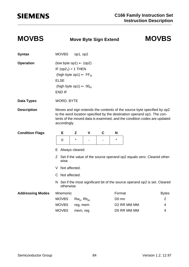### **MOVBS Move Byte Sign Extend MOVBS**

| <b>Syntax</b>           | <b>MOVBS</b>                                                                                                                                                                                                                                   | op1, op2        |   |   |                   |                                                                             |                |
|-------------------------|------------------------------------------------------------------------------------------------------------------------------------------------------------------------------------------------------------------------------------------------|-----------------|---|---|-------------------|-----------------------------------------------------------------------------|----------------|
| <b>Operation</b>        | (low byte op1) $\leftarrow$ (op2)<br>IF $(op27) = 1$ THEN<br>(high byte op1) $\leftarrow$ FF <sub>H</sub><br><b>ELSE</b><br>(high byte op1) $\leftarrow$ 00 <sub>H</sub><br>END IF                                                             |                 |   |   |                   |                                                                             |                |
| <b>Data Types</b>       | WORD, BYTE                                                                                                                                                                                                                                     |                 |   |   |                   |                                                                             |                |
| <b>Description</b>      | Moves and sign extends the contents of the source byte specified by op2<br>to the word location specified by the destination operand op1. The con-<br>tents of the moved data is examined, and the condition codes are updated<br>accordingly. |                 |   |   |                   |                                                                             |                |
| <b>Condition Flags</b>  | Е                                                                                                                                                                                                                                              | Z               | V | C | N                 |                                                                             |                |
|                         | 0                                                                                                                                                                                                                                              | $\star$         |   |   | $\star$           |                                                                             |                |
|                         | E.<br>wise.<br>V Not affected.<br>C Not affected.                                                                                                                                                                                              | Always cleared. |   |   |                   | Z Set if the value of the source operand op2 equals zero. Cleared other-    |                |
|                         | otherwise.                                                                                                                                                                                                                                     |                 |   |   |                   | N Set if the most significant bit of the source operand op2 is set. Cleared |                |
| <b>Addressing Modes</b> | Mnemonic                                                                                                                                                                                                                                       |                 |   |   | Format            |                                                                             | <b>Bytes</b>   |
|                         | <b>MOVBS</b>                                                                                                                                                                                                                                   | $Rw_n$ , $Rb_m$ |   |   | D <sub>0</sub> mn |                                                                             | $\overline{2}$ |
|                         | <b>MOVBS</b>                                                                                                                                                                                                                                   | reg, mem        |   |   |                   | D <sub>2</sub> RR MM MM                                                     | 4              |
|                         | <b>MOVBS</b>                                                                                                                                                                                                                                   | mem, reg        |   |   |                   | D5 RR MM MM                                                                 | 4              |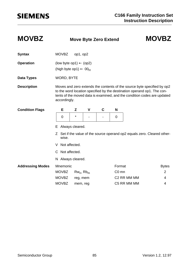### **MOVBZ Move Byte Zero Extend MOVBZ**

| <b>Syntax</b>           | <b>MOVBZ</b>         | op1, op2                                                                          |   |                |                   |                                                                         |                                                                                                                                                     |  |  |  |
|-------------------------|----------------------|-----------------------------------------------------------------------------------|---|----------------|-------------------|-------------------------------------------------------------------------|-----------------------------------------------------------------------------------------------------------------------------------------------------|--|--|--|
| <b>Operation</b>        |                      | (low byte op1) $\leftarrow$ (op2)<br>(high byte op1) $\leftarrow$ 00 <sub>H</sub> |   |                |                   |                                                                         |                                                                                                                                                     |  |  |  |
| Data Types              | <b>WORD, BYTE</b>    |                                                                                   |   |                |                   |                                                                         |                                                                                                                                                     |  |  |  |
| <b>Description</b>      | accordingly.         |                                                                                   |   |                |                   | to the word location specified by the destination operand op1. The con- | Moves and zero extends the contents of the source byte specified by op2<br>tents of the moved data is examined, and the condition codes are updated |  |  |  |
| <b>Condition Flags</b>  | Е                    | Z                                                                                 | V | C              | N                 |                                                                         |                                                                                                                                                     |  |  |  |
|                         | 0                    | $\star$                                                                           |   | $\blacksquare$ | 0                 |                                                                         |                                                                                                                                                     |  |  |  |
|                         | Always cleared.<br>E |                                                                                   |   |                |                   |                                                                         |                                                                                                                                                     |  |  |  |
|                         | Z<br>wise.           |                                                                                   |   |                |                   |                                                                         | Set if the value of the source operand op2 equals zero. Cleared other-                                                                              |  |  |  |
|                         | Not affected.<br>V   |                                                                                   |   |                |                   |                                                                         |                                                                                                                                                     |  |  |  |
|                         | C Not affected.      |                                                                                   |   |                |                   |                                                                         |                                                                                                                                                     |  |  |  |
|                         | N Always cleared.    |                                                                                   |   |                |                   |                                                                         |                                                                                                                                                     |  |  |  |
| <b>Addressing Modes</b> | Mnemonic             |                                                                                   |   |                | Format            |                                                                         | <b>Bytes</b>                                                                                                                                        |  |  |  |
|                         | <b>MOVBZ</b>         | $Rw_n$ , $Rb_m$                                                                   |   |                | C <sub>0</sub> mn |                                                                         | 2                                                                                                                                                   |  |  |  |
|                         | <b>MOVBZ</b>         | reg, mem                                                                          |   |                |                   | C2 RR MM MM                                                             | 4                                                                                                                                                   |  |  |  |
|                         | <b>MOVBZ</b>         | mem, reg                                                                          |   |                |                   | C5 RR MM MM                                                             | 4                                                                                                                                                   |  |  |  |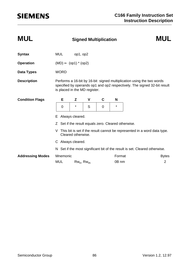| <b>MUL</b>              | <b>MUL</b><br><b>Signed Multiplication</b> |                                                                                                                                                                                    |                 |   |          |                                                                            |                                                                          |  |  |  |
|-------------------------|--------------------------------------------|------------------------------------------------------------------------------------------------------------------------------------------------------------------------------------|-----------------|---|----------|----------------------------------------------------------------------------|--------------------------------------------------------------------------|--|--|--|
| <b>Syntax</b>           | <b>MUL</b>                                 | op1, op2                                                                                                                                                                           |                 |   |          |                                                                            |                                                                          |  |  |  |
| <b>Operation</b>        |                                            | $(MD) \leftarrow (op1) * (op2)$                                                                                                                                                    |                 |   |          |                                                                            |                                                                          |  |  |  |
| Data Types              | <b>WORD</b>                                |                                                                                                                                                                                    |                 |   |          |                                                                            |                                                                          |  |  |  |
| <b>Description</b>      |                                            | Performs a 16-bit by 16-bit signed multiplication using the two words<br>specified by operands op1 and op2 respectively. The signed 32-bit result<br>is placed in the MD register. |                 |   |          |                                                                            |                                                                          |  |  |  |
| <b>Condition Flags</b>  | Е                                          | Z                                                                                                                                                                                  | V               | C | N        |                                                                            |                                                                          |  |  |  |
|                         | $\mathbf 0$                                | $^\star$                                                                                                                                                                           | S               | 0 | $^\star$ |                                                                            |                                                                          |  |  |  |
|                         | Е                                          | Always cleared.                                                                                                                                                                    |                 |   |          |                                                                            |                                                                          |  |  |  |
|                         |                                            | Z Set if the result equals zero. Cleared otherwise.                                                                                                                                |                 |   |          |                                                                            |                                                                          |  |  |  |
|                         | V                                          | Cleared otherwise.                                                                                                                                                                 |                 |   |          |                                                                            | This bit is set if the result cannot be represented in a word data type. |  |  |  |
|                         |                                            | C Always cleared.                                                                                                                                                                  |                 |   |          |                                                                            |                                                                          |  |  |  |
|                         |                                            |                                                                                                                                                                                    |                 |   |          | N Set if the most significant bit of the result is set. Cleared otherwise. |                                                                          |  |  |  |
| <b>Addressing Modes</b> | Mnemonic                                   |                                                                                                                                                                                    |                 |   | Format   |                                                                            | <b>Bytes</b>                                                             |  |  |  |
|                         | <b>MUL</b>                                 |                                                                                                                                                                                    | $Rw_n$ , $Rw_m$ |   | 0B nm    |                                                                            | 2                                                                        |  |  |  |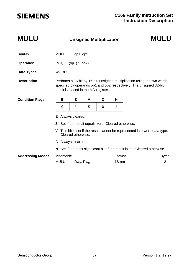| <b>MULU</b>             |             | <b>MULU</b> |                                 |   |                                                   |                  |                                                                                                                                                |
|-------------------------|-------------|-------------|---------------------------------|---|---------------------------------------------------|------------------|------------------------------------------------------------------------------------------------------------------------------------------------|
| <b>Syntax</b>           | <b>MULU</b> |             | op1, op2                        |   |                                                   |                  |                                                                                                                                                |
| <b>Operation</b>        |             |             | $(MD) \leftarrow (op1) * (op2)$ |   |                                                   |                  |                                                                                                                                                |
| Data Types              | <b>WORD</b> |             |                                 |   |                                                   |                  |                                                                                                                                                |
| <b>Description</b>      |             |             |                                 |   | result is placed in the MD register.              |                  | Performs a 16-bit by 16-bit unsigned multiplication using the two words<br>specified by operands op1 and op2 respectively. The unsigned 32-bit |
| <b>Condition Flags</b>  |             | Е           | Z                               | V | C                                                 | N                |                                                                                                                                                |
|                         | 0           |             | $^\star$                        | S | 0                                                 | $\star$          |                                                                                                                                                |
|                         | E.          |             | Always cleared.                 |   |                                                   |                  |                                                                                                                                                |
|                         |             |             |                                 |   | Set if the result equals zero. Cleared otherwise. |                  |                                                                                                                                                |
|                         | V           |             | Cleared otherwise.              |   |                                                   |                  | This bit is set if the result cannot be represented in a word data type.                                                                       |
|                         |             |             | C Always cleared.               |   |                                                   |                  |                                                                                                                                                |
|                         |             |             |                                 |   |                                                   |                  | N Set if the most significant bit of the result is set. Cleared otherwise.                                                                     |
| <b>Addressing Modes</b> |             | Mnemonic    |                                 |   |                                                   | Format           | <b>Bytes</b>                                                                                                                                   |
|                         | <b>MULU</b> |             | $Rw_n$ , $Rw_m$                 |   |                                                   | 1B <sub>nm</sub> | $\overline{2}$                                                                                                                                 |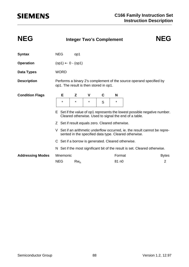| <b>NEG</b>              | <b>NEG</b><br><b>Integer Two's Complement</b> |             |                              |              |                                                    |                   |                                                       |                                                                            |
|-------------------------|-----------------------------------------------|-------------|------------------------------|--------------|----------------------------------------------------|-------------------|-------------------------------------------------------|----------------------------------------------------------------------------|
| <b>Syntax</b>           | <b>NEG</b>                                    |             | op1                          |              |                                                    |                   |                                                       |                                                                            |
| <b>Operation</b>        |                                               |             | $(op1) \leftarrow 0 - (op1)$ |              |                                                    |                   |                                                       |                                                                            |
| Data Types              |                                               | <b>WORD</b> |                              |              |                                                    |                   |                                                       |                                                                            |
| <b>Description</b>      |                                               |             |                              |              | op1. The result is then stored in op1.             |                   |                                                       | Performs a binary 2's complement of the source operand specified by        |
| <b>Condition Flags</b>  |                                               | Е           | Z                            | $\mathsf{v}$ | C                                                  | N                 |                                                       |                                                                            |
|                         |                                               | *           | $\star$                      | *            | S                                                  | $^\star$          |                                                       |                                                                            |
|                         |                                               |             |                              |              |                                                    |                   | Cleared otherwise. Used to signal the end of a table. | E Set if the value of op1 represents the lowest possible negative number.  |
|                         |                                               |             |                              |              | Z Set if result equals zero. Cleared otherwise.    |                   |                                                       |                                                                            |
|                         | V.                                            |             |                              |              |                                                    |                   | sented in the specified data type. Cleared otherwise. | Set if an arithmetic underflow occurred, ie. the result cannot be repre-   |
|                         |                                               |             |                              |              | C Set if a borrow is generated. Cleared otherwise. |                   |                                                       |                                                                            |
|                         |                                               |             |                              |              |                                                    |                   |                                                       | N Set if the most significant bit of the result is set. Cleared otherwise. |
| <b>Addressing Modes</b> |                                               | Mnemonic    |                              |              |                                                    | Format            |                                                       | <b>Bytes</b>                                                               |
|                         | <b>NEG</b>                                    |             | $Rw_n$                       |              |                                                    | 81 n <sub>0</sub> |                                                       | 2                                                                          |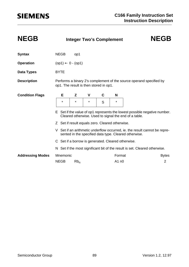| <b>NEGB</b>             |                              | <b>Integer Two's Complement</b> | <b>NEGB</b> |   |                                                    |                 |                                                       |                                                                            |  |  |
|-------------------------|------------------------------|---------------------------------|-------------|---|----------------------------------------------------|-----------------|-------------------------------------------------------|----------------------------------------------------------------------------|--|--|
| <b>Syntax</b>           | <b>NEGB</b>                  |                                 | op1         |   |                                                    |                 |                                                       |                                                                            |  |  |
| <b>Operation</b>        | $(op1) \leftarrow 0 - (op1)$ |                                 |             |   |                                                    |                 |                                                       |                                                                            |  |  |
| Data Types              | <b>BYTE</b>                  |                                 |             |   |                                                    |                 |                                                       |                                                                            |  |  |
| <b>Description</b>      |                              |                                 |             |   | op1. The result is then stored in op1.             |                 |                                                       | Performs a binary 2's complement of the source operand specified by        |  |  |
| <b>Condition Flags</b>  | Е                            |                                 | Z           | V | C                                                  | N               |                                                       |                                                                            |  |  |
|                         | $\star$                      |                                 | $\star$     | * | S                                                  | $^\star$        |                                                       |                                                                            |  |  |
|                         |                              |                                 |             |   |                                                    |                 | Cleared otherwise. Used to signal the end of a table. | E Set if the value of op1 represents the lowest possible negative number.  |  |  |
|                         |                              |                                 |             |   | Z Set if result equals zero. Cleared otherwise.    |                 |                                                       |                                                                            |  |  |
|                         | V                            |                                 |             |   |                                                    |                 | sented in the specified data type. Cleared otherwise. | Set if an arithmetic underflow occurred, ie. the result cannot be repre-   |  |  |
|                         |                              |                                 |             |   | C Set if a borrow is generated. Cleared otherwise. |                 |                                                       |                                                                            |  |  |
|                         |                              |                                 |             |   |                                                    |                 |                                                       | N Set if the most significant bit of the result is set. Cleared otherwise. |  |  |
| <b>Addressing Modes</b> | <b>NEGB</b>                  | Mnemonic                        | $Rb_n$      |   |                                                    | Format<br>A1 n0 |                                                       | <b>Bytes</b><br>$\overline{2}$                                             |  |  |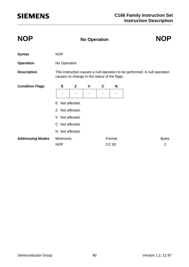| <b>NOP</b>              | <b>NOP</b><br><b>No Operation</b> |                                                                                                                            |   |   |              |                |  |  |  |  |  |
|-------------------------|-----------------------------------|----------------------------------------------------------------------------------------------------------------------------|---|---|--------------|----------------|--|--|--|--|--|
| <b>Syntax</b>           | <b>NOP</b>                        |                                                                                                                            |   |   |              |                |  |  |  |  |  |
| <b>Operation</b>        |                                   | No Operation                                                                                                               |   |   |              |                |  |  |  |  |  |
| <b>Description</b>      |                                   | This instruction causes a null operation to be performed. A null operation<br>causes no change in the status of the flags. |   |   |              |                |  |  |  |  |  |
| <b>Condition Flags</b>  | Е                                 | Z                                                                                                                          | V | C | N            |                |  |  |  |  |  |
|                         |                                   |                                                                                                                            |   |   |              |                |  |  |  |  |  |
|                         | Not affected.<br>E.               |                                                                                                                            |   |   |              |                |  |  |  |  |  |
|                         | Not affected.<br>$\mathcal{Z}$    |                                                                                                                            |   |   |              |                |  |  |  |  |  |
|                         | V                                 | Not affected.                                                                                                              |   |   |              |                |  |  |  |  |  |
|                         |                                   | C Not affected.                                                                                                            |   |   |              |                |  |  |  |  |  |
|                         | N.                                | Not affected.                                                                                                              |   |   |              |                |  |  |  |  |  |
| <b>Addressing Modes</b> | Mnemonic                          |                                                                                                                            |   |   | Format       | <b>Bytes</b>   |  |  |  |  |  |
|                         | <b>NOP</b>                        |                                                                                                                            |   |   | <b>CC 00</b> | $\overline{2}$ |  |  |  |  |  |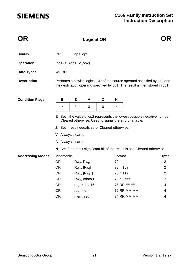| OR.                     |                                                 |                                                                                                                                    | <b>Logical OR</b>  |             |           |                                                                                                                                                         |                |  |  |  |  |
|-------------------------|-------------------------------------------------|------------------------------------------------------------------------------------------------------------------------------------|--------------------|-------------|-----------|---------------------------------------------------------------------------------------------------------------------------------------------------------|----------------|--|--|--|--|
| <b>Syntax</b>           | <b>OR</b>                                       | op1, op2                                                                                                                           |                    |             |           |                                                                                                                                                         |                |  |  |  |  |
| <b>Operation</b>        | $(op1) \leftarrow (op1) \vee (op2)$             |                                                                                                                                    |                    |             |           |                                                                                                                                                         |                |  |  |  |  |
| <b>Data Types</b>       | <b>WORD</b>                                     |                                                                                                                                    |                    |             |           |                                                                                                                                                         |                |  |  |  |  |
| <b>Description</b>      |                                                 |                                                                                                                                    |                    |             |           | Performs a bitwise logical OR of the source operand specified by op2 and<br>the destination operand specified by op1. The result is then stored in op1. |                |  |  |  |  |
| <b>Condition Flags</b>  | Е                                               | Z                                                                                                                                  | V                  | $\mathbf c$ | N         |                                                                                                                                                         |                |  |  |  |  |
|                         | $\star$                                         | $\star$                                                                                                                            | 0                  | 0           | $^\star$  |                                                                                                                                                         |                |  |  |  |  |
|                         |                                                 | E Set if the value of op2 represents the lowest possible negative number.<br>Cleared otherwise. Used to signal the end of a table. |                    |             |           |                                                                                                                                                         |                |  |  |  |  |
|                         | Z Set if result equals zero. Cleared otherwise. |                                                                                                                                    |                    |             |           |                                                                                                                                                         |                |  |  |  |  |
|                         | V Always cleared.                               |                                                                                                                                    |                    |             |           |                                                                                                                                                         |                |  |  |  |  |
|                         | C Always cleared.                               |                                                                                                                                    |                    |             |           |                                                                                                                                                         |                |  |  |  |  |
|                         |                                                 |                                                                                                                                    |                    |             |           | N Set if the most significant bit of the result is set. Cleared otherwise.                                                                              |                |  |  |  |  |
| <b>Addressing Modes</b> | Mnemonic                                        |                                                                                                                                    |                    |             | Format    |                                                                                                                                                         | <b>Bytes</b>   |  |  |  |  |
|                         | <b>OR</b>                                       |                                                                                                                                    | $Rw_n$ , $Rw_m$    |             | 70 nm     |                                                                                                                                                         | $\overline{2}$ |  |  |  |  |
|                         | <b>OR</b>                                       |                                                                                                                                    | $Rw_n$ , $[Rw_i]$  |             | 78 n:10ii |                                                                                                                                                         | $\overline{2}$ |  |  |  |  |
|                         | <b>OR</b>                                       |                                                                                                                                    | $Rw_n$ , $[Rw_i+]$ |             | 78 n:11ii |                                                                                                                                                         | $\overline{2}$ |  |  |  |  |
|                         | <b>OR</b>                                       |                                                                                                                                    | $Rw_n$ , #data3    |             |           | 78 n:0###                                                                                                                                               | $\overline{2}$ |  |  |  |  |
|                         | <b>OR</b>                                       |                                                                                                                                    | reg, #data16       |             |           | 76 RR ## ##                                                                                                                                             | 4              |  |  |  |  |
|                         | <b>OR</b>                                       | reg, mem                                                                                                                           |                    |             |           | 72 RR MM MM                                                                                                                                             | 4              |  |  |  |  |
|                         | <b>OR</b>                                       | mem, reg                                                                                                                           |                    |             |           | 74 RR MM MM                                                                                                                                             | 4              |  |  |  |  |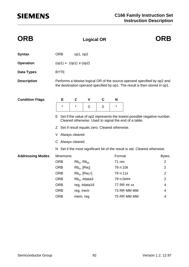| <b>ORB</b>              |                                                                                                                                    |                   | <b>Logical OR</b>  |   | <b>ORB</b> |                                                                                                                                                         |                |  |  |  |
|-------------------------|------------------------------------------------------------------------------------------------------------------------------------|-------------------|--------------------|---|------------|---------------------------------------------------------------------------------------------------------------------------------------------------------|----------------|--|--|--|
| <b>Syntax</b>           | <b>ORB</b>                                                                                                                         | op1, op2          |                    |   |            |                                                                                                                                                         |                |  |  |  |
| <b>Operation</b>        | $(op1) \leftarrow (op1) \vee (op2)$                                                                                                |                   |                    |   |            |                                                                                                                                                         |                |  |  |  |
| <b>Data Types</b>       | <b>BYTE</b>                                                                                                                        |                   |                    |   |            |                                                                                                                                                         |                |  |  |  |
| <b>Description</b>      |                                                                                                                                    |                   |                    |   |            | Performs a bitwise logical OR of the source operand specified by op2 and<br>the destination operand specified by op1. The result is then stored in op1. |                |  |  |  |
| <b>Condition Flags</b>  | Е                                                                                                                                  | Z                 | $\mathbf v$        | C | N          |                                                                                                                                                         |                |  |  |  |
|                         | $\star$                                                                                                                            | $\star$           | $\mathbf 0$        | 0 | $\star$    |                                                                                                                                                         |                |  |  |  |
|                         | E Set if the value of op2 represents the lowest possible negative number.<br>Cleared otherwise. Used to signal the end of a table. |                   |                    |   |            |                                                                                                                                                         |                |  |  |  |
|                         | Z Set if result equals zero. Cleared otherwise.                                                                                    |                   |                    |   |            |                                                                                                                                                         |                |  |  |  |
|                         | V Always cleared.                                                                                                                  |                   |                    |   |            |                                                                                                                                                         |                |  |  |  |
|                         | C Always cleared.                                                                                                                  |                   |                    |   |            |                                                                                                                                                         |                |  |  |  |
|                         |                                                                                                                                    |                   |                    |   |            | N Set if the most significant bit of the result is set. Cleared otherwise.                                                                              |                |  |  |  |
| <b>Addressing Modes</b> | Mnemonic                                                                                                                           |                   |                    |   | Format     |                                                                                                                                                         | <b>Bytes</b>   |  |  |  |
|                         | <b>ORB</b>                                                                                                                         | $Rb_n$ , $Rb_m$   |                    |   | 71 nm      |                                                                                                                                                         | $\overline{2}$ |  |  |  |
|                         | <b>ORB</b>                                                                                                                         | $Rb_n$ , $[Rw_i]$ |                    |   | 79 n:10ii  |                                                                                                                                                         | $\overline{2}$ |  |  |  |
|                         | <b>ORB</b>                                                                                                                         |                   | $Rb_n$ , $[Rw_i+]$ |   | 79 n:11ii  |                                                                                                                                                         | $\overline{2}$ |  |  |  |
|                         | <b>ORB</b>                                                                                                                         |                   | $Rb_n$ , #data3    |   | 79 n:0###  |                                                                                                                                                         | $\overline{2}$ |  |  |  |
|                         | <b>ORB</b>                                                                                                                         |                   | reg, #data16       |   |            | 77 RR ## xx                                                                                                                                             | 4              |  |  |  |
|                         | <b>ORB</b>                                                                                                                         | reg, mem          |                    |   |            | 73 RR MM MM                                                                                                                                             | 4              |  |  |  |
|                         | <b>ORB</b>                                                                                                                         | mem, reg          |                    |   |            | 75 RR MM MM                                                                                                                                             | 4              |  |  |  |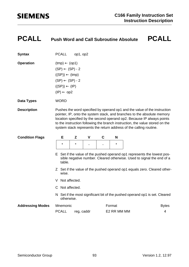### **PCALL Push Word and Call Subroutine Absolute PCALL**

| <b>Syntax</b>          | PCALL                                                                                                                                                                                                                                                                                                                                                                                | op1, op2 |              |   |         |                                                                                                                                                  |  |  |  |
|------------------------|--------------------------------------------------------------------------------------------------------------------------------------------------------------------------------------------------------------------------------------------------------------------------------------------------------------------------------------------------------------------------------------|----------|--------------|---|---------|--------------------------------------------------------------------------------------------------------------------------------------------------|--|--|--|
| <b>Operation</b>       | $(tmp) \leftarrow (op1)$<br>$(SP) \leftarrow (SP) - 2$<br>$((SP)) \leftarrow (tmp)$<br>$(SP) \leftarrow (SP) - 2$<br>$((SP)) \leftarrow (IP)$<br>$(IP) \leftarrow op2$                                                                                                                                                                                                               |          |              |   |         |                                                                                                                                                  |  |  |  |
| Data Types             | <b>WORD</b>                                                                                                                                                                                                                                                                                                                                                                          |          |              |   |         |                                                                                                                                                  |  |  |  |
| <b>Description</b>     | Pushes the word specified by operand op1 and the value of the instruction<br>pointer, IP, onto the system stack, and branches to the absolute memory<br>location specified by the second operand op2. Because IP always points<br>to the instruction following the branch instruction, the value stored on the<br>system stack represents the return address of the calling routine. |          |              |   |         |                                                                                                                                                  |  |  |  |
| <b>Condition Flags</b> | Е                                                                                                                                                                                                                                                                                                                                                                                    | Z        | $\mathsf{v}$ | C | N       |                                                                                                                                                  |  |  |  |
|                        | $\star$                                                                                                                                                                                                                                                                                                                                                                              | $\star$  |              |   | $\star$ |                                                                                                                                                  |  |  |  |
|                        | table.                                                                                                                                                                                                                                                                                                                                                                               |          |              |   |         | E Set if the value of the pushed operand op1 represents the lowest pos-<br>sible negative number. Cleared otherwise. Used to signal the end of a |  |  |  |

- Z Set if the value of the pushed operand op1 equals zero. Cleared otherwise.
- V Not affected.
- C Not affected.
- N Set if the most significant bit of the pushed operand op1 is set. Cleared otherwise.

| <b>Addressing Modes</b> Mnemonic |                  | Format      | <b>Bytes</b> |  |
|----------------------------------|------------------|-------------|--------------|--|
|                                  | PCALL reg. caddr | E2 RR MM MM |              |  |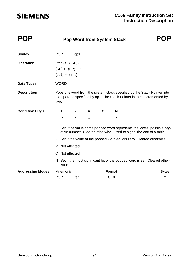| <b>POP</b>              |                                                                                     | <b>Pop Word from System Stack</b> |   |   |         |                                                                                                                                                   |
|-------------------------|-------------------------------------------------------------------------------------|-----------------------------------|---|---|---------|---------------------------------------------------------------------------------------------------------------------------------------------------|
| <b>Syntax</b>           | <b>POP</b>                                                                          | op1                               |   |   |         |                                                                                                                                                   |
| <b>Operation</b>        | $(tmp) \leftarrow ((SP))$<br>$(SP) \leftarrow (SP) + 2$<br>$(op1) \leftarrow (tmp)$ |                                   |   |   |         |                                                                                                                                                   |
| <b>Data Types</b>       | <b>WORD</b>                                                                         |                                   |   |   |         |                                                                                                                                                   |
| <b>Description</b>      | two.                                                                                |                                   |   |   |         | Pops one word from the system stack specified by the Stack Pointer into<br>the operand specified by op1. The Stack Pointer is then incremented by |
| <b>Condition Flags</b>  | Е                                                                                   | Z                                 | V | C | N       |                                                                                                                                                   |
|                         | *                                                                                   | $\star$                           |   |   | $\star$ |                                                                                                                                                   |
|                         |                                                                                     |                                   |   |   |         | E Set if the value of the popped word represents the lowest possible neg-<br>ative number. Cleared otherwise. Used to signal the end of a table.  |
|                         |                                                                                     |                                   |   |   |         | Z Set if the value of the popped word equals zero. Cleared otherwise.                                                                             |
|                         | V                                                                                   | Not affected.                     |   |   |         |                                                                                                                                                   |
|                         | C Not affected.                                                                     |                                   |   |   |         |                                                                                                                                                   |
|                         | wise.                                                                               |                                   |   |   |         | N Set if the most significant bit of the popped word is set. Cleared other-                                                                       |
| <b>Addressing Modes</b> | Mnemonic                                                                            |                                   |   |   | Format  | <b>Bytes</b>                                                                                                                                      |
|                         | <b>POP</b>                                                                          | reg                               |   |   | FC RR   | $\overline{2}$                                                                                                                                    |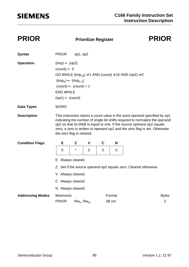### **PRIOR Prioritize Register PRIOR**

| <b>Syntax</b>           | <b>PRIOR</b>                                                                                                                                                                                                                                                                                                                                   | op1, op2        |   |   |        |                                                                 |  |  |  |  |
|-------------------------|------------------------------------------------------------------------------------------------------------------------------------------------------------------------------------------------------------------------------------------------------------------------------------------------------------------------------------------------|-----------------|---|---|--------|-----------------------------------------------------------------|--|--|--|--|
| <b>Operation</b>        | $(tmp) \leftarrow (op2)$<br>$(count) \leftarrow 0$<br>DO WHILE $(tmp_{15}) \neq 1$ AND (count) $\neq 15$ AND (op2) $\neq 0$<br>$(tmp_n) \leftarrow (tmp_{n-1})$<br>$(count) \leftarrow (count) + 1$<br><b>END WHILE</b><br>$(op1) \leftarrow (count)$                                                                                          |                 |   |   |        |                                                                 |  |  |  |  |
| <b>Data Types</b>       | <b>WORD</b>                                                                                                                                                                                                                                                                                                                                    |                 |   |   |        |                                                                 |  |  |  |  |
| <b>Description</b>      | This instruction stores a count value in the word operand specified by op1<br>indicating the number of single bit shifts required to normalize the operand<br>op2 so that its MSB is equal to one. If the source operand op2 equals<br>zero, a zero is written to operand op1 and the zero flag is set. Otherwise<br>the zero flag is cleared. |                 |   |   |        |                                                                 |  |  |  |  |
| <b>Condition Flags</b>  | E                                                                                                                                                                                                                                                                                                                                              | Z               | V | C | N      |                                                                 |  |  |  |  |
|                         | 0                                                                                                                                                                                                                                                                                                                                              | *               | 0 | 0 | 0      |                                                                 |  |  |  |  |
|                         | E                                                                                                                                                                                                                                                                                                                                              | Always cleared. |   |   |        |                                                                 |  |  |  |  |
|                         |                                                                                                                                                                                                                                                                                                                                                |                 |   |   |        | Z Set if the source operand op2 equals zero. Cleared otherwise. |  |  |  |  |
|                         | V Always cleared.                                                                                                                                                                                                                                                                                                                              |                 |   |   |        |                                                                 |  |  |  |  |
|                         | C Always cleared.                                                                                                                                                                                                                                                                                                                              |                 |   |   |        |                                                                 |  |  |  |  |
|                         | N Always cleared.                                                                                                                                                                                                                                                                                                                              |                 |   |   |        |                                                                 |  |  |  |  |
| <b>Addressing Modes</b> | Mnemonic                                                                                                                                                                                                                                                                                                                                       |                 |   |   | Format | <b>Bytes</b>                                                    |  |  |  |  |
|                         | <b>PRIOR</b>                                                                                                                                                                                                                                                                                                                                   | $Rw_n$ , $Rw_m$ |   |   | 2B nm  | 2                                                               |  |  |  |  |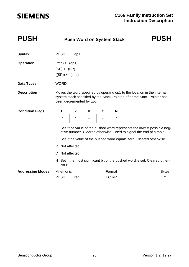| <b>PUSH</b>             | <b>Push Word on System Stack</b>                                                    | <b>PUSH</b>   |   |   |             |                                                                                                                                                     |
|-------------------------|-------------------------------------------------------------------------------------|---------------|---|---|-------------|-----------------------------------------------------------------------------------------------------------------------------------------------------|
| <b>Syntax</b>           | <b>PUSH</b>                                                                         | op1           |   |   |             |                                                                                                                                                     |
| <b>Operation</b>        | $(tmp) \leftarrow (op1)$<br>$(SP) \leftarrow (SP) - 2$<br>$((SP)) \leftarrow (tmp)$ |               |   |   |             |                                                                                                                                                     |
| <b>Data Types</b>       | <b>WORD</b>                                                                         |               |   |   |             |                                                                                                                                                     |
| <b>Description</b>      | been decremented by two.                                                            |               |   |   |             | Moves the word specified by operand op1 to the location in the internal<br>system stack specified by the Stack Pointer, after the Stack Pointer has |
| <b>Condition Flags</b>  | Е                                                                                   | Z             | V | C | N           |                                                                                                                                                     |
|                         | $\star$                                                                             | $\star$       |   |   | $\star$     |                                                                                                                                                     |
|                         |                                                                                     |               |   |   |             | E Set if the value of the pushed word represents the lowest possible neg-<br>ative number. Cleared otherwise. Used to signal the end of a table.    |
|                         |                                                                                     |               |   |   |             | Z Set if the value of the pushed word equals zero. Cleared otherwise.                                                                               |
|                         | V.                                                                                  | Not affected. |   |   |             |                                                                                                                                                     |
|                         | C Not affected.                                                                     |               |   |   |             |                                                                                                                                                     |
|                         | wise.                                                                               |               |   |   |             | N Set if the most significant bit of the pushed word is set. Cleared other-                                                                         |
| <b>Addressing Modes</b> | Mnemonic                                                                            |               |   |   | Format      | <b>Bytes</b>                                                                                                                                        |
|                         | <b>PUSH</b>                                                                         | reg           |   |   | <b>ECRR</b> | $\overline{2}$                                                                                                                                      |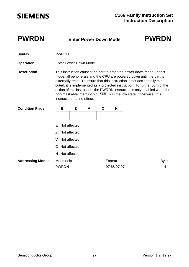### **PWRDN Enter Power Down Mode PWRDN**

- **Syntax** PWRDN
- **Operation** Enter Power Down Mode

**Description** This instruction causes the part to enter the power down mode. In this mode, all peripherals and the CPU are powered down until the part is externally reset. To insure that this instruction is not accidentally executed, it is implemented as a protected instruction. To further control the action of this instruction, the PWRDN instruction is only enabled when the non-maskable interrupt pin (NMI) is in the low state. Otherwise, this instruction has no effect.

| <b>Condition Flags</b>  |                    | Е                        | Z               | $\mathsf{V}$ | C | N                     |  |                   |  |
|-------------------------|--------------------|--------------------------|-----------------|--------------|---|-----------------------|--|-------------------|--|
|                         |                    |                          |                 | ۰            |   |                       |  |                   |  |
|                         |                    |                          | E Not affected. |              |   |                       |  |                   |  |
|                         |                    |                          | Z Not affected. |              |   |                       |  |                   |  |
|                         | Not affected.<br>V |                          |                 |              |   |                       |  |                   |  |
|                         | C Not affected.    |                          |                 |              |   |                       |  |                   |  |
|                         |                    |                          | N Not affected. |              |   |                       |  |                   |  |
| <b>Addressing Modes</b> |                    | Mnemonic<br><b>PWRDN</b> |                 |              |   | Format<br>97 68 97 97 |  | <b>Bytes</b><br>4 |  |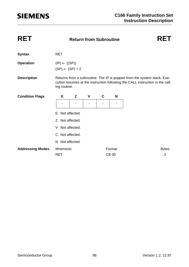| <b>RET</b>              |                          |                            |   |   |              |  |                                                                                                                                                          |                |
|-------------------------|--------------------------|----------------------------|---|---|--------------|--|----------------------------------------------------------------------------------------------------------------------------------------------------------|----------------|
| <b>Syntax</b>           | <b>RET</b>               |                            |   |   |              |  |                                                                                                                                                          |                |
| <b>Operation</b>        | $(IP) \leftarrow ((SP))$ | $(SP) \leftarrow (SP) + 2$ |   |   |              |  |                                                                                                                                                          |                |
| <b>Description</b>      | ing routine.             |                            |   |   |              |  | Returns from a subroutine. The IP is popped from the system stack. Exe-<br>cution resumes at the instruction following the CALL instruction in the call- |                |
| <b>Condition Flags</b>  | Е                        | Z                          | V | C | N            |  |                                                                                                                                                          |                |
|                         |                          |                            |   |   |              |  |                                                                                                                                                          |                |
|                         | Е                        | Not affected.              |   |   |              |  |                                                                                                                                                          |                |
|                         | Z Not affected.          |                            |   |   |              |  |                                                                                                                                                          |                |
|                         | V                        | Not affected.              |   |   |              |  |                                                                                                                                                          |                |
|                         | C Not affected.          |                            |   |   |              |  |                                                                                                                                                          |                |
|                         | N Not affected.          |                            |   |   |              |  |                                                                                                                                                          |                |
| <b>Addressing Modes</b> | Mnemonic                 |                            |   |   | Format       |  |                                                                                                                                                          | <b>Bytes</b>   |
|                         | <b>RET</b>               |                            |   |   | <b>CB 00</b> |  |                                                                                                                                                          | $\overline{2}$ |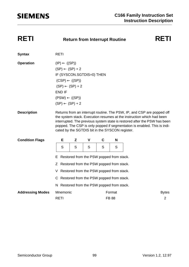| <b>RETI</b><br><b>Syntax</b><br><b>Operation</b><br>$(IP) \leftarrow ((SP))$<br>$(SP) \leftarrow (SP) + 2$<br>IF (SYSCON.SGTDIS=0) THEN<br>$(CSP) \leftarrow ((SP))$<br>$(SP) \leftarrow (SP) + 2$<br><b>END IF</b><br>$(PSW) \leftarrow ((SP))$<br>$(SP) \leftarrow (SP) + 2$<br><b>Description</b><br>Returns from an interrupt routine. The PSW, IP, and CSP are popped off<br>the system stack. Execution resumes at the instruction which had been<br>interrupted. The previous system state is restored after the PSW has been<br>popped. The CSP is only popped if segmentation is enabled. This is indi-<br>cated by the SGTDIS bit in the SYSCON register.<br><b>Condition Flags</b><br>E<br>Z<br>C<br>N<br>V<br>S<br>S<br>S<br>S<br>S<br>Restored from the PSW popped from stack.<br>E.<br>Z Restored from the PSW popped from stack.<br>V Restored from the PSW popped from stack.<br>C Restored from the PSW popped from stack.<br>N Restored from the PSW popped from stack.<br><b>Addressing Modes</b><br>Mnemonic<br>Format<br><b>Bytes</b><br><b>RETI</b><br><b>FB 88</b><br>$\overline{2}$ | RETI | <b>Return from Interrupt Routine</b> | RETI |  |  |  |
|-------------------------------------------------------------------------------------------------------------------------------------------------------------------------------------------------------------------------------------------------------------------------------------------------------------------------------------------------------------------------------------------------------------------------------------------------------------------------------------------------------------------------------------------------------------------------------------------------------------------------------------------------------------------------------------------------------------------------------------------------------------------------------------------------------------------------------------------------------------------------------------------------------------------------------------------------------------------------------------------------------------------------------------------------------------------------------------------------------------|------|--------------------------------------|------|--|--|--|
|                                                                                                                                                                                                                                                                                                                                                                                                                                                                                                                                                                                                                                                                                                                                                                                                                                                                                                                                                                                                                                                                                                             |      |                                      |      |  |  |  |
|                                                                                                                                                                                                                                                                                                                                                                                                                                                                                                                                                                                                                                                                                                                                                                                                                                                                                                                                                                                                                                                                                                             |      |                                      |      |  |  |  |
|                                                                                                                                                                                                                                                                                                                                                                                                                                                                                                                                                                                                                                                                                                                                                                                                                                                                                                                                                                                                                                                                                                             |      |                                      |      |  |  |  |
|                                                                                                                                                                                                                                                                                                                                                                                                                                                                                                                                                                                                                                                                                                                                                                                                                                                                                                                                                                                                                                                                                                             |      |                                      |      |  |  |  |
|                                                                                                                                                                                                                                                                                                                                                                                                                                                                                                                                                                                                                                                                                                                                                                                                                                                                                                                                                                                                                                                                                                             |      |                                      |      |  |  |  |
|                                                                                                                                                                                                                                                                                                                                                                                                                                                                                                                                                                                                                                                                                                                                                                                                                                                                                                                                                                                                                                                                                                             |      |                                      |      |  |  |  |
|                                                                                                                                                                                                                                                                                                                                                                                                                                                                                                                                                                                                                                                                                                                                                                                                                                                                                                                                                                                                                                                                                                             |      |                                      |      |  |  |  |
|                                                                                                                                                                                                                                                                                                                                                                                                                                                                                                                                                                                                                                                                                                                                                                                                                                                                                                                                                                                                                                                                                                             |      |                                      |      |  |  |  |
|                                                                                                                                                                                                                                                                                                                                                                                                                                                                                                                                                                                                                                                                                                                                                                                                                                                                                                                                                                                                                                                                                                             |      |                                      |      |  |  |  |
|                                                                                                                                                                                                                                                                                                                                                                                                                                                                                                                                                                                                                                                                                                                                                                                                                                                                                                                                                                                                                                                                                                             |      |                                      |      |  |  |  |
|                                                                                                                                                                                                                                                                                                                                                                                                                                                                                                                                                                                                                                                                                                                                                                                                                                                                                                                                                                                                                                                                                                             |      |                                      |      |  |  |  |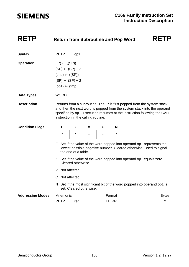| <b>RETP</b>             | <b>Return from Subroutine and Pop Word</b>           |                                                                                                                                                                                                                                                                        | <b>RETP</b>                                                                           |                         |   |         |  |                                                                                                                                             |  |  |
|-------------------------|------------------------------------------------------|------------------------------------------------------------------------------------------------------------------------------------------------------------------------------------------------------------------------------------------------------------------------|---------------------------------------------------------------------------------------|-------------------------|---|---------|--|---------------------------------------------------------------------------------------------------------------------------------------------|--|--|
| <b>Syntax</b>           | <b>RETP</b>                                          |                                                                                                                                                                                                                                                                        | op1                                                                                   |                         |   |         |  |                                                                                                                                             |  |  |
| <b>Operation</b>        | $(IP) \leftarrow ((SP))$<br>$(op1) \leftarrow (tmp)$ |                                                                                                                                                                                                                                                                        | $(SP) \leftarrow (SP) + 2$<br>$(tmp) \leftarrow ((SP))$<br>$(SP) \leftarrow (SP) + 2$ |                         |   |         |  |                                                                                                                                             |  |  |
| <b>Data Types</b>       | <b>WORD</b>                                          |                                                                                                                                                                                                                                                                        |                                                                                       |                         |   |         |  |                                                                                                                                             |  |  |
| <b>Description</b>      |                                                      | Returns from a subroutine. The IP is first popped from the system stack<br>and then the next word is popped from the system stack into the operand<br>specified by op1. Execution resumes at the instruction following the CALL<br>instruction in the calling routine. |                                                                                       |                         |   |         |  |                                                                                                                                             |  |  |
| <b>Condition Flags</b>  | Е                                                    |                                                                                                                                                                                                                                                                        | Z                                                                                     | V                       | C | N       |  |                                                                                                                                             |  |  |
|                         | $\star$                                              |                                                                                                                                                                                                                                                                        | $\star$                                                                               |                         |   | $\star$ |  |                                                                                                                                             |  |  |
|                         |                                                      |                                                                                                                                                                                                                                                                        | the end of a table.                                                                   |                         |   |         |  | E Set if the value of the word popped into operand op1 represents the<br>lowest possible negative number. Cleared otherwise. Used to signal |  |  |
|                         |                                                      |                                                                                                                                                                                                                                                                        | Cleared otherwise.                                                                    |                         |   |         |  | Z Set if the value of the word popped into operand op1 equals zero.                                                                         |  |  |
|                         |                                                      |                                                                                                                                                                                                                                                                        | V Not affected.                                                                       |                         |   |         |  |                                                                                                                                             |  |  |
|                         |                                                      |                                                                                                                                                                                                                                                                        | C Not affected.                                                                       |                         |   |         |  |                                                                                                                                             |  |  |
|                         |                                                      |                                                                                                                                                                                                                                                                        |                                                                                       | set. Cleared otherwise. |   |         |  | N Set if the most significant bit of the word popped into operand op1 is                                                                    |  |  |
| <b>Addressing Modes</b> | Mnemonic                                             |                                                                                                                                                                                                                                                                        |                                                                                       |                         |   | Format  |  | <b>Bytes</b>                                                                                                                                |  |  |
|                         | <b>RETP</b>                                          |                                                                                                                                                                                                                                                                        | reg                                                                                   |                         |   | EB RR   |  | $\overline{2}$                                                                                                                              |  |  |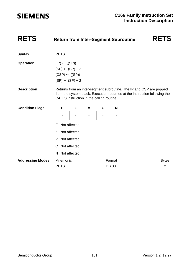| <b>RETS</b>             | <b>Return from Inter-Segment Subroutine</b>                                                                       |                                           |              |   |              | <b>RETS</b>                                                                                                                                      |
|-------------------------|-------------------------------------------------------------------------------------------------------------------|-------------------------------------------|--------------|---|--------------|--------------------------------------------------------------------------------------------------------------------------------------------------|
| <b>Syntax</b>           | <b>RETS</b>                                                                                                       |                                           |              |   |              |                                                                                                                                                  |
| <b>Operation</b>        | $(IP) \leftarrow ((SP))$<br>$(SP) \leftarrow (SP) + 2$<br>$(CSP) \leftarrow ((SP))$<br>$(SP) \leftarrow (SP) + 2$ |                                           |              |   |              |                                                                                                                                                  |
| <b>Description</b>      |                                                                                                                   | CALLS instruction in the calling routine. |              |   |              | Returns from an inter-segment subroutine. The IP and CSP are popped<br>from the system stack. Execution resumes at the instruction following the |
| <b>Condition Flags</b>  | E                                                                                                                 | Z                                         | $\mathsf{V}$ | C | N            |                                                                                                                                                  |
|                         |                                                                                                                   |                                           |              |   |              |                                                                                                                                                  |
|                         | Е                                                                                                                 | Not affected.                             |              |   |              |                                                                                                                                                  |
|                         | $\mathcal{Z}$                                                                                                     | Not affected.                             |              |   |              |                                                                                                                                                  |
|                         | V                                                                                                                 | Not affected.                             |              |   |              |                                                                                                                                                  |
|                         | C Not affected.                                                                                                   |                                           |              |   |              |                                                                                                                                                  |
|                         | N Not affected.                                                                                                   |                                           |              |   |              |                                                                                                                                                  |
| <b>Addressing Modes</b> | Mnemonic                                                                                                          |                                           |              |   | Format       | <b>Bytes</b>                                                                                                                                     |
|                         | <b>RETS</b>                                                                                                       |                                           |              |   | <b>DB 00</b> | $\overline{2}$                                                                                                                                   |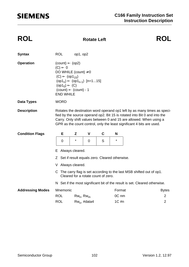### **ROL Rotate Left ROL**

| <b>Syntax</b>           | <b>ROL</b>                                                                                                                                                                                                                                                                                            | op1, op2        |                 |                                     |                              |                                                                            |  |  |  |
|-------------------------|-------------------------------------------------------------------------------------------------------------------------------------------------------------------------------------------------------------------------------------------------------------------------------------------------------|-----------------|-----------------|-------------------------------------|------------------------------|----------------------------------------------------------------------------|--|--|--|
| <b>Operation</b>        | $(count) \leftarrow (op2)$<br>$(C) \leftarrow 0$<br>DO WHILE (count) $\neq$ 0<br>$(C) \leftarrow (op1_{15})$<br>$(op1_n) \leftarrow (op1_{n-1})$ [n=115]<br>$(op1_0) \leftarrow (C)$<br>$(count) \leftarrow (count) - 1$<br><b>END WHILE</b>                                                          |                 |                 |                                     |                              |                                                                            |  |  |  |
| <b>Data Types</b>       | <b>WORD</b>                                                                                                                                                                                                                                                                                           |                 |                 |                                     |                              |                                                                            |  |  |  |
| <b>Description</b>      | Rotates the destination word operand op1 left by as many times as speci-<br>fied by the source operand op2. Bit 15 is rotated into Bit 0 and into the<br>Carry. Only shift values between 0 and 15 are allowed. When using a<br>GPR as the count control, only the least significant 4 bits are used. |                 |                 |                                     |                              |                                                                            |  |  |  |
| <b>Condition Flags</b>  | Е                                                                                                                                                                                                                                                                                                     | Z               | V               | C                                   | N                            |                                                                            |  |  |  |
|                         | 0                                                                                                                                                                                                                                                                                                     | $\star$         | 0               | S                                   | $\star$                      |                                                                            |  |  |  |
|                         | Е.                                                                                                                                                                                                                                                                                                    | Always cleared. |                 |                                     |                              |                                                                            |  |  |  |
|                         | Z Set if result equals zero. Cleared otherwise.                                                                                                                                                                                                                                                       |                 |                 |                                     |                              |                                                                            |  |  |  |
|                         | V Always cleared.                                                                                                                                                                                                                                                                                     |                 |                 |                                     |                              |                                                                            |  |  |  |
|                         |                                                                                                                                                                                                                                                                                                       |                 |                 | Cleared for a rotate count of zero. |                              | C The carry flag is set according to the last MSB shifted out of op1.      |  |  |  |
|                         |                                                                                                                                                                                                                                                                                                       |                 |                 |                                     |                              | N Set if the most significant bit of the result is set. Cleared otherwise. |  |  |  |
| <b>Addressing Modes</b> |                                                                                                                                                                                                                                                                                                       |                 |                 |                                     |                              |                                                                            |  |  |  |
|                         | Mnemonic                                                                                                                                                                                                                                                                                              |                 |                 |                                     | Format                       | <b>Bytes</b>                                                               |  |  |  |
|                         | <b>ROL</b><br><b>ROL</b>                                                                                                                                                                                                                                                                              | $Rw_n$ , $Rw_m$ | $Rw_n$ , #data4 |                                     | 0C <sub>nm</sub><br>$1C \#n$ | 2<br>$\overline{2}$                                                        |  |  |  |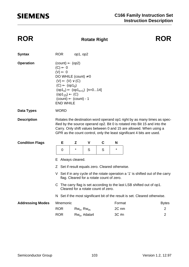### **ROR Rotate Right ROR**

| <b>Syntax</b>           | <b>ROR</b>                                                                                                                                                                                                                                                                                             |                                                                                                                                           | op1, op2                                                      |                                          |                                                 |                |                                                                                 |                                  |
|-------------------------|--------------------------------------------------------------------------------------------------------------------------------------------------------------------------------------------------------------------------------------------------------------------------------------------------------|-------------------------------------------------------------------------------------------------------------------------------------------|---------------------------------------------------------------|------------------------------------------|-------------------------------------------------|----------------|---------------------------------------------------------------------------------|----------------------------------|
| <b>Operation</b>        | $(C) \leftarrow 0$<br>$(V) \leftarrow 0$                                                                                                                                                                                                                                                               | $(count) \leftarrow (op2)$<br>$(V) \leftarrow (V) \vee (C)$<br>$(C) \leftarrow (op10)$<br>$(op1_{15}) \leftarrow (C)$<br><b>END WHILE</b> | DO WHILE (count) $\neq$ 0<br>$(count) \leftarrow (count) - 1$ | $(op1_n) \leftarrow (op1_{n+1})$ [n=014] |                                                 |                |                                                                                 |                                  |
| <b>Data Types</b>       | <b>WORD</b>                                                                                                                                                                                                                                                                                            |                                                                                                                                           |                                                               |                                          |                                                 |                |                                                                                 |                                  |
| <b>Description</b>      | Rotates the destination word operand op1 right by as many times as spec-<br>ified by the source operand op2. Bit 0 is rotated into Bit 15 and into the<br>Carry. Only shift values between 0 and 15 are allowed. When using a<br>GPR as the count control, only the least significant 4 bits are used. |                                                                                                                                           |                                                               |                                          |                                                 |                |                                                                                 |                                  |
| <b>Condition Flags</b>  | E                                                                                                                                                                                                                                                                                                      |                                                                                                                                           | Z                                                             | V                                        | $\mathbf C$                                     | N              |                                                                                 |                                  |
|                         | $\mathbf 0$                                                                                                                                                                                                                                                                                            |                                                                                                                                           | $\star$                                                       | S                                        | S                                               | $\star$        |                                                                                 |                                  |
|                         | E Always cleared.                                                                                                                                                                                                                                                                                      |                                                                                                                                           |                                                               |                                          |                                                 |                |                                                                                 |                                  |
|                         |                                                                                                                                                                                                                                                                                                        |                                                                                                                                           |                                                               |                                          |                                                 |                |                                                                                 |                                  |
|                         |                                                                                                                                                                                                                                                                                                        |                                                                                                                                           |                                                               |                                          | Z Set if result equals zero. Cleared otherwise. |                |                                                                                 |                                  |
|                         |                                                                                                                                                                                                                                                                                                        |                                                                                                                                           |                                                               |                                          | flag. Cleared for a rotate count of zero.       |                | V Set if in any cycle of the rotate operation a '1' is shifted out of the carry |                                  |
|                         |                                                                                                                                                                                                                                                                                                        |                                                                                                                                           |                                                               |                                          | Cleared for a rotate count of zero.             |                | C The carry flag is set according to the last LSB shifted out of op1.           |                                  |
|                         |                                                                                                                                                                                                                                                                                                        |                                                                                                                                           |                                                               |                                          |                                                 |                | N Set if the most significant bit of the result is set. Cleared otherwise.      |                                  |
| <b>Addressing Modes</b> | Mnemonic                                                                                                                                                                                                                                                                                               |                                                                                                                                           |                                                               |                                          |                                                 | Format         |                                                                                 | <b>Bytes</b>                     |
|                         | <b>ROR</b><br><b>ROR</b>                                                                                                                                                                                                                                                                               |                                                                                                                                           | $Rw_n$ , $Rw_m$                                               | $Rw_n$ , #data4                          |                                                 | 2C nm<br>3C #n |                                                                                 | $\overline{2}$<br>$\overline{2}$ |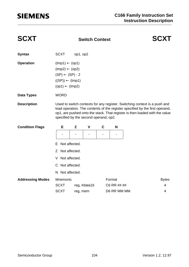| <b>SCXT</b>             |                                                                                                                                                 |               |                                       |                |             |                                                                                                                                                                                                                                          |
|-------------------------|-------------------------------------------------------------------------------------------------------------------------------------------------|---------------|---------------------------------------|----------------|-------------|------------------------------------------------------------------------------------------------------------------------------------------------------------------------------------------------------------------------------------------|
| <b>Syntax</b>           | <b>SCXT</b>                                                                                                                                     | op1, op2      |                                       |                |             |                                                                                                                                                                                                                                          |
| <b>Operation</b>        | $(tmp1) \leftarrow (op1)$<br>$(tmp2) \leftarrow (op2)$<br>$(SP) \leftarrow (SP) - 2$<br>$((SP)) \leftarrow (tmp1)$<br>$(op1) \leftarrow (tmp2)$ |               |                                       |                |             |                                                                                                                                                                                                                                          |
| <b>Data Types</b>       | <b>WORD</b>                                                                                                                                     |               |                                       |                |             |                                                                                                                                                                                                                                          |
| <b>Description</b>      |                                                                                                                                                 |               | specified by the second operand, op2. |                |             | Used to switch contexts for any register. Switching context is a push and<br>load operation. The contents of the register specified by the first operand,<br>op1, are pushed onto the stack. That register is then loaded with the value |
| <b>Condition Flags</b>  | Е                                                                                                                                               | Z             | $\mathbf v$                           | C              | N           |                                                                                                                                                                                                                                          |
|                         |                                                                                                                                                 | ۰             | $\blacksquare$                        | $\blacksquare$ |             |                                                                                                                                                                                                                                          |
|                         | F.                                                                                                                                              | Not affected. |                                       |                |             |                                                                                                                                                                                                                                          |
|                         | Z Not affected.                                                                                                                                 |               |                                       |                |             |                                                                                                                                                                                                                                          |
|                         | V                                                                                                                                               | Not affected. |                                       |                |             |                                                                                                                                                                                                                                          |
|                         | C Not affected.                                                                                                                                 |               |                                       |                |             |                                                                                                                                                                                                                                          |
|                         | N Not affected.                                                                                                                                 |               |                                       |                |             |                                                                                                                                                                                                                                          |
| <b>Addressing Modes</b> | Mnemonic                                                                                                                                        |               |                                       |                | Format      | <b>Bytes</b>                                                                                                                                                                                                                             |
|                         | <b>SCXT</b>                                                                                                                                     |               | reg, #data16                          |                | C6 RR ## ## | 4                                                                                                                                                                                                                                        |
|                         | <b>SCXT</b>                                                                                                                                     | reg, mem      |                                       |                | D6 RR MM MM | 4                                                                                                                                                                                                                                        |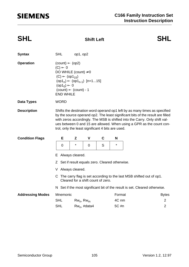### **SHL Shift Left SHL**

| <b>Syntax</b>           | <b>SHL</b>                                                                                                                                                                                                                                                                                                                                                              | op1, op2 |                 |   |         |                         |  |  |
|-------------------------|-------------------------------------------------------------------------------------------------------------------------------------------------------------------------------------------------------------------------------------------------------------------------------------------------------------------------------------------------------------------------|----------|-----------------|---|---------|-------------------------|--|--|
| <b>Operation</b>        | $(count) \leftarrow (op2)$<br>$(C) \leftarrow 0$<br>DO WHILE (count) $\neq$ 0<br>$(C) \leftarrow (op1_{15})$<br>$(op1_n) \leftarrow (op1_{n-1})$ [n=115]<br>$(op1_0) \leftarrow 0$<br>$(count) \leftarrow (count) - 1$<br><b>END WHILE</b>                                                                                                                              |          |                 |   |         |                         |  |  |
| <b>Data Types</b>       | <b>WORD</b>                                                                                                                                                                                                                                                                                                                                                             |          |                 |   |         |                         |  |  |
| <b>Description</b>      | Shifts the destination word operand op1 left by as many times as specified<br>by the source operand op2. The least significant bits of the result are filled<br>with zeros accordingly. The MSB is shifted into the Carry. Only shift val-<br>ues between 0 and 15 are allowed. When using a GPR as the count con-<br>trol, only the least significant 4 bits are used. |          |                 |   |         |                         |  |  |
| <b>Condition Flags</b>  | E                                                                                                                                                                                                                                                                                                                                                                       | Z        | $\mathbf v$     | C | N       |                         |  |  |
|                         | $\overline{0}$                                                                                                                                                                                                                                                                                                                                                          | $\star$  | $\mathbf 0$     | S | $\star$ |                         |  |  |
|                         | E Always cleared.                                                                                                                                                                                                                                                                                                                                                       |          |                 |   |         |                         |  |  |
|                         | Z Set if result equals zero. Cleared otherwise.                                                                                                                                                                                                                                                                                                                         |          |                 |   |         |                         |  |  |
|                         | V Always cleared.                                                                                                                                                                                                                                                                                                                                                       |          |                 |   |         |                         |  |  |
|                         | C The carry flag is set according to the last MSB shifted out of op1.<br>Cleared for a shift count of zero.                                                                                                                                                                                                                                                             |          |                 |   |         |                         |  |  |
|                         | N Set if the most significant bit of the result is set. Cleared otherwise.                                                                                                                                                                                                                                                                                              |          |                 |   |         |                         |  |  |
| <b>Addressing Modes</b> | Mnemonic                                                                                                                                                                                                                                                                                                                                                                |          |                 |   |         | Format<br><b>Bytes</b>  |  |  |
|                         | <b>SHL</b>                                                                                                                                                                                                                                                                                                                                                              |          | $Rw_n$ , $Rw_m$ |   |         | $\overline{2}$<br>4C nm |  |  |
|                         | <b>SHL</b><br>$Rw_n$ , #data4                                                                                                                                                                                                                                                                                                                                           |          |                 |   | 5C #n   | $\overline{2}$          |  |  |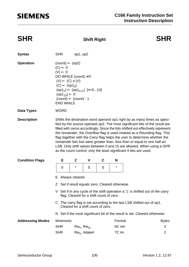### **SHR Shift Right SHR**

| <b>Syntax</b>           | <b>SHR</b>                                                                                                                                                                                                                                                                                                                                                                                                                                                                                                                                                                                                                     | op1, op2 |                 |       |         |        |                |  |
|-------------------------|--------------------------------------------------------------------------------------------------------------------------------------------------------------------------------------------------------------------------------------------------------------------------------------------------------------------------------------------------------------------------------------------------------------------------------------------------------------------------------------------------------------------------------------------------------------------------------------------------------------------------------|----------|-----------------|-------|---------|--------|----------------|--|
| <b>Operation</b>        | $(count) \leftarrow (op2)$<br>$(C) \leftarrow 0$<br>$(V) \leftarrow 0$<br>DO WHILE (count) $\neq$ 0<br>$(V) \leftarrow (C) \vee (V)$<br>$(C) \leftarrow (op10)$<br>$(op1_n) \leftarrow (op1_{n+1})$ [n=014]<br>$(op1_{15}) \leftarrow 0$<br>$(count) \leftarrow (count) - 1$<br><b>END WHILE</b>                                                                                                                                                                                                                                                                                                                               |          |                 |       |         |        |                |  |
| Data Types              | <b>WORD</b>                                                                                                                                                                                                                                                                                                                                                                                                                                                                                                                                                                                                                    |          |                 |       |         |        |                |  |
| <b>Description</b>      | Shifts the destination word operand op1 right by as many times as speci-<br>fied by the source operand op2. The most significant bits of the result are<br>filled with zeros accordingly. Since the bits shifted out effectively represent<br>the remainder, the Overflow flag is used instead as a Rounding flag. This<br>flag together with the Carry flag helps the user to determine whether the<br>remainder bits lost were greater than, less than or equal to one half an<br>LSB. Only shift values between 0 and 15 are allowed. When using a GPR<br>as the count control, only the least significant 4 bits are used. |          |                 |       |         |        |                |  |
| <b>Condition Flags</b>  | Е                                                                                                                                                                                                                                                                                                                                                                                                                                                                                                                                                                                                                              | Z        | V               | C     | N       |        |                |  |
|                         | $\mathbf 0$                                                                                                                                                                                                                                                                                                                                                                                                                                                                                                                                                                                                                    | $\star$  | S               | S     | $\star$ |        |                |  |
|                         | Always cleared.<br>E                                                                                                                                                                                                                                                                                                                                                                                                                                                                                                                                                                                                           |          |                 |       |         |        |                |  |
|                         | Z Set if result equals zero. Cleared otherwise.                                                                                                                                                                                                                                                                                                                                                                                                                                                                                                                                                                                |          |                 |       |         |        |                |  |
|                         | V Set if in any cycle of the shift operation a '1' is shifted out of the carry<br>flag. Cleared for a shift count of zero.                                                                                                                                                                                                                                                                                                                                                                                                                                                                                                     |          |                 |       |         |        |                |  |
|                         | C The carry flag is set according to the last LSB shifted out of op1.<br>Cleared for a shift count of zero.                                                                                                                                                                                                                                                                                                                                                                                                                                                                                                                    |          |                 |       |         |        |                |  |
|                         | N Set if the most significant bit of the result is set. Cleared otherwise.                                                                                                                                                                                                                                                                                                                                                                                                                                                                                                                                                     |          |                 |       |         |        |                |  |
| <b>Addressing Modes</b> | Mnemonic                                                                                                                                                                                                                                                                                                                                                                                                                                                                                                                                                                                                                       |          |                 |       |         | Format | <b>Bytes</b>   |  |
|                         | <b>SHR</b>                                                                                                                                                                                                                                                                                                                                                                                                                                                                                                                                                                                                                     |          | $Rw_n$ , $Rw_m$ |       |         | 6C nm  | $\overline{2}$ |  |
|                         | <b>SHR</b><br>$Rw_n$ , #data4                                                                                                                                                                                                                                                                                                                                                                                                                                                                                                                                                                                                  |          |                 | 7C #n |         | 2      |                |  |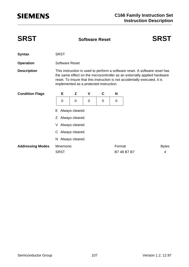| <b>SRST</b>             | <b>Software Reset</b>                                                                                                                                                                                                                                                           |   |   |   |        |             | <b>SRST</b>  |  |  |  |
|-------------------------|---------------------------------------------------------------------------------------------------------------------------------------------------------------------------------------------------------------------------------------------------------------------------------|---|---|---|--------|-------------|--------------|--|--|--|
| <b>Syntax</b>           | <b>SRST</b>                                                                                                                                                                                                                                                                     |   |   |   |        |             |              |  |  |  |
| <b>Operation</b>        | <b>Software Reset</b>                                                                                                                                                                                                                                                           |   |   |   |        |             |              |  |  |  |
| <b>Description</b>      | This instruction is used to perform a software reset. A software reset has<br>the same effect on the microcontroller as an externally applied hardware<br>reset. To insure that this instruction is not accidentally executed, it is<br>implemented as a protected instruction. |   |   |   |        |             |              |  |  |  |
| <b>Condition Flags</b>  | E                                                                                                                                                                                                                                                                               | Z | V | C | N      |             |              |  |  |  |
|                         | 0                                                                                                                                                                                                                                                                               | 0 | 0 | 0 | 0      |             |              |  |  |  |
|                         | Always cleared.<br>Е                                                                                                                                                                                                                                                            |   |   |   |        |             |              |  |  |  |
|                         | Always cleared.<br>Z                                                                                                                                                                                                                                                            |   |   |   |        |             |              |  |  |  |
|                         | Always cleared.<br>V                                                                                                                                                                                                                                                            |   |   |   |        |             |              |  |  |  |
|                         | C Always cleared.                                                                                                                                                                                                                                                               |   |   |   |        |             |              |  |  |  |
|                         | N Always cleared.                                                                                                                                                                                                                                                               |   |   |   |        |             |              |  |  |  |
| <b>Addressing Modes</b> | Mnemonic                                                                                                                                                                                                                                                                        |   |   |   | Format |             | <b>Bytes</b> |  |  |  |
|                         | <b>SRST</b>                                                                                                                                                                                                                                                                     |   |   |   |        | B7 48 B7 B7 | 4            |  |  |  |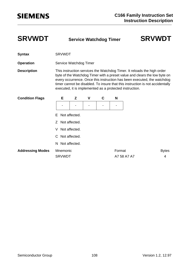**SRVWDT Service Watchdog Timer SRVWDT**

- **Syntax** SRVWDT
- **Operation** Service Watchdog Timer

**Description** This instruction services the Watchdog Timer. It reloads the high order byte of the Watchdog Timer with a preset value and clears the low byte on every occurrence. Once this instruction has been executed, the watchdog timer cannot be disabled. To insure that this instruction is not accidentally executed, it is implemented as a protected instruction.

| <b>Condition Flags</b>  | E             | Z               | $\mathsf{V}$ | C | N      |             |              |
|-------------------------|---------------|-----------------|--------------|---|--------|-------------|--------------|
|                         |               |                 |              |   | ۰      |             |              |
|                         |               | E Not affected. |              |   |        |             |              |
|                         |               | Z Not affected. |              |   |        |             |              |
|                         | V             | Not affected.   |              |   |        |             |              |
|                         |               | C Not affected. |              |   |        |             |              |
|                         |               | N Not affected. |              |   |        |             |              |
| <b>Addressing Modes</b> | Mnemonic      |                 |              |   | Format |             | <b>Bytes</b> |
|                         | <b>SRVWDT</b> |                 |              |   |        | A7 58 A7 A7 | 4            |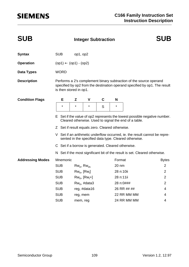# **SIEMENS**

| <b>SUB</b>              |                                                                                                                                    | <b>Integer Subtraction</b>                         |                    |   |                 |                                                                                                                                                  | <b>SUB</b>     |  |
|-------------------------|------------------------------------------------------------------------------------------------------------------------------------|----------------------------------------------------|--------------------|---|-----------------|--------------------------------------------------------------------------------------------------------------------------------------------------|----------------|--|
| <b>Syntax</b>           | <b>SUB</b>                                                                                                                         | op1, op2                                           |                    |   |                 |                                                                                                                                                  |                |  |
| <b>Operation</b>        |                                                                                                                                    | $(op1) \leftarrow (op1) - (op2)$                   |                    |   |                 |                                                                                                                                                  |                |  |
| Data Types              | <b>WORD</b>                                                                                                                        |                                                    |                    |   |                 |                                                                                                                                                  |                |  |
| <b>Description</b>      |                                                                                                                                    | is then stored in op1.                             |                    |   |                 | Performs a 2's complement binary subtraction of the source operand<br>specified by op2 from the destination operand specified by op1. The result |                |  |
| <b>Condition Flags</b>  | Е                                                                                                                                  | Z                                                  | V                  | C | N               |                                                                                                                                                  |                |  |
|                         | $\star$                                                                                                                            | $^\star$                                           | $\star$            | S | *               |                                                                                                                                                  |                |  |
|                         | E Set if the value of op2 represents the lowest possible negative number.<br>Cleared otherwise. Used to signal the end of a table. |                                                    |                    |   |                 |                                                                                                                                                  |                |  |
|                         |                                                                                                                                    | Z Set if result equals zero. Cleared otherwise.    |                    |   |                 |                                                                                                                                                  |                |  |
|                         |                                                                                                                                    |                                                    |                    |   |                 | V Set if an arithmetic underflow occurred, ie. the result cannot be repre-<br>sented in the specified data type. Cleared otherwise.              |                |  |
|                         |                                                                                                                                    | C Set if a borrow is generated. Cleared otherwise. |                    |   |                 |                                                                                                                                                  |                |  |
|                         |                                                                                                                                    |                                                    |                    |   |                 | N Set if the most significant bit of the result is set. Cleared otherwise.                                                                       |                |  |
| <b>Addressing Modes</b> | Mnemonic                                                                                                                           |                                                    |                    |   | Format          |                                                                                                                                                  | <b>Bytes</b>   |  |
|                         | <b>SUB</b>                                                                                                                         | $Rw_n$ , $Rw_m$                                    |                    |   | $20 \text{ nm}$ |                                                                                                                                                  | $\overline{2}$ |  |
|                         | <b>SUB</b>                                                                                                                         | $Rw_n$ , $[Rw_i]$                                  |                    |   | 28 n:10ii       |                                                                                                                                                  | 2              |  |
|                         | <b>SUB</b>                                                                                                                         |                                                    | $Rw_n$ , $[Rw_i+]$ |   | 28 n:11ii       |                                                                                                                                                  | 2              |  |
|                         | <b>SUB</b>                                                                                                                         |                                                    | $Rw_n$ , #data3    |   |                 | 28 n:0###                                                                                                                                        | 2              |  |
|                         | <b>SUB</b>                                                                                                                         |                                                    | reg, #data16       |   |                 | 26 RR ## ##                                                                                                                                      | 4              |  |
|                         | <b>SUB</b>                                                                                                                         | reg, mem                                           |                    |   |                 | 22 RR MM MM                                                                                                                                      | 4              |  |
|                         | <b>SUB</b>                                                                                                                         | mem, reg                                           |                    |   |                 | 24 RR MM MM                                                                                                                                      | 4              |  |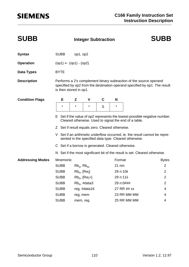| <b>SUBB</b>             |                                                                                                                                        | <b>Integer Subtraction</b> |                    |   |           |                                                                                                                                     | <b>SUBB</b>                                                                |  |
|-------------------------|----------------------------------------------------------------------------------------------------------------------------------------|----------------------------|--------------------|---|-----------|-------------------------------------------------------------------------------------------------------------------------------------|----------------------------------------------------------------------------|--|
| <b>Syntax</b>           | <b>SUBB</b>                                                                                                                            | op1, op2                   |                    |   |           |                                                                                                                                     |                                                                            |  |
| <b>Operation</b>        | $(op1) \leftarrow (op1) - (op2)$                                                                                                       |                            |                    |   |           |                                                                                                                                     |                                                                            |  |
| Data Types              | <b>BYTE</b>                                                                                                                            |                            |                    |   |           |                                                                                                                                     |                                                                            |  |
| <b>Description</b>      | is then stored in op1.                                                                                                                 |                            |                    |   |           | Performs a 2's complement binary subtraction of the source operand                                                                  | specified by op2 from the destination operand specified by op1. The result |  |
| <b>Condition Flags</b>  | Е                                                                                                                                      | Z                          | V                  | C | N         |                                                                                                                                     |                                                                            |  |
|                         | $\star$                                                                                                                                | $\star$                    | $\star$            | S | $^\star$  |                                                                                                                                     |                                                                            |  |
|                         | Set if the value of op2 represents the lowest possible negative number.<br>Е.<br>Cleared otherwise. Used to signal the end of a table. |                            |                    |   |           |                                                                                                                                     |                                                                            |  |
|                         | Z Set if result equals zero. Cleared otherwise.                                                                                        |                            |                    |   |           |                                                                                                                                     |                                                                            |  |
|                         |                                                                                                                                        |                            |                    |   |           | V Set if an arithmetic underflow occurred, ie. the result cannot be repre-<br>sented in the specified data type. Cleared otherwise. |                                                                            |  |
|                         | C Set if a borrow is generated. Cleared otherwise.                                                                                     |                            |                    |   |           |                                                                                                                                     |                                                                            |  |
|                         |                                                                                                                                        |                            |                    |   |           | N Set if the most significant bit of the result is set. Cleared otherwise.                                                          |                                                                            |  |
| <b>Addressing Modes</b> | Mnemonic                                                                                                                               |                            |                    |   | Format    |                                                                                                                                     | <b>Bytes</b>                                                               |  |
|                         | <b>SUBB</b>                                                                                                                            | $Rb_n$ , $Rb_m$            |                    |   | $21$ nm   |                                                                                                                                     | $\overline{2}$                                                             |  |
|                         | <b>SUBB</b>                                                                                                                            | $Rb_n$ , [ $Rw_i$ ]        |                    |   | 29 n:10ii |                                                                                                                                     | 2                                                                          |  |
|                         | <b>SUBB</b>                                                                                                                            |                            | $Rb_n$ , $[Rw_i+]$ |   | 29 n:11ii |                                                                                                                                     | 2                                                                          |  |
|                         | <b>SUBB</b>                                                                                                                            |                            | $Rb_n$ , #data3    |   |           | 29 n:0###                                                                                                                           | 2                                                                          |  |
|                         | <b>SUBB</b>                                                                                                                            |                            | reg, #data16       |   |           | 27 RR ## xx                                                                                                                         | 4                                                                          |  |
|                         | <b>SUBB</b>                                                                                                                            | reg, mem                   |                    |   |           | 23 RR MM MM                                                                                                                         | 4                                                                          |  |
|                         | <b>SUBB</b>                                                                                                                            | mem, reg                   |                    |   |           | 25 RR MM MM                                                                                                                         | 4                                                                          |  |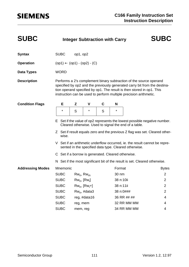| <b>SUBC</b>             |                                                    |                   |                    | <b>Integer Subtraction with Carry</b> |           |                                                                                                                                                                                                                  | <b>SUBC</b>                                                                                                                                              |
|-------------------------|----------------------------------------------------|-------------------|--------------------|---------------------------------------|-----------|------------------------------------------------------------------------------------------------------------------------------------------------------------------------------------------------------------------|----------------------------------------------------------------------------------------------------------------------------------------------------------|
| <b>Syntax</b>           | <b>SUBC</b>                                        | op1, op2          |                    |                                       |           |                                                                                                                                                                                                                  |                                                                                                                                                          |
| <b>Operation</b>        | $(op1) \leftarrow (op1) - (op2) - (C)$             |                   |                    |                                       |           |                                                                                                                                                                                                                  |                                                                                                                                                          |
| Data Types              | <b>WORD</b>                                        |                   |                    |                                       |           |                                                                                                                                                                                                                  |                                                                                                                                                          |
| <b>Description</b>      |                                                    |                   |                    |                                       |           | Performs a 2's complement binary subtraction of the source operand<br>tion operand specified by op1. The result is then stored in op1. This<br>instruction can be used to perform multiple precision arithmetic. | specified by op2 and the previously generated carry bit from the destina-                                                                                |
| <b>Condition Flags</b>  | Е                                                  | Z                 | V                  | C                                     | N         |                                                                                                                                                                                                                  |                                                                                                                                                          |
|                         | $^\star$                                           | S                 | $^\star$           | S                                     | $^\star$  |                                                                                                                                                                                                                  |                                                                                                                                                          |
|                         |                                                    |                   |                    |                                       |           | Cleared otherwise. Used to signal the end of a table.                                                                                                                                                            | E Set if the value of op2 represents the lowest possible negative number.<br>Z Set if result equals zero and the previous Z flag was set. Cleared other- |
|                         | wise.                                              |                   |                    |                                       |           |                                                                                                                                                                                                                  |                                                                                                                                                          |
|                         |                                                    |                   |                    |                                       |           | sented in the specified data type. Cleared otherwise.                                                                                                                                                            | V Set if an arithmetic underflow occurred, ie. the result cannot be repre-                                                                               |
|                         | C Set if a borrow is generated. Cleared otherwise. |                   |                    |                                       |           |                                                                                                                                                                                                                  |                                                                                                                                                          |
|                         |                                                    |                   |                    |                                       |           | N Set if the most significant bit of the result is set. Cleared otherwise.                                                                                                                                       |                                                                                                                                                          |
| <b>Addressing Modes</b> | Mnemonic                                           |                   |                    |                                       | Format    |                                                                                                                                                                                                                  | <b>Bytes</b>                                                                                                                                             |
|                         | <b>SUBC</b>                                        | $Rw_n$ , $Rw_m$   |                    |                                       | 30 nm     |                                                                                                                                                                                                                  | 2                                                                                                                                                        |
|                         | <b>SUBC</b>                                        | $Rw_n$ , $[Rw_i]$ |                    |                                       | 38 n:10ii |                                                                                                                                                                                                                  | $\overline{2}$                                                                                                                                           |
|                         | <b>SUBC</b>                                        |                   | $Rw_n$ , $[Rw_i+]$ |                                       | 38 n:11ii |                                                                                                                                                                                                                  | $\overline{2}$                                                                                                                                           |
|                         | <b>SUBC</b>                                        |                   | $Rw_n$ , #data3    |                                       |           | 38 n:0###                                                                                                                                                                                                        | $\overline{2}$                                                                                                                                           |
|                         | <b>SUBC</b>                                        |                   | reg, #data16       |                                       |           | 36 RR ## ##                                                                                                                                                                                                      | 4                                                                                                                                                        |
|                         | <b>SUBC</b>                                        | reg, mem          |                    |                                       |           | 32 RR MM MM                                                                                                                                                                                                      | 4                                                                                                                                                        |
|                         | <b>SUBC</b>                                        | mem, reg          |                    |                                       |           | 34 RR MM MM                                                                                                                                                                                                      | 4                                                                                                                                                        |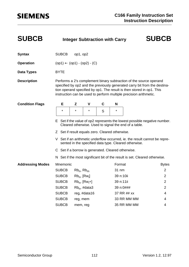| <b>SUBCB</b>            |                                                    |                   |                    | <b>Integer Subtraction with Carry</b> |           |                                                                                                                                                                                                                  | <b>SUBCB</b>                                                               |
|-------------------------|----------------------------------------------------|-------------------|--------------------|---------------------------------------|-----------|------------------------------------------------------------------------------------------------------------------------------------------------------------------------------------------------------------------|----------------------------------------------------------------------------|
| <b>Syntax</b>           | <b>SUBCB</b>                                       | op1, op2          |                    |                                       |           |                                                                                                                                                                                                                  |                                                                            |
| <b>Operation</b>        | $(op1) \leftarrow (op1) - (op2) - (C)$             |                   |                    |                                       |           |                                                                                                                                                                                                                  |                                                                            |
| Data Types              | <b>BYTE</b>                                        |                   |                    |                                       |           |                                                                                                                                                                                                                  |                                                                            |
| <b>Description</b>      |                                                    |                   |                    |                                       |           | Performs a 2's complement binary subtraction of the source operand<br>tion operand specified by op1. The result is then stored in op1. This<br>instruction can be used to perform multiple precision arithmetic. | specified by op2 and the previously generated carry bit from the destina-  |
| <b>Condition Flags</b>  | Е                                                  | Z                 | V                  | C                                     | N         |                                                                                                                                                                                                                  |                                                                            |
|                         | $^\star$                                           | $^\star$          | $^\star$           | S                                     | $\star$   |                                                                                                                                                                                                                  |                                                                            |
|                         |                                                    |                   |                    |                                       |           | Cleared otherwise. Used to signal the end of a table.                                                                                                                                                            | E Set if the value of op2 represents the lowest possible negative number.  |
|                         | Z Set if result equals zero. Cleared otherwise.    |                   |                    |                                       |           |                                                                                                                                                                                                                  |                                                                            |
|                         |                                                    |                   |                    |                                       |           | sented in the specified data type. Cleared otherwise.                                                                                                                                                            | V Set if an arithmetic underflow occurred, ie. the result cannot be repre- |
|                         | C Set if a borrow is generated. Cleared otherwise. |                   |                    |                                       |           |                                                                                                                                                                                                                  |                                                                            |
|                         |                                                    |                   |                    |                                       |           |                                                                                                                                                                                                                  | N Set if the most significant bit of the result is set. Cleared otherwise. |
| <b>Addressing Modes</b> | Mnemonic                                           |                   |                    |                                       | Format    |                                                                                                                                                                                                                  | <b>Bytes</b>                                                               |
|                         | <b>SUBCB</b>                                       | $Rb_n$ , $Rb_m$   |                    |                                       | 31 nm     |                                                                                                                                                                                                                  | $\overline{2}$                                                             |
|                         | <b>SUBCB</b>                                       | $Rb_n$ , $[Rw_i]$ |                    |                                       | 39 n:10ii |                                                                                                                                                                                                                  | $\overline{2}$                                                             |
|                         | <b>SUBCB</b>                                       |                   | $Rb_n$ , $[Rw_i+]$ |                                       | 39 n:11ii |                                                                                                                                                                                                                  | $\overline{2}$                                                             |
|                         | <b>SUBCB</b>                                       |                   | $Rb_n$ , #data3    |                                       | 39 n:0### |                                                                                                                                                                                                                  | $\overline{2}$                                                             |
|                         | <b>SUBCB</b>                                       |                   | reg, #data16       |                                       |           | 37 RR ## xx                                                                                                                                                                                                      | $\overline{\mathcal{A}}$                                                   |
|                         | <b>SUBCB</b>                                       | reg, mem          |                    |                                       |           | 33 RR MM MM                                                                                                                                                                                                      | 4                                                                          |
|                         | <b>SUBCB</b>                                       | mem, reg          |                    |                                       |           | 35 RR MM MM                                                                                                                                                                                                      | 4                                                                          |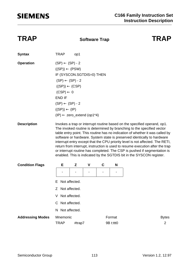# **SIEMENS**

### **TRAP Software Trap TRAP**

| <b>Syntax</b>           | <b>TRAP</b>                                                                                                                                                                                                                                                                                 | op1           |   |   |           |                                                                                                                                                                                                                                                                                                                                                                                                                                                                                                                                                                                                                                      |
|-------------------------|---------------------------------------------------------------------------------------------------------------------------------------------------------------------------------------------------------------------------------------------------------------------------------------------|---------------|---|---|-----------|--------------------------------------------------------------------------------------------------------------------------------------------------------------------------------------------------------------------------------------------------------------------------------------------------------------------------------------------------------------------------------------------------------------------------------------------------------------------------------------------------------------------------------------------------------------------------------------------------------------------------------------|
| <b>Operation</b>        | $(SP) \leftarrow (SP) - 2$<br>$((SP)) \leftarrow (PSW)$<br>IF (SYSCON.SGTDIS=0) THEN<br>$(SP) \leftarrow (SP) - 2$<br>$((SP)) \leftarrow (CSP)$<br>$(CSP) \leftarrow 0$<br><b>END IF</b><br>$(SP) \leftarrow (SP) - 2$<br>$((SP)) \leftarrow (IP)$<br>$(IP) \leftarrow$ zero_extend (op1*4) |               |   |   |           |                                                                                                                                                                                                                                                                                                                                                                                                                                                                                                                                                                                                                                      |
| <b>Description</b>      |                                                                                                                                                                                                                                                                                             |               |   |   |           | Invokes a trap or interrupt routine based on the specified operand, op1.<br>The invoked routine is determined by branching to the specified vector<br>table entry point. This routine has no indication of whether it was called by<br>software or hardware. System state is preserved identically to hardware<br>interrupt entry except that the CPU priority level is not affected. The RETI,<br>return from interrupt, instruction is used to resume execution after the trap<br>or interrupt routine has completed. The CSP is pushed if segmentation is<br>enabled. This is indicated by the SGTDIS bit in the SYSCON register. |
| <b>Condition Flags</b>  | Е                                                                                                                                                                                                                                                                                           | Z             | ۷ | C | N         |                                                                                                                                                                                                                                                                                                                                                                                                                                                                                                                                                                                                                                      |
|                         |                                                                                                                                                                                                                                                                                             |               |   |   |           |                                                                                                                                                                                                                                                                                                                                                                                                                                                                                                                                                                                                                                      |
|                         | Е                                                                                                                                                                                                                                                                                           | Not affected. |   |   |           |                                                                                                                                                                                                                                                                                                                                                                                                                                                                                                                                                                                                                                      |
|                         | Z Not affected.                                                                                                                                                                                                                                                                             |               |   |   |           |                                                                                                                                                                                                                                                                                                                                                                                                                                                                                                                                                                                                                                      |
|                         |                                                                                                                                                                                                                                                                                             | Not affected. |   |   |           |                                                                                                                                                                                                                                                                                                                                                                                                                                                                                                                                                                                                                                      |
|                         | C.                                                                                                                                                                                                                                                                                          | Not affected. |   |   |           |                                                                                                                                                                                                                                                                                                                                                                                                                                                                                                                                                                                                                                      |
|                         | N.                                                                                                                                                                                                                                                                                          | Not affected. |   |   |           |                                                                                                                                                                                                                                                                                                                                                                                                                                                                                                                                                                                                                                      |
| <b>Addressing Modes</b> | Mnemonic                                                                                                                                                                                                                                                                                    |               |   |   | Format    | <b>Bytes</b>                                                                                                                                                                                                                                                                                                                                                                                                                                                                                                                                                                                                                         |
|                         | <b>TRAP</b>                                                                                                                                                                                                                                                                                 | #trap7        |   |   | 9B t:ttt0 | 2                                                                                                                                                                                                                                                                                                                                                                                                                                                                                                                                                                                                                                    |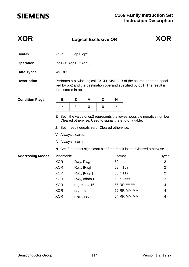| <b>XOR</b>              | <b>Logical Exclusive OR</b>                     |                   |                    |             |           | <b>XOR</b>                                                                 |                                                                           |
|-------------------------|-------------------------------------------------|-------------------|--------------------|-------------|-----------|----------------------------------------------------------------------------|---------------------------------------------------------------------------|
| <b>Syntax</b>           | <b>XOR</b>                                      | op1, op2          |                    |             |           |                                                                            |                                                                           |
| <b>Operation</b>        | $(op1) \leftarrow (op1) \oplus (op2)$           |                   |                    |             |           |                                                                            |                                                                           |
| <b>Data Types</b>       | <b>WORD</b>                                     |                   |                    |             |           |                                                                            |                                                                           |
| <b>Description</b>      | then stored in op1.                             |                   |                    |             |           | fied by op2 and the destination operand specified by op1. The result is    | Performs a bitwise logical EXCLUSIVE OR of the source operand speci-      |
| <b>Condition Flags</b>  | Е                                               | Z                 | $\mathbf v$        | C           | N         |                                                                            |                                                                           |
|                         | $\star$                                         | $\star$           | 0                  | $\mathbf 0$ | $\star$   |                                                                            |                                                                           |
|                         | Z Set if result equals zero. Cleared otherwise. |                   |                    |             |           | Cleared otherwise. Used to signal the end of a table.                      | E Set if the value of op2 represents the lowest possible negative number. |
|                         | V Always cleared.                               |                   |                    |             |           |                                                                            |                                                                           |
|                         | C Always cleared.                               |                   |                    |             |           |                                                                            |                                                                           |
|                         |                                                 |                   |                    |             |           | N Set if the most significant bit of the result is set. Cleared otherwise. |                                                                           |
| <b>Addressing Modes</b> | Mnemonic                                        |                   |                    |             | Format    |                                                                            | <b>Bytes</b>                                                              |
|                         | <b>XOR</b>                                      | $Rw_n$ , $Rw_m$   |                    |             | 50 nm     |                                                                            | $\overline{2}$                                                            |
|                         | <b>XOR</b>                                      | $Rw_n$ , $[Rw_i]$ |                    |             | 58 n:10ii |                                                                            | $\overline{2}$                                                            |
|                         | <b>XOR</b>                                      |                   | $Rw_n$ , $[Rw_i+]$ |             | 58 n:11ii |                                                                            | $\overline{2}$                                                            |
|                         | <b>XOR</b>                                      |                   | $Rw_n$ , #data3    |             | 58 n:0### |                                                                            | $\overline{2}$                                                            |
|                         | <b>XOR</b>                                      |                   | reg, #data16       |             |           | 56 RR ## ##                                                                | 4                                                                         |
|                         | <b>XOR</b>                                      | reg, mem          |                    |             |           | 52 RR MM MM                                                                | 4                                                                         |
|                         | <b>XOR</b>                                      | mem, reg          |                    |             |           | 54 RR MM MM                                                                | 4                                                                         |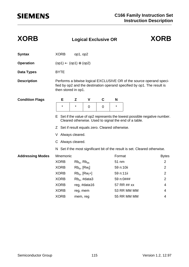| <b>XORB</b>             |                                                 | <b>Logical Exclusive OR</b> |                    |             |           | <b>XORB</b>                                                                                                                                     |                                                                           |
|-------------------------|-------------------------------------------------|-----------------------------|--------------------|-------------|-----------|-------------------------------------------------------------------------------------------------------------------------------------------------|---------------------------------------------------------------------------|
| <b>Syntax</b>           | <b>XORB</b>                                     | op1, op2                    |                    |             |           |                                                                                                                                                 |                                                                           |
| <b>Operation</b>        | $(op1) \leftarrow (op1) \oplus (op2)$           |                             |                    |             |           |                                                                                                                                                 |                                                                           |
| <b>Data Types</b>       | <b>BYTE</b>                                     |                             |                    |             |           |                                                                                                                                                 |                                                                           |
| <b>Description</b>      | then stored in op1.                             |                             |                    |             |           | Performs a bitwise logical EXCLUSIVE OR of the source operand speci-<br>fied by op2 and the destination operand specified by op1. The result is |                                                                           |
| <b>Condition Flags</b>  | Е                                               | Z                           | $\mathbf v$        | $\mathbf c$ | N         |                                                                                                                                                 |                                                                           |
|                         | $^\star$                                        | $\star$                     | $\overline{0}$     | 0           | $^\star$  |                                                                                                                                                 |                                                                           |
|                         |                                                 |                             |                    |             |           | Cleared otherwise. Used to signal the end of a table.                                                                                           | E Set if the value of op2 represents the lowest possible negative number. |
|                         | Z Set if result equals zero. Cleared otherwise. |                             |                    |             |           |                                                                                                                                                 |                                                                           |
|                         | V Always cleared.                               |                             |                    |             |           |                                                                                                                                                 |                                                                           |
|                         | C Always cleared.                               |                             |                    |             |           |                                                                                                                                                 |                                                                           |
|                         |                                                 |                             |                    |             |           | N Set if the most significant bit of the result is set. Cleared otherwise.                                                                      |                                                                           |
| <b>Addressing Modes</b> | Mnemonic                                        |                             |                    |             | Format    |                                                                                                                                                 | <b>Bytes</b>                                                              |
|                         | <b>XORB</b>                                     | $Rb_n$ , $Rb_m$             |                    |             | 51 nm     |                                                                                                                                                 | $\overline{2}$                                                            |
|                         | <b>XORB</b>                                     | $Rb_n$ , $[Rw_i]$           |                    |             | 59 n:10ii |                                                                                                                                                 | $\overline{2}$                                                            |
|                         | <b>XORB</b>                                     |                             | $Rb_n$ , $[Rw_i+]$ |             | 59 n:11ii |                                                                                                                                                 | $\overline{2}$                                                            |
|                         | <b>XORB</b>                                     |                             | $Rb_n$ , #data3    |             | 59 n:0### |                                                                                                                                                 | $\overline{2}$                                                            |
|                         | <b>XORB</b>                                     |                             | reg, #data16       |             |           | 57 RR ## xx                                                                                                                                     | 4                                                                         |
|                         | <b>XORB</b>                                     | reg, mem                    |                    |             |           | 53 RR MM MM                                                                                                                                     | 4                                                                         |
|                         | <b>XORB</b>                                     | mem, reg                    |                    |             |           | 55 RR MM MM                                                                                                                                     | $\overline{4}$                                                            |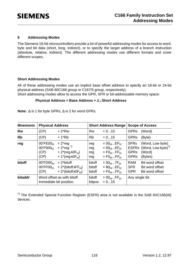#### **6 Addressing Modes**

The Siemens 16-bit microcontrollers provide a lot of powerful addressing modes for access to word, byte and bit data (short, long, indirect), or to specify the target address of a branch instruction (absolute, relative, indirect). The different addressing modes use different formats and cover different scopes.

#### **Short Addressing Modes**

All of these addressing modes use an implicit base offset address to specify an 18-bit or 24-bit physical address (SAB 80C166 group or C167/5 group, respectively).

Short addressing modes allow to access the GPR, SFR or bit-addressable memory space:

#### **Physical Address = Base Address +** ∆ **\* Short Address**

**Note:** ∆ is 1 for byte GPRs, ∆ is 2 for word GPRs.

| <b>Mnemonic</b> | <b>Physical Address</b>                            |                                                                                                                                                 |                            | <b>Short Address Range</b>                                                                     |                                                      | <b>Scope of Access</b>                                                        |
|-----------------|----------------------------------------------------|-------------------------------------------------------------------------------------------------------------------------------------------------|----------------------------|------------------------------------------------------------------------------------------------|------------------------------------------------------|-------------------------------------------------------------------------------|
| <b>Rw</b>       | (CP)                                               | $+2*Rw$                                                                                                                                         | <b>Rw</b>                  | $= 015$                                                                                        | <b>GPRs</b>                                          | (Word)                                                                        |
| <b>Rb</b>       | (CP)                                               | $+1*Rb$                                                                                                                                         | <b>Rb</b>                  | $= 015$                                                                                        | <b>GPRs</b>                                          | (Byte)                                                                        |
| reg             | $00'$ FE $00H$<br>$00'$ F000 $\mu$<br>(CP)<br>(CP) | $+2$ <sup>*</sup> reg<br>+ $2^{*}$ reg <sup>*)</sup><br>+ 2 <sup>*</sup> (reg $\wedge$ 0F <sub>H</sub> )<br>+ 1*(reg $\wedge$ 0F <sub>H</sub> ) | reg<br>reg<br>reg<br>reg   | $= 00_HEF_H$<br>$= 00_HEF_H$<br>$=$ FO <sub>H</sub> FF <sub>H</sub><br>$=$ F0 $_{H}$ FF $_{H}$ | <b>SFR<sub>s</sub></b><br><b>GPRs</b><br><b>GPRs</b> | (Word, Low byte)<br>ESFRs (Word, Low byte) <sup>")</sup><br>(Word)<br>(Bytes) |
| bitoff          | $00'$ FD $00_H$<br>$00'$ FF00 $H$<br>(CP)          | $+2*$ bitoff<br>+ 2*(bitoff $\wedge$ FF <sub>H</sub> )<br>+ 2*(bitoff $\wedge$ 0F <sub>H</sub> )                                                | bitoff<br>bitoff<br>bitoff | $= 00_H7F_H$<br>$= 80_HEF_H$<br>$=$ FO <sub>H</sub> FF <sub>H</sub>                            | <b>RAM</b><br><b>SFR</b><br><b>GPR</b>               | Bit word offset<br>Bit word offset<br>Bit word offset                         |
| bitaddr         |                                                    | Word offset as with bitoff.<br>Immediate bit position.                                                                                          | bitoff<br>bitpos           | $= 00_HFF_H$<br>$= 015$                                                                        | Any single bit                                       |                                                                               |

\*) The Extended Special Function Register (ESFR) area is not available in the SAB 8XC166(W) devices.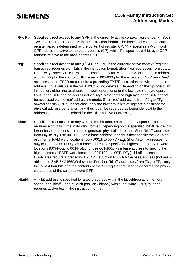- **Rw, Rb:** Specifies direct access to any GPR in the currently active context (register bank). Both 'Rw' and 'Rb' require four bits in the instruction format. The base address of the current register bank is determined by the content of register CP. 'Rw' specifies a 4-bit word GPR address relative to the base address (CP), while 'Rb' specifies a 4 bit byte GPR address relative to the base address (CP).
- **reg:** Specifies direct access to any (E)SFR or GPR in the currently active context (register bank). 'reg' requires eight bits in the instruction format. Short 'reg' addresses from  $00_H$  to  $EF_H$  always specify (E)SFRs. In that case, the factor ' $\Delta$ ' equates 2 and the base address is 00'FE00 $H$  for the standard SFR area or 00'F000 $H$  for the extended ESFR area. 'reg' accesses to the ESFR area require a preceding EXT\*R instruction to switch the base address (not available in the SAB 8XC166(W) devices). Depending on the opcode of an instruction, either the total word (for word operations) or the low byte (for byte operations) of an SFR can be addressed via 'reg'. Note that the high byte of an SFR cannot be accessed via the 'reg' addressing mode. Short 'reg' addresses from  $F0_H$  to  $FF_H$ always specify GPRs. In that case, only the lower four bits of 'reg' are significant for physical address generation, and thus it can be regarded as being identical to the address generation described for the 'Rb' and 'Rw' addressing modes.
- **bitoff:** Specifies direct access to any word in the bit-addressable memory space. 'bitoff' requires eight bits in the instruction format. Depending on the specified 'bitoff' range, different base addresses are used to generate physical addresses: Short 'bitoff' addresses from  $00_H$  to  $7F_H$  use  $00'FD00_H$  as a base address, and thus they specify the 128 highest internal RAM word locations (00'FD00<sub>H</sub>h to 00'FDFE<sub>H</sub>). Short 'bitoff' addresses from  $80_H$  to EF<sub>H</sub> use 00'FF00<sub>H</sub> as a base address to specify the highest internal SFR word locations (00'FF00<sub>H</sub> to 00'FFDE<sub>H</sub>) or use 00'F100<sub>H</sub> as a base address to specify the highest internal ESFR word locations (00'F100 $_H$  to 00'F1DE $_H$ ). 'bitoff' accesses to the ESFR area require a preceding EXT\*R instruction to switch the base address (not available in the SAB 8XC166(W) devices). For short 'bitoff' addresses from  $F0_H$  to  $FF_H$ , only the lowest four bits and the contents of the CP register are used to generate the physical address of the selected word GPR.
- **bitaddr:** Any bit address is specified by a word address within the bit-addressable memory space (see 'bitoff'), and by a bit position ('bitpos') within that word. Thus, 'bitaddr' requires twelve bits in the instruction format.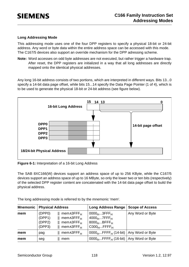#### **Long Addressing Mode**

This addressing mode uses one of the four DPP registers to specify a physical 18-bit or 24-bit address. Any word or byte data within the entire address space can be accessed with this mode. The C167/5 devices also support an override mechanism for the DPP adressing scheme.

**Note:** Word accesses on odd byte addresses are not executed, but rather trigger a hardware trap. After reset, the DPP registers are initialized in a way that all long addresses are directly mapped onto the identical physical addresses.

Any long 16-bit address consists of two portions, which are interpreted in different ways. Bits 13...0 specify a 14-bit data page offset, while bits 15...14 specify the Data Page Pointer (1 of 4), which is to be used to generate the physical 18-bit or 24-bit address (see figure below).



**Figure 6-1:** Interpretation of a 16-bit Long Address

The SAB 8XC166(W) devices support an address space of up to 256 KByte, while the C167/5 devices support an address space of up to 16 MByte, so only the lower two or ten bits (respectively) of the selected DPP register content are concatenated with the 14-bit data page offset to build the physical address.

The long addressing mode is referred to by the mnemonic 'mem'.

| <b>Mnemonic</b> | <b>Physical Address</b>              |                                                                                                                                                                 | <b>Long Address Range</b>                                                              | <b>Scope of Access</b> |
|-----------------|--------------------------------------|-----------------------------------------------------------------------------------------------------------------------------------------------------------------|----------------------------------------------------------------------------------------|------------------------|
| mem             | (DPP0)<br>(DPP1)<br>(DPP2)<br>(DPP3) | mem∧3FFF <sub>H</sub><br>$\parallel$ mem $\wedge$ 3FFF <sub>H</sub><br>$\parallel$ mem $\wedge$ 3FFF <sub>H</sub><br>$\parallel$ mem $\wedge$ 3FFF <sub>H</sub> | $0000_H3$ FFF <sub>H</sub><br>$4000_H7$ FFF $H$<br>$8000_HBFFF_H$<br>$C000_H$ FFFF $H$ | Any Word or Byte       |
| mem             | pag                                  | mem∧3FFF <sub>H</sub>                                                                                                                                           | $0000_{H}$ FFFF <sub>H</sub> (14-bit)                                                  | Any Word or Byte       |
| mem             | seg                                  | mem                                                                                                                                                             | $0000_{H}$ FFFF <sub>H</sub> (16-bit)                                                  | Any Word or Byte       |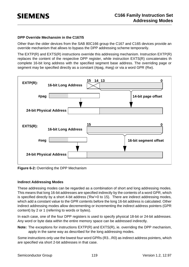#### **DPP Override Mechansim in the C167/5**

Other than the older devices from the SAB 80C166 group the C167 and C165 devices provide an override mechanism that allows to bypass the DPP addressing scheme temporarily.

The  $EXTP(R)$  and  $EXTS(R)$  instructions override this addressing mechanism. Instruction  $EXTP(R)$ replaces the content of the respective DPP register, while instruction EXTS(R) concatenates th complete 16-bit long address with the specified segment base address. The overriding page or segment may be specified directly as a constant (#pag, #seg) or via a word GPR (Rw).



**Figure 6-2:** Overriding the DPP Mechanism

#### **Indirect Addressing Modes**

These addressing modes can be regarded as a combination of short and long addressing modes. This means that long 16-bit addresses are specified indirectly by the contents of a word GPR, which is specified directly by a short 4-bit address ('Rw'=0 to 15). There are indirect addressing modes, which add a constant value to the GPR contents before the long 16-bit address is calculated. Other indirect addressing modes allow decrementing or incrementing the indirect address pointers (GPR content) by 2 or 1 (referring to words or bytes).

In each case, one of the four DPP registers is used to specify physical 18-bit or 24-bit addresses. Any word or byte data within the entire memory space can be addressed indirectly.

**Note:** The exceptions for instructions EXTP(R) and EXTS(R), ie. overriding the DPP mechanism, apply in the same way as described for the long addressing modes.

Some instructions only use the lowest four word GPRs (R3...R0) as indirect address pointers, which are specified via short 2-bit addresses in that case.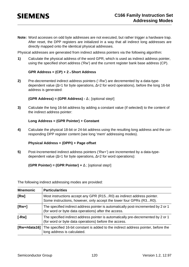**Note:** Word accesses on odd byte addresses are not executed, but rather trigger a hardware trap. After reset, the DPP registers are initialized in a way that all indirect long addresses are directly mapped onto the identical physical addresses.

Physical addresses are generated from indirect address pointers via the following algorithm:

**1)** Calculate the physical address of the word GPR, which is used as indirect address pointer, using the specified short address ('Rw') and the current register bank base address (CP).

#### **GPR Address = (CP) + 2 \* Short Address**

**2)** Pre-decremented indirect address pointers ('-Rw') are decremented by a data-typedependent value (∆=1 for byte operations, ∆=2 for word operations), before the long 16-bit address is generated:

**(GPR Address) = (GPR Address) -** ∆ ; [optional step!]

**3)** Calculate the long 16-bit address by adding a constant value (if selected) to the content of the indirect address pointer:

#### **Long Address = (GPR Pointer) + Constant**

**4)** Calculate the physical 18-bit or 24-bit address using the resulting long address and the corresponding DPP register content (see long 'mem' addressing modes).

#### **Physical Address = (DPPi) + Page offset**

**5)** Post-Incremented indirect address pointers ('Rw+') are incremented by a data-typedependent value (∆=1 for byte operations, ∆=2 for word operations):

#### **(GPR Pointer) = (GPR Pointer) +** ∆ ; [optional step!]

The following indirect addressing modes are provided:

| <b>Mnemonic</b> | <b>Particularities</b>                                                                                                                       |
|-----------------|----------------------------------------------------------------------------------------------------------------------------------------------|
| [Rw]            | Most instructions accept any GPR (R15R0) as indirect address pointer.<br>Some instructions, however, only accept the lower four GPRs (R3R0). |
| $[Rw+]$         | The specified indirect address pointer is automatically post-incremented by 2 or 1<br>(for word or byte data operations) after the access.   |
| $[-Rw]$         | The specified indirect address pointer is automatically pre-decremented by 2 or 1<br>(for word or byte data operations) before the access.   |
| $IRw+#data16]$  | The specified 16-bit constant is added to the indirect address pointer, before the<br>long address is calculated.                            |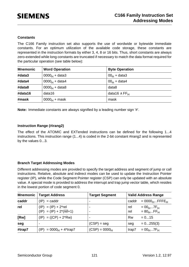#### **Constants**

The C166 Family instruction set also supports the use of wordwide or bytewide immediate constants. For an optimum utilization of the available code storage, these constants are represented in the instruction formats by either 3, 4, 8 or 16 bits. Thus, short constants are always zero-extended while long constants are truncated if necessary to match the data format required for the particular operation (see table below):

| <b>Mnemonic</b> | <b>Word Operation</b>   | <b>Byte Operation</b>          |
|-----------------|-------------------------|--------------------------------|
| #data3          | $0000_H + \text{data3}$ | $00_H + data3$                 |
| #data4          | $0000_H + \text{data4}$ | $00_H + data4$                 |
| #data8          | $0000_H + data8$        | data8                          |
| #data16         | data16                  | data16 $\land$ FF <sub>H</sub> |
| #mask           | $0000_{H}$ + mask       | mask                           |

**Note:** Immediate constants are always signified by a leading number sign '#'.

#### **Instruction Range (#irang2)**

The effect of the ATOMIC and EXTended instructions can be defined for the following 1...4 instructions. This instruction range (1...4) is coded in the 2-bit constant #irang2 and is represented by the values 0...3.

#### **Branch Target Addressing Modes**

Different addressing modes are provided to specify the target address and segment of jump or call instructions. Relative, absolute and indirect modes can be used to update the Instruction Pointer register (IP), while the Code Segment Pointer register (CSP) can only be updated with an absolute value. A special mode is provided to address the interrupt and trap jump vector table, which resides in the lowest portion of code segment 0.

| <b>Mnemonic</b> | <b>Target Address</b>                                          | <b>Target Segment</b> |            | <b>Valid Address Range</b>   |
|-----------------|----------------------------------------------------------------|-----------------------|------------|------------------------------|
| caddr           | $(IP) = caddr$                                                 |                       | caddr      | $= 0000_H$ FFFE <sub>H</sub> |
| rel             | $(IP) = (IP) + 2$ *rel<br>$(IP) = (IP) + 2*(\overline{rel}+1)$ |                       | rel<br>rel | $= 00_H7F_H$<br>$= 80_HFF_H$ |
| [Rw]            | $(IP) = ((CP) + 2*Rw)$                                         |                       | <b>Rw</b>  | $= 015$                      |
| seg             |                                                                | $(CSP) = seg$         | seg        | $= 0255(3)$                  |
| #trap7          | $(IP) = 0000H + 4*trap7$                                       | $(CSP) = 0000H$       | trap7      | $= 00_H7F_H$                 |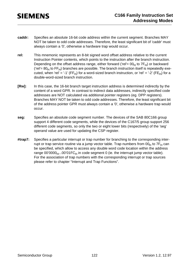- **caddr:** Specifies an absolute 16-bit code address within the current segment. Branches MAY NOT be taken to odd code addresses. Therefore, the least significant bit of 'caddr' must always contain a '0', otherwise a hardware trap would occur.
- **rel:** This mnemonic represents an 8-bit signed word offset address relative to the current Instruction Pointer contents, which points to the instruction after the branch instruction. Depending on the offset address range, either forward ('rel'=  $00_H$  to  $7F_H$ ) or backward ('rel' =  $80_H$  to FF<sub>H</sub>) branches are possible. The branch instruction itself is repeatedly executed, when 'rel' = '-1' (FF<sub>H</sub>) for a word-sized branch instruction, or 'rel' = '-2' (FE<sub>H</sub>) for a double-word-sized branch instruction.
- **[Rw]:** In this case, the 16-bit branch target instruction address is determined indirectly by the content of a word GPR. In contrast to indirect data addresses, indirectly specified code addresses are NOT calculated via additional pointer registers (eg. DPP registers). Branches MAY NOT be taken to odd code addresses. Therefore, the least significant bit of the address pointer GPR must always contain a '0', otherwise a hardware trap would occur.
- **seg:** Specifies an absolute code segment number. The devices of the SAB 80C166 group support 4 different code segments, while the devices of the C167/5 group support 256 different code segments, so only the two or eight lower bits (respectively) of the 'seg' operand value are used for updating the CSP register.
- **#trap7:** Specifies a particular interrupt or trap number for branching to the corresponding interrupt or trap service routine via a jump vector table. Trap numbers from  $00_H$  to  $7F_H$  can be specified, which allow to access any double word code location within the address range  $00'0000<sub>H</sub>...00'01FC<sub>H</sub>$  in code segment 0 (ie. the interrupt jump vector table). For the association of trap numbers with the corresponding interrupt or trap sources please refer to chapter "Interrupt and Trap Functions".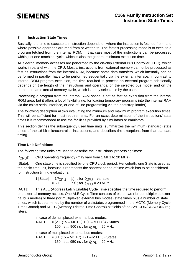#### **7 Instruction State Times**

Basically, the time to execute an instruction depends on where the instruction is fetched from, and where possible operands are read from or written to. The fastest processing mode is to execute a program fetched from the internal ROM. In that case most of the instructions can be processed within just one machine cycle, which is also the general minimum execution time.

All external memory accesses are performed by the on-chip External Bus Controller (EBC), which works in parallel with the CPU. Mostly, instructions from external memory cannot be processed as fast as instructions from the internal ROM, because some data transfers, which internally can be performed in parallel, have to be performed sequentially via the external interface. In contrast to internal ROM program execution, the time required to process an external program additionally depends on the length of the instructions and operands, on the selected bus mode, and on the duration of an external memory cycle, which is partly selectable by the user.

Processing a program from the internal RAM space is not as fast as execution from the internal ROM area, but it offers a lot of flexibility (ie. for loading temporary programs into the internal RAM via the chip's serial interface, or end-of-line programming via the bootstrap loader).

The following description allows evaluating the minimum and maximum program execution times. This will be sufficient for most requirements. For an exact determination of the instructions' state times it is recommended to use the facilities provided by simulators or emulators.

This section defines the subsequently used time units, summarizes the minimum (standard) state times of the 16-bit microcontroller instructions, and describes the exceptions from that standard timing.

#### **Time Unit Definitions**

The following time units are used to describe the instructions' processing times:

 $[f_{\text{CPI}}]$ : CPU operating frequency (may vary from 1 MHz to 20 MHz).

[State]: One state time is specified by one CPU clock period. Henceforth, one State is used as the basic time unit, because it represents the shortest period of time which has to be considered for instruction timing evaluations.

> 1 [State] =  $1/f_{\text{CPU}}$  [s] ; for  $f_{\text{CPU}}$  = variable = 50 [ns] ; for *f*<sub>CPU</sub> = 20 MHz

[ACT]: This ALE (Address Latch Enable) Cycle Time specifies the time required to perform one external memory access. One ALE Cycle Time consists of either two (for demultiplexed external bus modes) or three (for multiplexed external bus modes) state times plus a number of state times, which is determined by the number of waitstates programmed in the MCTC (Memory Cycle Time Control) and MTTC (Memory Tristate Time Control) bit fields of the SYSCON/BUSCONx registers.

> In case of demultiplexed external bus modes:  $1*ACT = (2 + (15 - MCTC) + (1 - MTTC)) * States$ = 100 ns ... 900 ns ; for  $f_{\rm{CPI}}$  = 20 MHz In case of multiplexed external bus modes:  $1*ACT = 3 + (15 - MCTC) + (1 - MTTC) * States$  $= 150$  ns ... 950 ns ; for  $f_{\text{CPI}} = 20$  MHz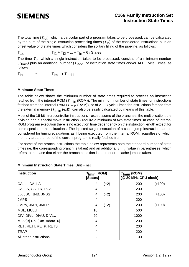The total time  $(T<sub>tot</sub>)$ , which a particular part of a program takes to be processed, can be calculated by the sum of the single instruction processing times  $(T<sub>In</sub>)$  of the considered instructions plus an offset value of 6 state times which considers the solitary filling of the pipeline, as follows:

 $T_{tot}$  =  $T_{11} + T_{12} + ... + T_{1n} + 6$  × States

The time  $T_{\text{In}}$ , which a single instruction takes to be processed, consists of a minimum number  $(T<sub>lmin</sub>)$  plus an additional number ( $T<sub>ladd</sub>$ ) of instruction state times and/or ALE Cycle Times, as follows:

 $T_{In}$  =  $T_{Imin} + T_{Iadd}$ 

#### **Minimum State Times**

The table below shows the minimum number of state times required to process an instruction fetched from the internal ROM ( $T_{\text{Imin}}$  (ROM)). The minimum number of state times for instructions fetched from the internal RAM ( $T_{\text{min}}$  (RAM)), or of ALE Cycle Times for instructions fetched from the external memory ( $T_{\text{Imin}}$  (ext)), can also be easily calculated by means of this table.

Most of the 16-bit microcontroller instructions - except some of the branches, the multiplication, the division and a special move instruction - require a minimum of two state times. In case of internal ROM program execution there is no execution time dependency on the instruction length except for some special branch situations. The injected target instruction of a cache jump instruction can be considered for timing evaluations as if being executed from the internal ROM, regardless of which memory area the rest of the current program is really fetched from.

For some of the branch instructions the table below represents both the standard number of state times (ie. the corresponding branch is taken) and an additional  $T_{\text{Imin}}$  value in parentheses, which refers to the case that either the branch condition is not met or a cache jump is taken.

| <b>Instruction</b>         | $T_{\text{Imin}}$ (ROM)<br>[States] |        | $T_{\text{Imin}}$ (ROM)<br>(@ 20 MHz CPU clock) |          |
|----------------------------|-------------------------------------|--------|-------------------------------------------------|----------|
| CALLI, CALLA               | 4                                   | $(+2)$ | 200                                             | $(+100)$ |
| <b>CALLS, CALLR, PCALL</b> | 4                                   |        | 200                                             |          |
| JB, JBC, JNB, JNBS         | 4                                   | $(+2)$ | 200                                             | $(+100)$ |
| <b>JMPS</b>                | 4                                   |        | 200                                             |          |
| JMPA, JMPI, JMPR           | 4                                   | $(+2)$ | 200                                             | $(+100)$ |
| MUL, MULU                  | 10                                  |        | 500                                             |          |
| DIV, DIVL, DIVU, DIVLU     | 20                                  |        | 1000                                            |          |
| MOV[B] Rn, [Rm+#data16]    | 4                                   |        | 200                                             |          |
| RET, RETI, RETP, RETS      | 4                                   |        | 200                                             |          |
| <b>TRAP</b>                | 4                                   |        | 200                                             |          |
| All other instructions     | $\overline{2}$                      |        | 100                                             |          |

#### **Minimum Instruction State Times** [Unit = ns]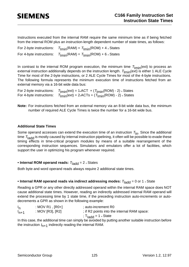Instructions executed from the internal RAM require the same minimum time as if being fetched from the internal ROM plus an instruction-length dependent number of state times, as follows:

| For 2-byte instructions: | $T_{\text{Imin}}(\text{RAM}) = T_{\text{Imin}}(\text{ROM}) + 4$ × States |
|--------------------------|--------------------------------------------------------------------------|
| For 4-byte instructions: | $T_{\text{Imin}}(\text{RAM}) = T_{\text{Imin}}(\text{ROM}) + 6$ × States |

In contrast to the internal ROM program execution, the minimum time  $T_{\text{Imin}}(ext)$  to process an external instruction additionally depends on the instruction length.  $T_{\text{Imin}}(ext)$  is either 1 ALE Cycle Time for most of the 2-byte instructions, or 2 ALE Cycle Times for most of the 4-byte instructions. The following formula represents the minimum execution time of instructions fetched from an external memory via a 16-bit wide data bus:

| For 2-byte instructions: | $T_{\text{Imin}}(\text{ext}) = 1 \cdot \text{ACT} + (T_{\text{Imin}}(\text{ROM}) - 2) \cdot \text{States}$ |
|--------------------------|------------------------------------------------------------------------------------------------------------|
| For 4-byte instructions: | $T_{\text{Imin}}(\text{ext}) = 2*ACTs + (T_{\text{Imin}}(ROM) - 2)*States$                                 |

**Note:** For instructions fetched from an external memory via an 8-bit wide data bus, the minimum number of required ALE Cycle Times is twice the number for a 16-bit wide bus.

#### **Additional State Times**

Some operand accesses can extend the execution time of an instruction  $T_{\text{In}}$ . Since the additional time  $T<sub>ladd</sub>$  is mostly caused by internal instruction pipelining, it often will be possible to evade these timing effects in time-critical program modules by means of a suitable rearrangement of the corresponding instruction sequences. Simulators and emulators offer a lot of facilities, which support the user in optimizing his program whenever required.

#### • Internal ROM operand reads:  $T_{\text{Iadd}} = 2 *$  States

Both byte and word operand reads always require 2 additional state times.

#### • Internal RAM operand reads via indirect addressing modes:  $T_{\text{Iadd}} = 0$  or 1  $*$  State

Reading a GPR or any other directly addressed operand within the internal RAM space does NOT cause additional state times. However, reading an indirectly addressed internal RAM operand will extend the processing time by 1 state time, if the preceding instruction auto-increments or autodecrements a GPR as shown in the following example:

| $I_{n}$   | : MOV R1 , $[RO+]$ | auto-increment R0                           |
|-----------|--------------------|---------------------------------------------|
| $I_{n+1}$ | : MOV [R3], [R2]   | ; if R2 points into the internal RAM space: |
|           |                    | ; T <sub>ladd</sub> = 1 <sub>*</sub> State  |

In this case, the additional time can simply be avoided by putting another suitable instruction before the instruction  $I_{n+1}$  indirectly reading the internal RAM.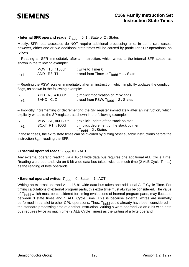### • Internal SFR operand reads:  $T<sub>ladd</sub> = 0, 1$  \* State or 2 \* States

Mostly, SFR read accesses do NOT require additional processing time. In some rare cases, however, either one or two additional state times will be caused by particular SFR operations, as follows:

– Reading an SFR immediately after an instruction, which writes to the internal SFR space, as shown in the following example:

| $I_{n}$   | : MOV T0, #1000h | ; write to Timer 0                                   |
|-----------|------------------|------------------------------------------------------|
| $I_{n+1}$ | : ADD R3, T1     | ; read from Timer 1: $T_{\text{ladd}}$ = 1 $*$ State |

– Reading the PSW register immediately after an instruction, which implicitly updates the condition flags, as shown in the following example:

| $I_{n}$ | : ADD R0, #1000h | ; implicit modification of PSW flags                  |
|---------|------------------|-------------------------------------------------------|
| $n+1$   | : BAND $C, Z$    | ; read from PSW: $T_{\text{ladd}} = 2$ $\star$ States |

– Implicitly incrementing or decrementing the SP register immediately after an instruction, which explicitly writes to the SP register, as shown in the following example:

| $I_{n}$   | : $MOV$ SP, $#0FB00h$ | ; explicit update of the stack pointer      |
|-----------|-----------------------|---------------------------------------------|
| $I_{n+1}$ | : SCXT R1, #1000h     | ; implicit decrement of the stack pointer:  |
|           |                       | ∶ T <sub>ladd</sub> = 2 <sub>*</sub> States |

In these cases, the extra state times can be avoided by putting other suitable instructions before the instruction  $I_{n+1}$  reading the SFR.

#### • External operand reads:  $T_{\text{Iadd}} = 1 \cdot \text{ACT}$

Any external operand reading via a 16-bit wide data bus requires one additional ALE Cycle Time. Reading word operands via an 8-bit wide data bus takes twice as much time (2 ALE Cycle Times) as the reading of byte operands.

#### • External operand writes:  $T_{\text{Iadd}} = 0$  \* State ... 1 \* ACT

Writing an external operand via a 16-bit wide data bus takes one additional ALE Cycle Time. For timing calculations of external program parts, this extra time must always be considered. The value of  $T<sub>ladd</sub>$  which must be considered for timing evaluations of internal program parts, may fluctuate between 0 state times and 1 ALE Cycle Time. This is because external writes are normally performed in parallel to other CPU operations. Thus,  $T_{\text{Iadd}}$  could already have been considered in the standard processing time of another instruction. Writing a word operand via an 8-bit wide data bus requires twice as much time (2 ALE Cycle Times) as the writing of a byte operand.